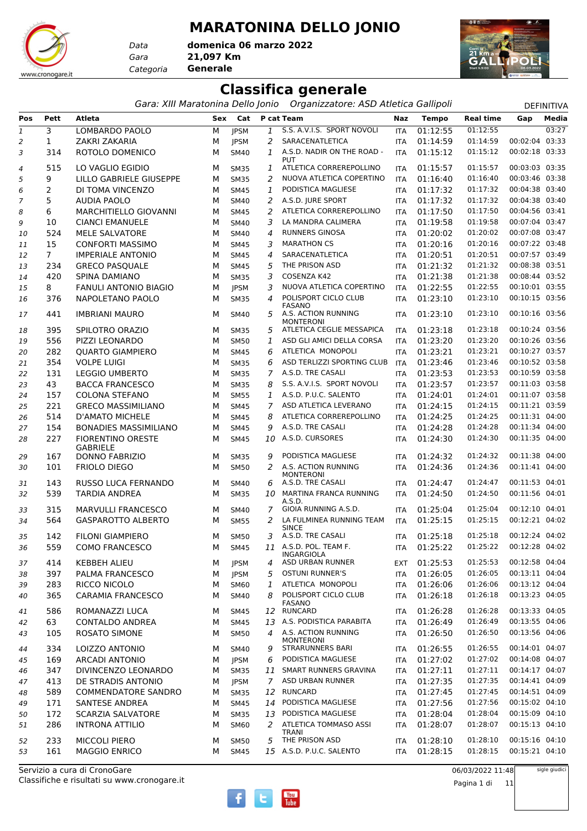### **MARATONINA DELLO JONIO**

*Gara* **21,097 Km** *Categoria* **Generale domenica 06 marzo 2022**

*Data*

www.cronogare.it



### **Classifica generale**

*Gara: XIII Maratonina Dello Jonio Organizzatore: ASD Atletica Gallipoli* DEFINITIVA

| Pos | Pett           | <b>Atleta</b>                               | Sex | Cat         |                | P cat Team                               | Naz        | <b>Tempo</b>         | <b>Real time</b>     | Gap                              | Media         |
|-----|----------------|---------------------------------------------|-----|-------------|----------------|------------------------------------------|------------|----------------------|----------------------|----------------------------------|---------------|
| 1   | 3              | LOMBARDO PAOLO                              | М   | <b>IPSM</b> | 1              | S.S. A.V.I.S. SPORT NOVOLI               | <b>ITA</b> | 01:12:55             | 01:12:55             |                                  | 03:27         |
| 2   | 1              | ZAKRI ZAKARIA                               | М   | <b>JPSM</b> | 2              | SARACENATLETICA                          | <b>ITA</b> | 01:14:59             | 01:14:59             | 00:02:04 03:33                   |               |
| 3   | 314            | ROTOLO DOMENICO                             | м   | <b>SM40</b> | 1              | A.S.D. NADIR ON THE ROAD -               | <b>ITA</b> | 01:15:12             | 01:15:12             | 00:02:18 03:33                   |               |
|     |                |                                             |     |             |                | <b>PUT</b>                               |            |                      |                      |                                  |               |
| 4   | 515            | LO VAGLIO EGIDIO                            | м   | <b>SM35</b> | 1              | ATLETICA CORREREPOLLINO                  | <b>ITA</b> | 01:15:57             | 01:15:57             | 00:03:03 03:35                   |               |
| 5   | 9              | LILLO GABRIELE GIUSEPPE                     | м   | <b>SM35</b> | 2              | NUOVA ATLETICA COPERTINO                 | <b>ITA</b> | 01:16:40             | 01:16:40             | 00:03:46 03:38                   |               |
| 6   | 2              | DI TOMA VINCENZO                            | М   | <b>SM45</b> | 1              | PODISTICA MAGLIESE                       | <b>ITA</b> | 01:17:32             | 01:17:32             | 00:04:38 03:40                   |               |
| 7   | 5              | <b>AUDIA PAOLO</b>                          | М   | <b>SM40</b> | 2              | A.S.D. JURE SPORT                        | <b>ITA</b> | 01:17:32             | 01:17:32             | 00:04:38 03:40                   |               |
| 8   | 6              | MARCHITIELLO GIOVANNI                       | м   | <b>SM45</b> | 2              | ATLETICA CORREREPOLLINO                  | <b>ITA</b> | 01:17:50             | 01:17:50             | 00:04:56 03:41                   |               |
| 9   | 10             | <b>CIANCI EMANUELE</b>                      | М   | <b>SM40</b> | 3              | LA MANDRA CALIMERA                       | <b>ITA</b> | 01:19:58             | 01:19:58             | 00:07:04 03:47                   |               |
| 10  | 524            | MELE SALVATORE                              | М   | <b>SM40</b> | 4              | <b>RUNNERS GINOSA</b>                    | <b>ITA</b> | 01:20:02             | 01:20:02             | 00:07:08 03:47                   |               |
| 11  | 15             | <b>CONFORTI MASSIMO</b>                     | М   | <b>SM45</b> | 3              | <b>MARATHON CS</b>                       | <b>ITA</b> | 01:20:16             | 01:20:16             | 00:07:22 03:48                   |               |
| 12  | 7 <sup>7</sup> | <b>IMPERIALE ANTONIO</b>                    | М   | <b>SM45</b> | 4              | SARACENATLETICA                          | <b>ITA</b> | 01:20:51             | 01:20:51             | 00:07:57 03:49                   |               |
| 13  | 234            | <b>GRECO PASQUALE</b>                       | М   | <b>SM45</b> | 5              | THE PRISON ASD                           | <b>ITA</b> | 01:21:32             | 01:21:32             | 00:08:38 03:51                   |               |
| 14  | 420            | SPINA DAMIANO                               | м   | <b>SM35</b> | 3              | COSENZA K42                              | <b>ITA</b> | 01:21:38             | 01:21:38             | 00:08:44 03:52                   |               |
| 15  | 8              | <b>FANULI ANTONIO BIAGIO</b>                | М   | <b>JPSM</b> | 3              | NUOVA ATLETICA COPERTINO                 | <b>ITA</b> | 01:22:55             | 01:22:55             | 00:10:01 03:55                   |               |
| 16  | 376            | NAPOLETANO PAOLO                            | м   | <b>SM35</b> | 4              | POLISPORT CICLO CLUB<br><b>FASANO</b>    | <b>ITA</b> | 01:23:10             | 01:23:10             | 00:10:15 03:56                   |               |
| 17  | 441            | <b>IMBRIANI MAURO</b>                       | м   | <b>SM40</b> | 5              | A.S. ACTION RUNNING<br><b>MONTERONI</b>  | <b>ITA</b> | 01:23:10             | 01:23:10             | 00:10:16 03:56                   |               |
| 18  | 395            | SPILOTRO ORAZIO                             | м   | <b>SM35</b> | 5              | ATLETICA CEGLIE MESSAPICA                | <b>ITA</b> | 01:23:18             | 01:23:18             | 00:10:24 03:56                   |               |
| 19  | 556            | PIZZI LEONARDO                              | М   | <b>SM50</b> | 1              | ASD GLI AMICI DELLA CORSA                | <b>ITA</b> | 01:23:20             | 01:23:20             | 00:10:26 03:56                   |               |
| 20  | 282            | <b>QUARTO GIAMPIERO</b>                     | М   | <b>SM45</b> | 6              | ATLETICA MONOPOLI                        | <b>ITA</b> | 01:23:21             | 01:23:21             | 00:10:27 03:57                   |               |
| 21  | 354            | <b>VOLPE LUIGI</b>                          | м   | <b>SM35</b> | 6              | ASD TERLIZZI SPORTING CLUB               | <b>ITA</b> | 01:23:46             | 01:23:46             | 00:10:52 03:58                   |               |
| 22  | 131            | <b>LEGGIO UMBERTO</b>                       | М   | <b>SM35</b> | $\overline{7}$ | A.S.D. TRE CASALI                        | <b>ITA</b> | 01:23:53             | 01:23:53             | 00:10:59 03:58                   |               |
| 23  | 43             | <b>BACCA FRANCESCO</b>                      | М   | <b>SM35</b> | 8              | S.S. A.V.I.S. SPORT NOVOLI               | <b>ITA</b> | 01:23:57             | 01:23:57             | 00:11:03 03:58                   |               |
| 24  | 157            | <b>COLONA STEFANO</b>                       | м   | <b>SM55</b> | 1              | A.S.D. P.U.C. SALENTO                    | <b>ITA</b> | 01:24:01             | 01:24:01             | 00:11:07 03:58                   |               |
| 25  | 221            | <b>GRECO MASSIMILIANO</b>                   | М   | <b>SM45</b> | 7              | ASD ATLETICA LEVERANO                    | <b>ITA</b> | 01:24:15             | 01:24:15             | 00:11:21 03:59                   |               |
| 26  | 514            | <b>D'AMATO MICHELE</b>                      | М   | <b>SM45</b> | 8              | ATLETICA CORREREPOLLINO                  | <b>ITA</b> | 01:24:25             | 01:24:25             | 00:11:31 04:00                   |               |
| 27  | 154            | <b>BONADIES MASSIMILIANO</b>                | м   | <b>SM45</b> | 9              | A.S.D. TRE CASALI                        | <b>ITA</b> | 01:24:28             | 01:24:28             | 00:11:34 04:00                   |               |
| 28  | 227            | <b>FIORENTINO ORESTE</b><br><b>GABRIELE</b> | м   | <b>SM45</b> | 10             | A.S.D. CURSORES                          | <b>ITA</b> | 01:24:30             | 01:24:30             | 00:11:35 04:00                   |               |
| 29  | 167            | <b>DONNO FABRIZIO</b>                       | м   | <b>SM35</b> | 9              | PODISTICA MAGLIESE                       | <b>ITA</b> | 01:24:32             | 01:24:32             | 00:11:38 04:00                   |               |
| 30  | 101            | <b>FRIOLO DIEGO</b>                         | М   | <b>SM50</b> | 2              | A.S. ACTION RUNNING<br><b>MONTERONI</b>  | <b>ITA</b> | 01:24:36             | 01:24:36             | 00:11:41 04:00                   |               |
| 31  | 143            | <b>RUSSO LUCA FERNANDO</b>                  | м   | <b>SM40</b> | 6              | A.S.D. TRE CASALI                        | <b>ITA</b> | 01:24:47             | 01:24:47             | 00:11:53 04:01                   |               |
| 32  | 539            | <b>TARDIA ANDREA</b>                        | М   | <b>SM35</b> |                | 10 MARTINA FRANCA RUNNING                | <b>ITA</b> | 01:24:50             | 01:24:50             | 00:11:56 04:01                   |               |
|     |                |                                             |     |             |                | A.S.D.                                   |            |                      |                      |                                  |               |
| 33  | 315            | MARVULLI FRANCESCO                          | м   | <b>SM40</b> | 7              | GIOIA RUNNING A.S.D.                     | <b>ITA</b> | 01:25:04             | 01:25:04             | 00:12:10 04:01                   |               |
| 34  | 564            | <b>GASPAROTTO ALBERTO</b>                   | М   | <b>SM55</b> | 2              | LA FULMINEA RUNNING TEAM<br><b>SINCE</b> | <b>ITA</b> | 01:25:15             | 01:25:15             | 00:12:21 04:02                   |               |
| 35  | 142            | <b>FILONI GIAMPIERO</b>                     | м   | <b>SM50</b> | 3              | A.S.D. TRE CASALI                        | <b>ITA</b> | 01:25:18             | 01:25:18             | 00:12:24 04:02                   |               |
| 36  | 559            | <b>COMO FRANCESCO</b>                       | м   | <b>SM45</b> |                | 11 A.S.D. POL. TEAM F.                   | <b>ITA</b> | 01:25:22             | 01:25:22             | 00:12:28 04:02                   |               |
|     |                |                                             |     |             |                | INGARGIOLA<br>ASD URBAN RUNNER           |            |                      |                      |                                  |               |
| 37  | 414            | <b>KEBBEH ALIEU</b><br>PALMA FRANCESCO      | м   | <b>JPSM</b> | 4              | <b>OSTUNI RUNNER'S</b>                   | EXT        | 01:25:53<br>01:26:05 | 01:25:53<br>01:26:05 | 00:12:58 04:04<br>00:13:11 04:04 |               |
| 38  | 397            |                                             | М   | <b>JPSM</b> | 5              | ATLETICA MONOPOLI                        | <b>ITA</b> | 01:26:06             | 01:26:06             | 00:13:12 04:04                   |               |
| 39  | 283            | RICCO NICOLO                                | м   | SM60        | 1              | POLISPORT CICLO CLUB                     | <b>ITA</b> |                      | 01:26:18             | 00:13:23 04:05                   |               |
| 40  | 365            | <b>CARAMIA FRANCESCO</b>                    | м   | <b>SM40</b> | 8              | <b>FASANO</b>                            | <b>ITA</b> | 01:26:18             |                      |                                  |               |
| 41  | 586            | ROMANAZZI LUCA                              | м   | <b>SM45</b> |                | 12 RUNCARD                               | <b>ITA</b> | 01:26:28             | 01:26:28             | 00:13:33 04:05                   |               |
| 42  | 63             | <b>CONTALDO ANDREA</b>                      | м   | <b>SM45</b> | 13             | A.S. PODISTICA PARABITA                  | <b>ITA</b> | 01:26:49             | 01:26:49             | 00:13:55 04:06                   |               |
| 43  | 105            | <b>ROSATO SIMONE</b>                        | м   | <b>SM50</b> | 4              | A.S. ACTION RUNNING<br><b>MONTERONI</b>  | ITA        | 01:26:50             | 01:26:50             | 00:13:56 04:06                   |               |
| 44  | 334            | LOIZZO ANTONIO                              | м   | <b>SM40</b> | 9              | <b>STRARUNNERS BARI</b>                  | <b>ITA</b> | 01:26:55             | 01:26:55             | 00:14:01 04:07                   |               |
| 45  | 169            | <b>ARCADI ANTONIO</b>                       | М   | JPSM        | 6              | PODISTICA MAGLIESE                       | <b>ITA</b> | 01:27:02             | 01:27:02             | 00:14:08 04:07                   |               |
| 46  | 347            | DIVINCENZO LEONARDO                         | М   | <b>SM35</b> |                | 11 SMART RUNNERS GRAVINA                 | <b>ITA</b> | 01:27:11             | 01:27:11             | 00:14:17 04:07                   |               |
| 47  | 413            | DE STRADIS ANTONIO                          | м   | <b>JPSM</b> | $7^{\circ}$    | ASD URBAN RUNNER                         | <b>ITA</b> | 01:27:35             | 01:27:35             | 00:14:41 04:09                   |               |
| 48  | 589            | <b>COMMENDATORE SANDRO</b>                  | М   | <b>SM35</b> | 12             | <b>RUNCARD</b>                           | ITA        | 01:27:45             | 01:27:45             | 00:14:51 04:09                   |               |
| 49  | 171            | SANTESE ANDREA                              | м   | <b>SM45</b> |                | 14 PODISTICA MAGLIESE                    | <b>ITA</b> | 01:27:56             | 01:27:56             | 00:15:02 04:10                   |               |
| 50  | 172            | <b>SCARZIA SALVATORE</b>                    | м   | <b>SM35</b> | 13             | PODISTICA MAGLIESE                       | <b>ITA</b> | 01:28:04             | 01:28:04             | 00:15:09 04:10                   |               |
| 51  | 286            | <b>INTRONA ATTILIO</b>                      | м   | <b>SM60</b> | 2              | ATLETICA TOMMASO ASSI<br>TRANI           | ITA        | 01:28:07             | 01:28:07             | 00:15:13 04:10                   |               |
| 52  | 233            | <b>MICCOLI PIERO</b>                        | м   | <b>SM50</b> | 5              | THE PRISON ASD                           | <b>ITA</b> | 01:28:10             | 01:28:10             | 00:15:16 04:10                   |               |
| 53  | 161            | <b>MAGGIO ENRICO</b>                        | м   | <b>SM45</b> |                | 15 A.S.D. P.U.C. SALENTO                 | <b>ITA</b> | 01:28:15             | 01:28:15             | 00:15:21 04:10                   |               |
|     |                | Servizio a cura di CronoGare                |     |             |                |                                          |            |                      | 06/03/2022 11:48     |                                  | sigle giudici |

Classifiche e risultati su www.cronogare.it Servizio a cura di CronoGare



06/03/2022 11:48

Pagina 1 di 11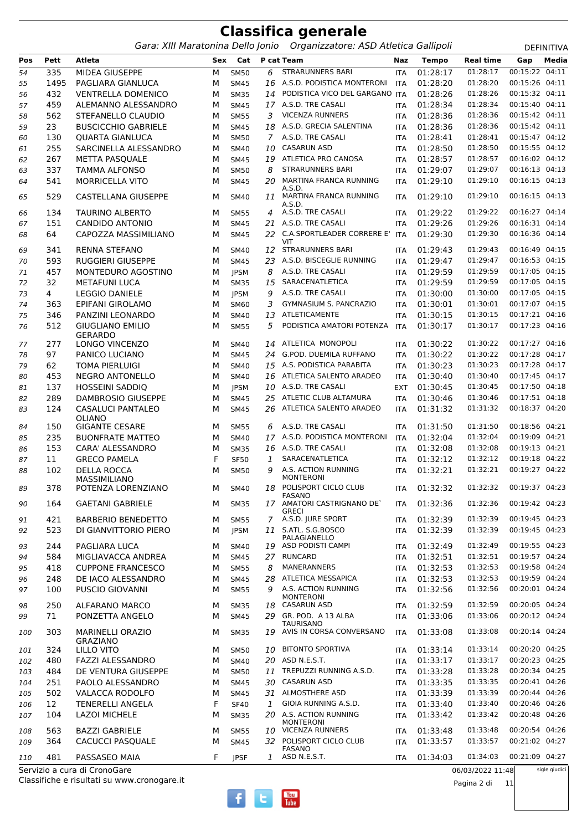*Gara: XIII Maratonina Dello Jonio Organizzatore: ASD Atletica Gallipoli* DEFINITIVA

| 00:15:22 04:11<br>335<br>MIDEA GIUSEPPE<br><b>STRARUNNERS BARI</b><br>01:28:17<br>01:28:17<br>6<br>54<br>М<br><b>SM50</b><br><b>ITA</b><br>00:15:26 04:11<br>1495<br>PAGLIARA GIANLUCA<br>16 A.S.D. PODISTICA MONTERONI<br>01:28:20<br>01:28:20<br>55<br>М<br><b>SM45</b><br><b>ITA</b><br>00:15:32 04:11<br>432<br>PODISTICA VICO DEL GARGANO ITA<br>01:28:26<br><b>VENTRELLA DOMENICO</b><br>01:28:26<br>М<br><b>SM35</b><br>14<br>56<br>00:15:40 04:11<br>17 A.S.D. TRE CASALI<br>01:28:34<br>459<br>ALEMANNO ALESSANDRO<br>01:28:34<br>М<br><b>SM45</b><br>57<br>ITA<br>01:28:36<br>00:15:42 04:11<br>562<br>STEFANELLO CLAUDIO<br><b>VICENZA RUNNERS</b><br>01:28:36<br>М<br><b>SM55</b><br>3<br>58<br>ITA<br>00:15:42 04:11<br>A.S.D. GRECIA SALENTINA<br>01:28:36<br>23<br><b>BUSCICCHIO GABRIELE</b><br>01:28:36<br>М<br><b>SM45</b><br>18<br>59<br>ITA<br>00:15:47 04:12<br>A.S.D. TRE CASALI<br>01:28:41<br>130<br><b>QUARTA GIANLUCA</b><br>01:28:41<br>M<br><b>SM50</b><br>$\mathcal{I}$<br>60<br>ITA<br>255<br><b>CASARUN ASD</b><br>00:15:55 04:12<br>SARCINELLA ALESSANDRO<br>01:28:50<br>01:28:50<br>М<br><b>SM40</b><br>10<br>ITA<br>61<br>00:16:02 04:12<br>267<br>ATLETICA PRO CANOSA<br>01:28:57<br><b>METTA PASQUALE</b><br>19<br>01:28:57<br>М<br><b>SM45</b><br><b>ITA</b><br>62<br>00:16:13 04:13<br><b>STRARUNNERS BARI</b><br>01:29:07<br>01:29:07<br>337<br><b>TAMMA ALFONSO</b><br>8<br>М<br><b>SM50</b><br><b>ITA</b><br>63<br>00:16:15 04:13<br>541<br><b>MORRICELLA VITO</b><br>MARTINA FRANCA RUNNING<br>01:29:10<br>01:29:10<br>М<br><b>SM45</b><br>20<br>64<br>ITA<br>A.S.D.<br>11 MARTINA FRANCA RUNNING<br>01:29:10<br>00:16:15 04:13<br>529<br>01:29:10<br>CASTELLANA GIUSEPPE<br>65<br>M<br><b>SM40</b><br>ITA<br>A.S.D.<br>A.S.D. TRE CASALI<br>01:29:22<br>00:16:27 04:14<br>134<br><b>TAURINO ALBERTO</b><br>01:29:22<br><b>SM55</b><br>4<br>66<br>м<br><b>ITA</b><br><b>CANDIDO ANTONIO</b><br>21 A.S.D. TRE CASALI<br>01:29:26<br>01:29:26<br>00:16:31 04:14<br>151<br>М<br><b>SM45</b><br><b>ITA</b><br>67<br>00:16:36 04:14<br>64<br>CAPOZZA MASSIMILIANO<br>C.A.SPORTLEADER CORRERE E'<br>01:29:30<br>01:29:30<br>М<br><b>SM45</b><br>22<br>68<br>ITA<br><b>VIT</b><br>341<br><b>RENNA STEFANO</b><br>12 STRARUNNERS BARI<br>01:29:43<br>01:29:43<br>00:16:49 04:15<br><b>SM40</b><br>69<br>м<br>ITA<br>00:16:53 04:15<br>593<br><b>RUGGIERI GIUSEPPE</b><br>A.S.D. BISCEGLIE RUNNING<br>01:29:47<br>01:29:47<br>M<br><b>SM45</b><br>23<br><b>ITA</b><br>70<br>00:17:05 04:15<br>A.S.D. TRE CASALI<br>01:29:59<br>457<br>MONTEDURO AGOSTINO<br>8<br>01:29:59<br>М<br><b>JPSM</b><br>71<br>ITA<br>32<br>SARACENATLETICA<br>00:17:05 04:15<br><b>METAFUNI LUCA</b><br>15<br>01:29:59<br>01:29:59<br>М<br><b>SM35</b><br><b>ITA</b><br>72<br>00:17:05 04:15<br>$\overline{4}$<br><b>LEGGIO DANIELE</b><br>A.S.D. TRE CASALI<br>01:30:00<br>01:30:00<br>М<br>9<br><b>IPSM</b><br><b>ITA</b><br>73<br>00:17:07 04:15<br><b>GYMNASIUM S. PANCRAZIO</b><br>01:30:01<br>363<br>EPIFANI GIROLAMO<br>M<br>3<br>01:30:01<br>74<br><b>SM60</b><br>ITA<br><b>ATLETICAMENTE</b><br>00:17:21 04:16<br>346<br>PANZINI LEONARDO<br>01:30:15<br>01:30:15<br>75<br>M<br><b>SM40</b><br>13<br>ITA<br>00:17:23 04:16<br>5<br>PODISTICA AMATORI POTENZA<br>01:30:17<br>01:30:17<br>512<br><b>GIUGLIANO EMILIO</b><br>M<br>76<br><b>SM55</b><br><b>ITA</b><br><b>GERARDO</b><br>277<br>14 ATLETICA MONOPOLI<br>01:30:22<br>00:17:27 04:16<br>LONGO VINCENZO<br>01:30:22<br>м<br><b>SM40</b><br>77<br><b>ITA</b><br>00:17:28 04:17<br>24 G.POD. DUEMILA RUFFANO<br>01:30:22<br>97<br>PANICO LUCIANO<br>01:30:22<br>78<br>М<br><b>SM45</b><br><b>ITA</b><br>62<br>15 A.S. PODISTICA PARABITA<br>01:30:23<br>01:30:23<br>00:17:28 04:17<br><b>TOMA PIERLUIGI</b><br>М<br><b>SM40</b><br><b>ITA</b><br>79<br>00:17:45 04:17<br>453<br><b>NEGRO ANTONELLO</b><br>ATLETICA SALENTO ARADEO<br>01:30:40<br>01:30:40<br>М<br>16<br><b>SM40</b><br><b>ITA</b><br>80<br>00:17:50 04:18<br>10 A.S.D. TRE CASALI<br>01:30:45<br>137<br><b>HOSSEINI SADDIO</b><br>М<br>01:30:45<br><b>JPSM</b><br>81<br><b>EXT</b><br>25 ATLETIC CLUB ALTAMURA<br>00:17:51 04:18<br>289<br><b>DAMBROSIO GIUSEPPE</b><br>01:30:46<br>01:30:46<br>82<br>M<br><b>SM45</b><br>ITA<br>00:18:37 04:20<br>ATLETICA SALENTO ARADEO<br>01:31:32<br>01:31:32<br>124<br>CASALUCI PANTALEO<br>M<br>26<br><b>SM45</b><br><b>ITA</b><br>83<br><b>OLIANO</b><br><b>GIGANTE CESARE</b><br>A.S.D. TRE CASALI<br>01:31:50<br>01:31:50<br>00:18:56 04:21<br>150<br>м<br><b>SM55</b><br>6<br>84<br>ITA<br>A.S.D. PODISTICA MONTERONI<br>00:19:09 04:21<br>01:32:04<br>235<br><b>BUONFRATE MATTEO</b><br>17<br>01:32:04<br>М<br><b>SM40</b><br><b>ITA</b><br>85<br>A.S.D. TRE CASALI<br>01:32:08<br>01:32:08<br>00:19:13 04:21<br>153<br>CARA' ALESSANDRO<br>М<br><b>SM35</b><br>86<br>16<br>ITA<br>SARACENATLETICA<br>00:19:18 04:22<br><b>GRECO PAMELA</b><br>F<br>01:32:12<br>11<br>1<br>01:32:12<br><b>SF50</b><br>87<br>ITA<br>A.S. ACTION RUNNING<br>00:19:27 04:22<br>01:32:21<br>102<br><b>DELLA ROCCA</b><br>9<br>01:32:21<br>М<br>88<br><b>SM50</b><br>ITA<br><b>MONTERONI</b><br>MASSIMILIANO<br>18 POLISPORT CICLO CLUB<br>01:32:32<br>00:19:37 04:23<br>01:32:32<br>378<br>POTENZA LORENZIANO<br>89<br>м<br>SM40<br><b>ITA</b><br>FASANO<br>17 AMATORI CASTRIGNANO DE`<br>01:32:36<br>00:19:42 04:23<br>01:32:36<br>164<br><b>GAETANI GABRIELE</b><br>90<br>М<br><b>SM35</b><br>ITA<br><b>GRECI</b><br>7 A.S.D. JURE SPORT<br>01:32:39<br>01:32:39<br>00:19:45 04:23<br>421<br><b>BARBERIO BENEDETTO</b><br>М<br><b>SM55</b><br><b>ITA</b><br>91<br>01:32:39<br>00:19:45 04:23<br>S.ATL. S.G.BOSCO<br>01:32:39<br>523<br>DI GIANVITTORIO PIERO<br><b>JPSM</b><br>11<br>М<br><b>ITA</b><br>92<br>PALAGIANELLO<br>19 ASD PODISTI CAMPI<br>01:32:49<br>01:32:49<br>00:19:55 04:23<br>244<br>PAGLIARA LUCA<br>м<br><b>SM40</b><br><b>ITA</b><br>93<br>00:19:57 04:24<br>01:32:51<br>584<br>MIGLIAVACCA ANDREA<br>27 RUNCARD<br>01:32:51<br><b>SM45</b><br>94<br>М<br><b>ITA</b><br>00:19:58 04:24<br>01:32:53<br>418<br><b>CUPPONE FRANCESCO</b><br>8<br>MANERANNERS<br>01:32:53<br>М<br><b>SM55</b><br>95<br>ITA<br>00:19:59 04:24<br>DE IACO ALESSANDRO<br>28<br><b>ATLETICA MESSAPICA</b><br>01:32:53<br>01:32:53<br>248<br><b>SM45</b><br>М<br><b>ITA</b><br>96<br>00:20:01 04:24<br>A.S. ACTION RUNNING<br>01:32:56<br><b>PUSCIO GIOVANNI</b><br>01:32:56<br>100<br><b>SM55</b><br>9<br>97<br>М<br><b>ITA</b><br><b>MONTERONI</b><br>250<br>18 CASARUN ASD<br>01:32:59<br>01:32:59<br>00:20:05 04:24<br>ALFARANO MARCO<br>М<br><b>SM35</b><br><b>ITA</b><br>98<br>00:20:12 04:24<br>29 GR. POD. A 13 ALBA<br>01:33:06<br>PONZETTA ANGELO<br>01:33:06<br>71<br><b>SM45</b><br>99<br>М<br>ITA<br><b>TAURISANO</b><br>19 AVIS IN CORSA CONVERSANO<br>00:20:14 04:24<br>303<br><b>MARINELLI ORAZIO</b><br>01:33:08<br>01:33:08<br>М<br><b>SM35</b><br><b>ITA</b><br>100<br><b>GRAZIANO</b><br><b>BITONTO SPORTIVA</b><br>01:33:14<br>00:20:20 04:25<br>324<br>LILLO VITO<br>01:33:14<br>10<br>М<br><b>SM50</b><br><b>ITA</b><br>101<br>00:20:23 04:25<br>20 ASD N.E.S.T.<br>01:33:17<br>01:33:17<br>480<br><b>FAZZI ALESSANDRO</b><br>SM40<br>102<br>М<br><b>ITA</b><br>00:20:34 04:25<br>484<br>11 TREPUZZI RUNNING A.S.D.<br>01:33:28<br>01:33:28<br>103<br>DE VENTURA GIUSEPPE<br>М<br><b>SM50</b><br><b>ITA</b><br>00:20:41 04:26<br>PAOLO ALESSANDRO<br><b>CASARUN ASD</b><br>01:33:35<br>01:33:35<br>251<br>30<br>M<br><b>SM45</b><br>104<br>ITA<br>00:20:44 04:26<br>31 ALMOSTHERE ASD<br>01:33:39<br>502<br>VALACCA RODOLFO<br>01:33:39<br>М<br><b>SM45</b><br>105<br>ITA<br>00:20:46 04:26<br>12<br><b>TENERELLI ANGELA</b><br>F<br>GIOIA RUNNING A.S.D.<br>01:33:40<br>01:33:40<br><b>SF40</b><br>1<br>106<br>ITA<br>00:20:48 04:26<br><b>LAZOI MICHELE</b><br>20 A.S. ACTION RUNNING<br>01:33:42<br>01:33:42<br>104<br>М<br><b>SM35</b><br>107<br>ITA<br><b>MONTERONI</b><br><b>BAZZI GABRIELE</b><br>10 VICENZA RUNNERS<br>01:33:48<br>01:33:48<br>00:20:54 04:26<br>563<br>М<br><b>SM55</b><br>ITA<br>108<br>32 POLISPORT CICLO CLUB<br>00:21:02 04:27<br>01:33:57<br>364<br><b>CACUCCI PASQUALE</b><br>01:33:57<br>M<br><b>SM45</b><br>109<br>ITA<br>FASANO<br>481<br>ASD N.E.S.T.<br>01:34:03<br>01:34:03<br>00:21:09 04:27<br>PASSASEO MAIA<br>F<br><b>JPSF</b><br>1<br><b>ITA</b><br>110<br>Servizio a cura di CronoGare<br>sigle giudici<br>06/03/2022 11:48 | Pos | Pett | Atleta | Sex | Cat | P cat Team | Naz | <b>Tempo</b> | <b>Real time</b> | Gap | Media |
|--------------------------------------------------------------------------------------------------------------------------------------------------------------------------------------------------------------------------------------------------------------------------------------------------------------------------------------------------------------------------------------------------------------------------------------------------------------------------------------------------------------------------------------------------------------------------------------------------------------------------------------------------------------------------------------------------------------------------------------------------------------------------------------------------------------------------------------------------------------------------------------------------------------------------------------------------------------------------------------------------------------------------------------------------------------------------------------------------------------------------------------------------------------------------------------------------------------------------------------------------------------------------------------------------------------------------------------------------------------------------------------------------------------------------------------------------------------------------------------------------------------------------------------------------------------------------------------------------------------------------------------------------------------------------------------------------------------------------------------------------------------------------------------------------------------------------------------------------------------------------------------------------------------------------------------------------------------------------------------------------------------------------------------------------------------------------------------------------------------------------------------------------------------------------------------------------------------------------------------------------------------------------------------------------------------------------------------------------------------------------------------------------------------------------------------------------------------------------------------------------------------------------------------------------------------------------------------------------------------------------------------------------------------------------------------------------------------------------------------------------------------------------------------------------------------------------------------------------------------------------------------------------------------------------------------------------------------------------------------------------------------------------------------------------------------------------------------------------------------------------------------------------------------------------------------------------------------------------------------------------------------------------------------------------------------------------------------------------------------------------------------------------------------------------------------------------------------------------------------------------------------------------------------------------------------------------------------------------------------------------------------------------------------------------------------------------------------------------------------------------------------------------------------------------------------------------------------------------------------------------------------------------------------------------------------------------------------------------------------------------------------------------------------------------------------------------------------------------------------------------------------------------------------------------------------------------------------------------------------------------------------------------------------------------------------------------------------------------------------------------------------------------------------------------------------------------------------------------------------------------------------------------------------------------------------------------------------------------------------------------------------------------------------------------------------------------------------------------------------------------------------------------------------------------------------------------------------------------------------------------------------------------------------------------------------------------------------------------------------------------------------------------------------------------------------------------------------------------------------------------------------------------------------------------------------------------------------------------------------------------------------------------------------------------------------------------------------------------------------------------------------------------------------------------------------------------------------------------------------------------------------------------------------------------------------------------------------------------------------------------------------------------------------------------------------------------------------------------------------------------------------------------------------------------------------------------------------------------------------------------------------------------------------------------------------------------------------------------------------------------------------------------------------------------------------------------------------------------------------------------------------------------------------------------------------------------------------------------------------------------------------------------------------------------------------------------------------------------------------------------------------------------------------------------------------------------------------------------------------------------------------------------------------------------------------------------------------------------------------------------------------------------------------------------------------------------------------------------------------------------------------------------------------------------------------------------------------------------------------------------------------------------------------------------------------------------------------------------------------------------------------------------------------------------------------------------------------------------------------------------------------------------------------------------------------------------------------------------------------------------------------------------------------------------------------------------------------------------------------------------------------------------------------------------------------------------------------------------------------------------------------------------------------------------------------------------------------------------------------------------------------------------------------------------------------------------------------------------------------------------------------------------------------------------------------------------------------------------------------------------------------------------------------------------------------------------------------------------------------------------------------------------------------------------------------------------------------------------------------------------------------------------------------------------------------------------------------------------------------------------------------------------------------------------------------------------------------------------------------------------------------------------------------------------------------------------------------|-----|------|--------|-----|-----|------------|-----|--------------|------------------|-----|-------|
|                                                                                                                                                                                                                                                                                                                                                                                                                                                                                                                                                                                                                                                                                                                                                                                                                                                                                                                                                                                                                                                                                                                                                                                                                                                                                                                                                                                                                                                                                                                                                                                                                                                                                                                                                                                                                                                                                                                                                                                                                                                                                                                                                                                                                                                                                                                                                                                                                                                                                                                                                                                                                                                                                                                                                                                                                                                                                                                                                                                                                                                                                                                                                                                                                                                                                                                                                                                                                                                                                                                                                                                                                                                                                                                                                                                                                                                                                                                                                                                                                                                                                                                                                                                                                                                                                                                                                                                                                                                                                                                                                                                                                                                                                                                                                                                                                                                                                                                                                                                                                                                                                                                                                                                                                                                                                                                                                                                                                                                                                                                                                                                                                                                                                                                                                                                                                                                                                                                                                                                                                                                                                                                                                                                                                                                                                                                                                                                                                                                                                                                                                                                                                                                                                                                                                                                                                                                                                                                                                                                                                                                                                                                                                                                                                                                                                                                                                                                                                                                                                                                                                                                                                                                                                                                                                                                                                                                                                                                                                                                                                                                                                                                                                                                                                                                                                                                                                                                                                                                              |     |      |        |     |     |            |     |              |                  |     |       |
|                                                                                                                                                                                                                                                                                                                                                                                                                                                                                                                                                                                                                                                                                                                                                                                                                                                                                                                                                                                                                                                                                                                                                                                                                                                                                                                                                                                                                                                                                                                                                                                                                                                                                                                                                                                                                                                                                                                                                                                                                                                                                                                                                                                                                                                                                                                                                                                                                                                                                                                                                                                                                                                                                                                                                                                                                                                                                                                                                                                                                                                                                                                                                                                                                                                                                                                                                                                                                                                                                                                                                                                                                                                                                                                                                                                                                                                                                                                                                                                                                                                                                                                                                                                                                                                                                                                                                                                                                                                                                                                                                                                                                                                                                                                                                                                                                                                                                                                                                                                                                                                                                                                                                                                                                                                                                                                                                                                                                                                                                                                                                                                                                                                                                                                                                                                                                                                                                                                                                                                                                                                                                                                                                                                                                                                                                                                                                                                                                                                                                                                                                                                                                                                                                                                                                                                                                                                                                                                                                                                                                                                                                                                                                                                                                                                                                                                                                                                                                                                                                                                                                                                                                                                                                                                                                                                                                                                                                                                                                                                                                                                                                                                                                                                                                                                                                                                                                                                                                                                              |     |      |        |     |     |            |     |              |                  |     |       |
|                                                                                                                                                                                                                                                                                                                                                                                                                                                                                                                                                                                                                                                                                                                                                                                                                                                                                                                                                                                                                                                                                                                                                                                                                                                                                                                                                                                                                                                                                                                                                                                                                                                                                                                                                                                                                                                                                                                                                                                                                                                                                                                                                                                                                                                                                                                                                                                                                                                                                                                                                                                                                                                                                                                                                                                                                                                                                                                                                                                                                                                                                                                                                                                                                                                                                                                                                                                                                                                                                                                                                                                                                                                                                                                                                                                                                                                                                                                                                                                                                                                                                                                                                                                                                                                                                                                                                                                                                                                                                                                                                                                                                                                                                                                                                                                                                                                                                                                                                                                                                                                                                                                                                                                                                                                                                                                                                                                                                                                                                                                                                                                                                                                                                                                                                                                                                                                                                                                                                                                                                                                                                                                                                                                                                                                                                                                                                                                                                                                                                                                                                                                                                                                                                                                                                                                                                                                                                                                                                                                                                                                                                                                                                                                                                                                                                                                                                                                                                                                                                                                                                                                                                                                                                                                                                                                                                                                                                                                                                                                                                                                                                                                                                                                                                                                                                                                                                                                                                                                              |     |      |        |     |     |            |     |              |                  |     |       |
|                                                                                                                                                                                                                                                                                                                                                                                                                                                                                                                                                                                                                                                                                                                                                                                                                                                                                                                                                                                                                                                                                                                                                                                                                                                                                                                                                                                                                                                                                                                                                                                                                                                                                                                                                                                                                                                                                                                                                                                                                                                                                                                                                                                                                                                                                                                                                                                                                                                                                                                                                                                                                                                                                                                                                                                                                                                                                                                                                                                                                                                                                                                                                                                                                                                                                                                                                                                                                                                                                                                                                                                                                                                                                                                                                                                                                                                                                                                                                                                                                                                                                                                                                                                                                                                                                                                                                                                                                                                                                                                                                                                                                                                                                                                                                                                                                                                                                                                                                                                                                                                                                                                                                                                                                                                                                                                                                                                                                                                                                                                                                                                                                                                                                                                                                                                                                                                                                                                                                                                                                                                                                                                                                                                                                                                                                                                                                                                                                                                                                                                                                                                                                                                                                                                                                                                                                                                                                                                                                                                                                                                                                                                                                                                                                                                                                                                                                                                                                                                                                                                                                                                                                                                                                                                                                                                                                                                                                                                                                                                                                                                                                                                                                                                                                                                                                                                                                                                                                                                              |     |      |        |     |     |            |     |              |                  |     |       |
|                                                                                                                                                                                                                                                                                                                                                                                                                                                                                                                                                                                                                                                                                                                                                                                                                                                                                                                                                                                                                                                                                                                                                                                                                                                                                                                                                                                                                                                                                                                                                                                                                                                                                                                                                                                                                                                                                                                                                                                                                                                                                                                                                                                                                                                                                                                                                                                                                                                                                                                                                                                                                                                                                                                                                                                                                                                                                                                                                                                                                                                                                                                                                                                                                                                                                                                                                                                                                                                                                                                                                                                                                                                                                                                                                                                                                                                                                                                                                                                                                                                                                                                                                                                                                                                                                                                                                                                                                                                                                                                                                                                                                                                                                                                                                                                                                                                                                                                                                                                                                                                                                                                                                                                                                                                                                                                                                                                                                                                                                                                                                                                                                                                                                                                                                                                                                                                                                                                                                                                                                                                                                                                                                                                                                                                                                                                                                                                                                                                                                                                                                                                                                                                                                                                                                                                                                                                                                                                                                                                                                                                                                                                                                                                                                                                                                                                                                                                                                                                                                                                                                                                                                                                                                                                                                                                                                                                                                                                                                                                                                                                                                                                                                                                                                                                                                                                                                                                                                                                              |     |      |        |     |     |            |     |              |                  |     |       |
|                                                                                                                                                                                                                                                                                                                                                                                                                                                                                                                                                                                                                                                                                                                                                                                                                                                                                                                                                                                                                                                                                                                                                                                                                                                                                                                                                                                                                                                                                                                                                                                                                                                                                                                                                                                                                                                                                                                                                                                                                                                                                                                                                                                                                                                                                                                                                                                                                                                                                                                                                                                                                                                                                                                                                                                                                                                                                                                                                                                                                                                                                                                                                                                                                                                                                                                                                                                                                                                                                                                                                                                                                                                                                                                                                                                                                                                                                                                                                                                                                                                                                                                                                                                                                                                                                                                                                                                                                                                                                                                                                                                                                                                                                                                                                                                                                                                                                                                                                                                                                                                                                                                                                                                                                                                                                                                                                                                                                                                                                                                                                                                                                                                                                                                                                                                                                                                                                                                                                                                                                                                                                                                                                                                                                                                                                                                                                                                                                                                                                                                                                                                                                                                                                                                                                                                                                                                                                                                                                                                                                                                                                                                                                                                                                                                                                                                                                                                                                                                                                                                                                                                                                                                                                                                                                                                                                                                                                                                                                                                                                                                                                                                                                                                                                                                                                                                                                                                                                                                              |     |      |        |     |     |            |     |              |                  |     |       |
|                                                                                                                                                                                                                                                                                                                                                                                                                                                                                                                                                                                                                                                                                                                                                                                                                                                                                                                                                                                                                                                                                                                                                                                                                                                                                                                                                                                                                                                                                                                                                                                                                                                                                                                                                                                                                                                                                                                                                                                                                                                                                                                                                                                                                                                                                                                                                                                                                                                                                                                                                                                                                                                                                                                                                                                                                                                                                                                                                                                                                                                                                                                                                                                                                                                                                                                                                                                                                                                                                                                                                                                                                                                                                                                                                                                                                                                                                                                                                                                                                                                                                                                                                                                                                                                                                                                                                                                                                                                                                                                                                                                                                                                                                                                                                                                                                                                                                                                                                                                                                                                                                                                                                                                                                                                                                                                                                                                                                                                                                                                                                                                                                                                                                                                                                                                                                                                                                                                                                                                                                                                                                                                                                                                                                                                                                                                                                                                                                                                                                                                                                                                                                                                                                                                                                                                                                                                                                                                                                                                                                                                                                                                                                                                                                                                                                                                                                                                                                                                                                                                                                                                                                                                                                                                                                                                                                                                                                                                                                                                                                                                                                                                                                                                                                                                                                                                                                                                                                                                              |     |      |        |     |     |            |     |              |                  |     |       |
|                                                                                                                                                                                                                                                                                                                                                                                                                                                                                                                                                                                                                                                                                                                                                                                                                                                                                                                                                                                                                                                                                                                                                                                                                                                                                                                                                                                                                                                                                                                                                                                                                                                                                                                                                                                                                                                                                                                                                                                                                                                                                                                                                                                                                                                                                                                                                                                                                                                                                                                                                                                                                                                                                                                                                                                                                                                                                                                                                                                                                                                                                                                                                                                                                                                                                                                                                                                                                                                                                                                                                                                                                                                                                                                                                                                                                                                                                                                                                                                                                                                                                                                                                                                                                                                                                                                                                                                                                                                                                                                                                                                                                                                                                                                                                                                                                                                                                                                                                                                                                                                                                                                                                                                                                                                                                                                                                                                                                                                                                                                                                                                                                                                                                                                                                                                                                                                                                                                                                                                                                                                                                                                                                                                                                                                                                                                                                                                                                                                                                                                                                                                                                                                                                                                                                                                                                                                                                                                                                                                                                                                                                                                                                                                                                                                                                                                                                                                                                                                                                                                                                                                                                                                                                                                                                                                                                                                                                                                                                                                                                                                                                                                                                                                                                                                                                                                                                                                                                                                              |     |      |        |     |     |            |     |              |                  |     |       |
|                                                                                                                                                                                                                                                                                                                                                                                                                                                                                                                                                                                                                                                                                                                                                                                                                                                                                                                                                                                                                                                                                                                                                                                                                                                                                                                                                                                                                                                                                                                                                                                                                                                                                                                                                                                                                                                                                                                                                                                                                                                                                                                                                                                                                                                                                                                                                                                                                                                                                                                                                                                                                                                                                                                                                                                                                                                                                                                                                                                                                                                                                                                                                                                                                                                                                                                                                                                                                                                                                                                                                                                                                                                                                                                                                                                                                                                                                                                                                                                                                                                                                                                                                                                                                                                                                                                                                                                                                                                                                                                                                                                                                                                                                                                                                                                                                                                                                                                                                                                                                                                                                                                                                                                                                                                                                                                                                                                                                                                                                                                                                                                                                                                                                                                                                                                                                                                                                                                                                                                                                                                                                                                                                                                                                                                                                                                                                                                                                                                                                                                                                                                                                                                                                                                                                                                                                                                                                                                                                                                                                                                                                                                                                                                                                                                                                                                                                                                                                                                                                                                                                                                                                                                                                                                                                                                                                                                                                                                                                                                                                                                                                                                                                                                                                                                                                                                                                                                                                                                              |     |      |        |     |     |            |     |              |                  |     |       |
|                                                                                                                                                                                                                                                                                                                                                                                                                                                                                                                                                                                                                                                                                                                                                                                                                                                                                                                                                                                                                                                                                                                                                                                                                                                                                                                                                                                                                                                                                                                                                                                                                                                                                                                                                                                                                                                                                                                                                                                                                                                                                                                                                                                                                                                                                                                                                                                                                                                                                                                                                                                                                                                                                                                                                                                                                                                                                                                                                                                                                                                                                                                                                                                                                                                                                                                                                                                                                                                                                                                                                                                                                                                                                                                                                                                                                                                                                                                                                                                                                                                                                                                                                                                                                                                                                                                                                                                                                                                                                                                                                                                                                                                                                                                                                                                                                                                                                                                                                                                                                                                                                                                                                                                                                                                                                                                                                                                                                                                                                                                                                                                                                                                                                                                                                                                                                                                                                                                                                                                                                                                                                                                                                                                                                                                                                                                                                                                                                                                                                                                                                                                                                                                                                                                                                                                                                                                                                                                                                                                                                                                                                                                                                                                                                                                                                                                                                                                                                                                                                                                                                                                                                                                                                                                                                                                                                                                                                                                                                                                                                                                                                                                                                                                                                                                                                                                                                                                                                                                              |     |      |        |     |     |            |     |              |                  |     |       |
|                                                                                                                                                                                                                                                                                                                                                                                                                                                                                                                                                                                                                                                                                                                                                                                                                                                                                                                                                                                                                                                                                                                                                                                                                                                                                                                                                                                                                                                                                                                                                                                                                                                                                                                                                                                                                                                                                                                                                                                                                                                                                                                                                                                                                                                                                                                                                                                                                                                                                                                                                                                                                                                                                                                                                                                                                                                                                                                                                                                                                                                                                                                                                                                                                                                                                                                                                                                                                                                                                                                                                                                                                                                                                                                                                                                                                                                                                                                                                                                                                                                                                                                                                                                                                                                                                                                                                                                                                                                                                                                                                                                                                                                                                                                                                                                                                                                                                                                                                                                                                                                                                                                                                                                                                                                                                                                                                                                                                                                                                                                                                                                                                                                                                                                                                                                                                                                                                                                                                                                                                                                                                                                                                                                                                                                                                                                                                                                                                                                                                                                                                                                                                                                                                                                                                                                                                                                                                                                                                                                                                                                                                                                                                                                                                                                                                                                                                                                                                                                                                                                                                                                                                                                                                                                                                                                                                                                                                                                                                                                                                                                                                                                                                                                                                                                                                                                                                                                                                                                              |     |      |        |     |     |            |     |              |                  |     |       |
|                                                                                                                                                                                                                                                                                                                                                                                                                                                                                                                                                                                                                                                                                                                                                                                                                                                                                                                                                                                                                                                                                                                                                                                                                                                                                                                                                                                                                                                                                                                                                                                                                                                                                                                                                                                                                                                                                                                                                                                                                                                                                                                                                                                                                                                                                                                                                                                                                                                                                                                                                                                                                                                                                                                                                                                                                                                                                                                                                                                                                                                                                                                                                                                                                                                                                                                                                                                                                                                                                                                                                                                                                                                                                                                                                                                                                                                                                                                                                                                                                                                                                                                                                                                                                                                                                                                                                                                                                                                                                                                                                                                                                                                                                                                                                                                                                                                                                                                                                                                                                                                                                                                                                                                                                                                                                                                                                                                                                                                                                                                                                                                                                                                                                                                                                                                                                                                                                                                                                                                                                                                                                                                                                                                                                                                                                                                                                                                                                                                                                                                                                                                                                                                                                                                                                                                                                                                                                                                                                                                                                                                                                                                                                                                                                                                                                                                                                                                                                                                                                                                                                                                                                                                                                                                                                                                                                                                                                                                                                                                                                                                                                                                                                                                                                                                                                                                                                                                                                                                              |     |      |        |     |     |            |     |              |                  |     |       |
|                                                                                                                                                                                                                                                                                                                                                                                                                                                                                                                                                                                                                                                                                                                                                                                                                                                                                                                                                                                                                                                                                                                                                                                                                                                                                                                                                                                                                                                                                                                                                                                                                                                                                                                                                                                                                                                                                                                                                                                                                                                                                                                                                                                                                                                                                                                                                                                                                                                                                                                                                                                                                                                                                                                                                                                                                                                                                                                                                                                                                                                                                                                                                                                                                                                                                                                                                                                                                                                                                                                                                                                                                                                                                                                                                                                                                                                                                                                                                                                                                                                                                                                                                                                                                                                                                                                                                                                                                                                                                                                                                                                                                                                                                                                                                                                                                                                                                                                                                                                                                                                                                                                                                                                                                                                                                                                                                                                                                                                                                                                                                                                                                                                                                                                                                                                                                                                                                                                                                                                                                                                                                                                                                                                                                                                                                                                                                                                                                                                                                                                                                                                                                                                                                                                                                                                                                                                                                                                                                                                                                                                                                                                                                                                                                                                                                                                                                                                                                                                                                                                                                                                                                                                                                                                                                                                                                                                                                                                                                                                                                                                                                                                                                                                                                                                                                                                                                                                                                                                              |     |      |        |     |     |            |     |              |                  |     |       |
|                                                                                                                                                                                                                                                                                                                                                                                                                                                                                                                                                                                                                                                                                                                                                                                                                                                                                                                                                                                                                                                                                                                                                                                                                                                                                                                                                                                                                                                                                                                                                                                                                                                                                                                                                                                                                                                                                                                                                                                                                                                                                                                                                                                                                                                                                                                                                                                                                                                                                                                                                                                                                                                                                                                                                                                                                                                                                                                                                                                                                                                                                                                                                                                                                                                                                                                                                                                                                                                                                                                                                                                                                                                                                                                                                                                                                                                                                                                                                                                                                                                                                                                                                                                                                                                                                                                                                                                                                                                                                                                                                                                                                                                                                                                                                                                                                                                                                                                                                                                                                                                                                                                                                                                                                                                                                                                                                                                                                                                                                                                                                                                                                                                                                                                                                                                                                                                                                                                                                                                                                                                                                                                                                                                                                                                                                                                                                                                                                                                                                                                                                                                                                                                                                                                                                                                                                                                                                                                                                                                                                                                                                                                                                                                                                                                                                                                                                                                                                                                                                                                                                                                                                                                                                                                                                                                                                                                                                                                                                                                                                                                                                                                                                                                                                                                                                                                                                                                                                                                              |     |      |        |     |     |            |     |              |                  |     |       |
|                                                                                                                                                                                                                                                                                                                                                                                                                                                                                                                                                                                                                                                                                                                                                                                                                                                                                                                                                                                                                                                                                                                                                                                                                                                                                                                                                                                                                                                                                                                                                                                                                                                                                                                                                                                                                                                                                                                                                                                                                                                                                                                                                                                                                                                                                                                                                                                                                                                                                                                                                                                                                                                                                                                                                                                                                                                                                                                                                                                                                                                                                                                                                                                                                                                                                                                                                                                                                                                                                                                                                                                                                                                                                                                                                                                                                                                                                                                                                                                                                                                                                                                                                                                                                                                                                                                                                                                                                                                                                                                                                                                                                                                                                                                                                                                                                                                                                                                                                                                                                                                                                                                                                                                                                                                                                                                                                                                                                                                                                                                                                                                                                                                                                                                                                                                                                                                                                                                                                                                                                                                                                                                                                                                                                                                                                                                                                                                                                                                                                                                                                                                                                                                                                                                                                                                                                                                                                                                                                                                                                                                                                                                                                                                                                                                                                                                                                                                                                                                                                                                                                                                                                                                                                                                                                                                                                                                                                                                                                                                                                                                                                                                                                                                                                                                                                                                                                                                                                                                              |     |      |        |     |     |            |     |              |                  |     |       |
|                                                                                                                                                                                                                                                                                                                                                                                                                                                                                                                                                                                                                                                                                                                                                                                                                                                                                                                                                                                                                                                                                                                                                                                                                                                                                                                                                                                                                                                                                                                                                                                                                                                                                                                                                                                                                                                                                                                                                                                                                                                                                                                                                                                                                                                                                                                                                                                                                                                                                                                                                                                                                                                                                                                                                                                                                                                                                                                                                                                                                                                                                                                                                                                                                                                                                                                                                                                                                                                                                                                                                                                                                                                                                                                                                                                                                                                                                                                                                                                                                                                                                                                                                                                                                                                                                                                                                                                                                                                                                                                                                                                                                                                                                                                                                                                                                                                                                                                                                                                                                                                                                                                                                                                                                                                                                                                                                                                                                                                                                                                                                                                                                                                                                                                                                                                                                                                                                                                                                                                                                                                                                                                                                                                                                                                                                                                                                                                                                                                                                                                                                                                                                                                                                                                                                                                                                                                                                                                                                                                                                                                                                                                                                                                                                                                                                                                                                                                                                                                                                                                                                                                                                                                                                                                                                                                                                                                                                                                                                                                                                                                                                                                                                                                                                                                                                                                                                                                                                                                              |     |      |        |     |     |            |     |              |                  |     |       |
|                                                                                                                                                                                                                                                                                                                                                                                                                                                                                                                                                                                                                                                                                                                                                                                                                                                                                                                                                                                                                                                                                                                                                                                                                                                                                                                                                                                                                                                                                                                                                                                                                                                                                                                                                                                                                                                                                                                                                                                                                                                                                                                                                                                                                                                                                                                                                                                                                                                                                                                                                                                                                                                                                                                                                                                                                                                                                                                                                                                                                                                                                                                                                                                                                                                                                                                                                                                                                                                                                                                                                                                                                                                                                                                                                                                                                                                                                                                                                                                                                                                                                                                                                                                                                                                                                                                                                                                                                                                                                                                                                                                                                                                                                                                                                                                                                                                                                                                                                                                                                                                                                                                                                                                                                                                                                                                                                                                                                                                                                                                                                                                                                                                                                                                                                                                                                                                                                                                                                                                                                                                                                                                                                                                                                                                                                                                                                                                                                                                                                                                                                                                                                                                                                                                                                                                                                                                                                                                                                                                                                                                                                                                                                                                                                                                                                                                                                                                                                                                                                                                                                                                                                                                                                                                                                                                                                                                                                                                                                                                                                                                                                                                                                                                                                                                                                                                                                                                                                                                              |     |      |        |     |     |            |     |              |                  |     |       |
|                                                                                                                                                                                                                                                                                                                                                                                                                                                                                                                                                                                                                                                                                                                                                                                                                                                                                                                                                                                                                                                                                                                                                                                                                                                                                                                                                                                                                                                                                                                                                                                                                                                                                                                                                                                                                                                                                                                                                                                                                                                                                                                                                                                                                                                                                                                                                                                                                                                                                                                                                                                                                                                                                                                                                                                                                                                                                                                                                                                                                                                                                                                                                                                                                                                                                                                                                                                                                                                                                                                                                                                                                                                                                                                                                                                                                                                                                                                                                                                                                                                                                                                                                                                                                                                                                                                                                                                                                                                                                                                                                                                                                                                                                                                                                                                                                                                                                                                                                                                                                                                                                                                                                                                                                                                                                                                                                                                                                                                                                                                                                                                                                                                                                                                                                                                                                                                                                                                                                                                                                                                                                                                                                                                                                                                                                                                                                                                                                                                                                                                                                                                                                                                                                                                                                                                                                                                                                                                                                                                                                                                                                                                                                                                                                                                                                                                                                                                                                                                                                                                                                                                                                                                                                                                                                                                                                                                                                                                                                                                                                                                                                                                                                                                                                                                                                                                                                                                                                                                              |     |      |        |     |     |            |     |              |                  |     |       |
|                                                                                                                                                                                                                                                                                                                                                                                                                                                                                                                                                                                                                                                                                                                                                                                                                                                                                                                                                                                                                                                                                                                                                                                                                                                                                                                                                                                                                                                                                                                                                                                                                                                                                                                                                                                                                                                                                                                                                                                                                                                                                                                                                                                                                                                                                                                                                                                                                                                                                                                                                                                                                                                                                                                                                                                                                                                                                                                                                                                                                                                                                                                                                                                                                                                                                                                                                                                                                                                                                                                                                                                                                                                                                                                                                                                                                                                                                                                                                                                                                                                                                                                                                                                                                                                                                                                                                                                                                                                                                                                                                                                                                                                                                                                                                                                                                                                                                                                                                                                                                                                                                                                                                                                                                                                                                                                                                                                                                                                                                                                                                                                                                                                                                                                                                                                                                                                                                                                                                                                                                                                                                                                                                                                                                                                                                                                                                                                                                                                                                                                                                                                                                                                                                                                                                                                                                                                                                                                                                                                                                                                                                                                                                                                                                                                                                                                                                                                                                                                                                                                                                                                                                                                                                                                                                                                                                                                                                                                                                                                                                                                                                                                                                                                                                                                                                                                                                                                                                                                              |     |      |        |     |     |            |     |              |                  |     |       |
|                                                                                                                                                                                                                                                                                                                                                                                                                                                                                                                                                                                                                                                                                                                                                                                                                                                                                                                                                                                                                                                                                                                                                                                                                                                                                                                                                                                                                                                                                                                                                                                                                                                                                                                                                                                                                                                                                                                                                                                                                                                                                                                                                                                                                                                                                                                                                                                                                                                                                                                                                                                                                                                                                                                                                                                                                                                                                                                                                                                                                                                                                                                                                                                                                                                                                                                                                                                                                                                                                                                                                                                                                                                                                                                                                                                                                                                                                                                                                                                                                                                                                                                                                                                                                                                                                                                                                                                                                                                                                                                                                                                                                                                                                                                                                                                                                                                                                                                                                                                                                                                                                                                                                                                                                                                                                                                                                                                                                                                                                                                                                                                                                                                                                                                                                                                                                                                                                                                                                                                                                                                                                                                                                                                                                                                                                                                                                                                                                                                                                                                                                                                                                                                                                                                                                                                                                                                                                                                                                                                                                                                                                                                                                                                                                                                                                                                                                                                                                                                                                                                                                                                                                                                                                                                                                                                                                                                                                                                                                                                                                                                                                                                                                                                                                                                                                                                                                                                                                                                              |     |      |        |     |     |            |     |              |                  |     |       |
|                                                                                                                                                                                                                                                                                                                                                                                                                                                                                                                                                                                                                                                                                                                                                                                                                                                                                                                                                                                                                                                                                                                                                                                                                                                                                                                                                                                                                                                                                                                                                                                                                                                                                                                                                                                                                                                                                                                                                                                                                                                                                                                                                                                                                                                                                                                                                                                                                                                                                                                                                                                                                                                                                                                                                                                                                                                                                                                                                                                                                                                                                                                                                                                                                                                                                                                                                                                                                                                                                                                                                                                                                                                                                                                                                                                                                                                                                                                                                                                                                                                                                                                                                                                                                                                                                                                                                                                                                                                                                                                                                                                                                                                                                                                                                                                                                                                                                                                                                                                                                                                                                                                                                                                                                                                                                                                                                                                                                                                                                                                                                                                                                                                                                                                                                                                                                                                                                                                                                                                                                                                                                                                                                                                                                                                                                                                                                                                                                                                                                                                                                                                                                                                                                                                                                                                                                                                                                                                                                                                                                                                                                                                                                                                                                                                                                                                                                                                                                                                                                                                                                                                                                                                                                                                                                                                                                                                                                                                                                                                                                                                                                                                                                                                                                                                                                                                                                                                                                                                              |     |      |        |     |     |            |     |              |                  |     |       |
|                                                                                                                                                                                                                                                                                                                                                                                                                                                                                                                                                                                                                                                                                                                                                                                                                                                                                                                                                                                                                                                                                                                                                                                                                                                                                                                                                                                                                                                                                                                                                                                                                                                                                                                                                                                                                                                                                                                                                                                                                                                                                                                                                                                                                                                                                                                                                                                                                                                                                                                                                                                                                                                                                                                                                                                                                                                                                                                                                                                                                                                                                                                                                                                                                                                                                                                                                                                                                                                                                                                                                                                                                                                                                                                                                                                                                                                                                                                                                                                                                                                                                                                                                                                                                                                                                                                                                                                                                                                                                                                                                                                                                                                                                                                                                                                                                                                                                                                                                                                                                                                                                                                                                                                                                                                                                                                                                                                                                                                                                                                                                                                                                                                                                                                                                                                                                                                                                                                                                                                                                                                                                                                                                                                                                                                                                                                                                                                                                                                                                                                                                                                                                                                                                                                                                                                                                                                                                                                                                                                                                                                                                                                                                                                                                                                                                                                                                                                                                                                                                                                                                                                                                                                                                                                                                                                                                                                                                                                                                                                                                                                                                                                                                                                                                                                                                                                                                                                                                                                              |     |      |        |     |     |            |     |              |                  |     |       |
|                                                                                                                                                                                                                                                                                                                                                                                                                                                                                                                                                                                                                                                                                                                                                                                                                                                                                                                                                                                                                                                                                                                                                                                                                                                                                                                                                                                                                                                                                                                                                                                                                                                                                                                                                                                                                                                                                                                                                                                                                                                                                                                                                                                                                                                                                                                                                                                                                                                                                                                                                                                                                                                                                                                                                                                                                                                                                                                                                                                                                                                                                                                                                                                                                                                                                                                                                                                                                                                                                                                                                                                                                                                                                                                                                                                                                                                                                                                                                                                                                                                                                                                                                                                                                                                                                                                                                                                                                                                                                                                                                                                                                                                                                                                                                                                                                                                                                                                                                                                                                                                                                                                                                                                                                                                                                                                                                                                                                                                                                                                                                                                                                                                                                                                                                                                                                                                                                                                                                                                                                                                                                                                                                                                                                                                                                                                                                                                                                                                                                                                                                                                                                                                                                                                                                                                                                                                                                                                                                                                                                                                                                                                                                                                                                                                                                                                                                                                                                                                                                                                                                                                                                                                                                                                                                                                                                                                                                                                                                                                                                                                                                                                                                                                                                                                                                                                                                                                                                                                              |     |      |        |     |     |            |     |              |                  |     |       |
|                                                                                                                                                                                                                                                                                                                                                                                                                                                                                                                                                                                                                                                                                                                                                                                                                                                                                                                                                                                                                                                                                                                                                                                                                                                                                                                                                                                                                                                                                                                                                                                                                                                                                                                                                                                                                                                                                                                                                                                                                                                                                                                                                                                                                                                                                                                                                                                                                                                                                                                                                                                                                                                                                                                                                                                                                                                                                                                                                                                                                                                                                                                                                                                                                                                                                                                                                                                                                                                                                                                                                                                                                                                                                                                                                                                                                                                                                                                                                                                                                                                                                                                                                                                                                                                                                                                                                                                                                                                                                                                                                                                                                                                                                                                                                                                                                                                                                                                                                                                                                                                                                                                                                                                                                                                                                                                                                                                                                                                                                                                                                                                                                                                                                                                                                                                                                                                                                                                                                                                                                                                                                                                                                                                                                                                                                                                                                                                                                                                                                                                                                                                                                                                                                                                                                                                                                                                                                                                                                                                                                                                                                                                                                                                                                                                                                                                                                                                                                                                                                                                                                                                                                                                                                                                                                                                                                                                                                                                                                                                                                                                                                                                                                                                                                                                                                                                                                                                                                                                              |     |      |        |     |     |            |     |              |                  |     |       |
|                                                                                                                                                                                                                                                                                                                                                                                                                                                                                                                                                                                                                                                                                                                                                                                                                                                                                                                                                                                                                                                                                                                                                                                                                                                                                                                                                                                                                                                                                                                                                                                                                                                                                                                                                                                                                                                                                                                                                                                                                                                                                                                                                                                                                                                                                                                                                                                                                                                                                                                                                                                                                                                                                                                                                                                                                                                                                                                                                                                                                                                                                                                                                                                                                                                                                                                                                                                                                                                                                                                                                                                                                                                                                                                                                                                                                                                                                                                                                                                                                                                                                                                                                                                                                                                                                                                                                                                                                                                                                                                                                                                                                                                                                                                                                                                                                                                                                                                                                                                                                                                                                                                                                                                                                                                                                                                                                                                                                                                                                                                                                                                                                                                                                                                                                                                                                                                                                                                                                                                                                                                                                                                                                                                                                                                                                                                                                                                                                                                                                                                                                                                                                                                                                                                                                                                                                                                                                                                                                                                                                                                                                                                                                                                                                                                                                                                                                                                                                                                                                                                                                                                                                                                                                                                                                                                                                                                                                                                                                                                                                                                                                                                                                                                                                                                                                                                                                                                                                                                              |     |      |        |     |     |            |     |              |                  |     |       |
|                                                                                                                                                                                                                                                                                                                                                                                                                                                                                                                                                                                                                                                                                                                                                                                                                                                                                                                                                                                                                                                                                                                                                                                                                                                                                                                                                                                                                                                                                                                                                                                                                                                                                                                                                                                                                                                                                                                                                                                                                                                                                                                                                                                                                                                                                                                                                                                                                                                                                                                                                                                                                                                                                                                                                                                                                                                                                                                                                                                                                                                                                                                                                                                                                                                                                                                                                                                                                                                                                                                                                                                                                                                                                                                                                                                                                                                                                                                                                                                                                                                                                                                                                                                                                                                                                                                                                                                                                                                                                                                                                                                                                                                                                                                                                                                                                                                                                                                                                                                                                                                                                                                                                                                                                                                                                                                                                                                                                                                                                                                                                                                                                                                                                                                                                                                                                                                                                                                                                                                                                                                                                                                                                                                                                                                                                                                                                                                                                                                                                                                                                                                                                                                                                                                                                                                                                                                                                                                                                                                                                                                                                                                                                                                                                                                                                                                                                                                                                                                                                                                                                                                                                                                                                                                                                                                                                                                                                                                                                                                                                                                                                                                                                                                                                                                                                                                                                                                                                                                              |     |      |        |     |     |            |     |              |                  |     |       |
|                                                                                                                                                                                                                                                                                                                                                                                                                                                                                                                                                                                                                                                                                                                                                                                                                                                                                                                                                                                                                                                                                                                                                                                                                                                                                                                                                                                                                                                                                                                                                                                                                                                                                                                                                                                                                                                                                                                                                                                                                                                                                                                                                                                                                                                                                                                                                                                                                                                                                                                                                                                                                                                                                                                                                                                                                                                                                                                                                                                                                                                                                                                                                                                                                                                                                                                                                                                                                                                                                                                                                                                                                                                                                                                                                                                                                                                                                                                                                                                                                                                                                                                                                                                                                                                                                                                                                                                                                                                                                                                                                                                                                                                                                                                                                                                                                                                                                                                                                                                                                                                                                                                                                                                                                                                                                                                                                                                                                                                                                                                                                                                                                                                                                                                                                                                                                                                                                                                                                                                                                                                                                                                                                                                                                                                                                                                                                                                                                                                                                                                                                                                                                                                                                                                                                                                                                                                                                                                                                                                                                                                                                                                                                                                                                                                                                                                                                                                                                                                                                                                                                                                                                                                                                                                                                                                                                                                                                                                                                                                                                                                                                                                                                                                                                                                                                                                                                                                                                                                              |     |      |        |     |     |            |     |              |                  |     |       |
|                                                                                                                                                                                                                                                                                                                                                                                                                                                                                                                                                                                                                                                                                                                                                                                                                                                                                                                                                                                                                                                                                                                                                                                                                                                                                                                                                                                                                                                                                                                                                                                                                                                                                                                                                                                                                                                                                                                                                                                                                                                                                                                                                                                                                                                                                                                                                                                                                                                                                                                                                                                                                                                                                                                                                                                                                                                                                                                                                                                                                                                                                                                                                                                                                                                                                                                                                                                                                                                                                                                                                                                                                                                                                                                                                                                                                                                                                                                                                                                                                                                                                                                                                                                                                                                                                                                                                                                                                                                                                                                                                                                                                                                                                                                                                                                                                                                                                                                                                                                                                                                                                                                                                                                                                                                                                                                                                                                                                                                                                                                                                                                                                                                                                                                                                                                                                                                                                                                                                                                                                                                                                                                                                                                                                                                                                                                                                                                                                                                                                                                                                                                                                                                                                                                                                                                                                                                                                                                                                                                                                                                                                                                                                                                                                                                                                                                                                                                                                                                                                                                                                                                                                                                                                                                                                                                                                                                                                                                                                                                                                                                                                                                                                                                                                                                                                                                                                                                                                                                              |     |      |        |     |     |            |     |              |                  |     |       |
|                                                                                                                                                                                                                                                                                                                                                                                                                                                                                                                                                                                                                                                                                                                                                                                                                                                                                                                                                                                                                                                                                                                                                                                                                                                                                                                                                                                                                                                                                                                                                                                                                                                                                                                                                                                                                                                                                                                                                                                                                                                                                                                                                                                                                                                                                                                                                                                                                                                                                                                                                                                                                                                                                                                                                                                                                                                                                                                                                                                                                                                                                                                                                                                                                                                                                                                                                                                                                                                                                                                                                                                                                                                                                                                                                                                                                                                                                                                                                                                                                                                                                                                                                                                                                                                                                                                                                                                                                                                                                                                                                                                                                                                                                                                                                                                                                                                                                                                                                                                                                                                                                                                                                                                                                                                                                                                                                                                                                                                                                                                                                                                                                                                                                                                                                                                                                                                                                                                                                                                                                                                                                                                                                                                                                                                                                                                                                                                                                                                                                                                                                                                                                                                                                                                                                                                                                                                                                                                                                                                                                                                                                                                                                                                                                                                                                                                                                                                                                                                                                                                                                                                                                                                                                                                                                                                                                                                                                                                                                                                                                                                                                                                                                                                                                                                                                                                                                                                                                                                              |     |      |        |     |     |            |     |              |                  |     |       |
|                                                                                                                                                                                                                                                                                                                                                                                                                                                                                                                                                                                                                                                                                                                                                                                                                                                                                                                                                                                                                                                                                                                                                                                                                                                                                                                                                                                                                                                                                                                                                                                                                                                                                                                                                                                                                                                                                                                                                                                                                                                                                                                                                                                                                                                                                                                                                                                                                                                                                                                                                                                                                                                                                                                                                                                                                                                                                                                                                                                                                                                                                                                                                                                                                                                                                                                                                                                                                                                                                                                                                                                                                                                                                                                                                                                                                                                                                                                                                                                                                                                                                                                                                                                                                                                                                                                                                                                                                                                                                                                                                                                                                                                                                                                                                                                                                                                                                                                                                                                                                                                                                                                                                                                                                                                                                                                                                                                                                                                                                                                                                                                                                                                                                                                                                                                                                                                                                                                                                                                                                                                                                                                                                                                                                                                                                                                                                                                                                                                                                                                                                                                                                                                                                                                                                                                                                                                                                                                                                                                                                                                                                                                                                                                                                                                                                                                                                                                                                                                                                                                                                                                                                                                                                                                                                                                                                                                                                                                                                                                                                                                                                                                                                                                                                                                                                                                                                                                                                                                              |     |      |        |     |     |            |     |              |                  |     |       |
|                                                                                                                                                                                                                                                                                                                                                                                                                                                                                                                                                                                                                                                                                                                                                                                                                                                                                                                                                                                                                                                                                                                                                                                                                                                                                                                                                                                                                                                                                                                                                                                                                                                                                                                                                                                                                                                                                                                                                                                                                                                                                                                                                                                                                                                                                                                                                                                                                                                                                                                                                                                                                                                                                                                                                                                                                                                                                                                                                                                                                                                                                                                                                                                                                                                                                                                                                                                                                                                                                                                                                                                                                                                                                                                                                                                                                                                                                                                                                                                                                                                                                                                                                                                                                                                                                                                                                                                                                                                                                                                                                                                                                                                                                                                                                                                                                                                                                                                                                                                                                                                                                                                                                                                                                                                                                                                                                                                                                                                                                                                                                                                                                                                                                                                                                                                                                                                                                                                                                                                                                                                                                                                                                                                                                                                                                                                                                                                                                                                                                                                                                                                                                                                                                                                                                                                                                                                                                                                                                                                                                                                                                                                                                                                                                                                                                                                                                                                                                                                                                                                                                                                                                                                                                                                                                                                                                                                                                                                                                                                                                                                                                                                                                                                                                                                                                                                                                                                                                                                              |     |      |        |     |     |            |     |              |                  |     |       |
|                                                                                                                                                                                                                                                                                                                                                                                                                                                                                                                                                                                                                                                                                                                                                                                                                                                                                                                                                                                                                                                                                                                                                                                                                                                                                                                                                                                                                                                                                                                                                                                                                                                                                                                                                                                                                                                                                                                                                                                                                                                                                                                                                                                                                                                                                                                                                                                                                                                                                                                                                                                                                                                                                                                                                                                                                                                                                                                                                                                                                                                                                                                                                                                                                                                                                                                                                                                                                                                                                                                                                                                                                                                                                                                                                                                                                                                                                                                                                                                                                                                                                                                                                                                                                                                                                                                                                                                                                                                                                                                                                                                                                                                                                                                                                                                                                                                                                                                                                                                                                                                                                                                                                                                                                                                                                                                                                                                                                                                                                                                                                                                                                                                                                                                                                                                                                                                                                                                                                                                                                                                                                                                                                                                                                                                                                                                                                                                                                                                                                                                                                                                                                                                                                                                                                                                                                                                                                                                                                                                                                                                                                                                                                                                                                                                                                                                                                                                                                                                                                                                                                                                                                                                                                                                                                                                                                                                                                                                                                                                                                                                                                                                                                                                                                                                                                                                                                                                                                                                              |     |      |        |     |     |            |     |              |                  |     |       |
|                                                                                                                                                                                                                                                                                                                                                                                                                                                                                                                                                                                                                                                                                                                                                                                                                                                                                                                                                                                                                                                                                                                                                                                                                                                                                                                                                                                                                                                                                                                                                                                                                                                                                                                                                                                                                                                                                                                                                                                                                                                                                                                                                                                                                                                                                                                                                                                                                                                                                                                                                                                                                                                                                                                                                                                                                                                                                                                                                                                                                                                                                                                                                                                                                                                                                                                                                                                                                                                                                                                                                                                                                                                                                                                                                                                                                                                                                                                                                                                                                                                                                                                                                                                                                                                                                                                                                                                                                                                                                                                                                                                                                                                                                                                                                                                                                                                                                                                                                                                                                                                                                                                                                                                                                                                                                                                                                                                                                                                                                                                                                                                                                                                                                                                                                                                                                                                                                                                                                                                                                                                                                                                                                                                                                                                                                                                                                                                                                                                                                                                                                                                                                                                                                                                                                                                                                                                                                                                                                                                                                                                                                                                                                                                                                                                                                                                                                                                                                                                                                                                                                                                                                                                                                                                                                                                                                                                                                                                                                                                                                                                                                                                                                                                                                                                                                                                                                                                                                                                              |     |      |        |     |     |            |     |              |                  |     |       |
|                                                                                                                                                                                                                                                                                                                                                                                                                                                                                                                                                                                                                                                                                                                                                                                                                                                                                                                                                                                                                                                                                                                                                                                                                                                                                                                                                                                                                                                                                                                                                                                                                                                                                                                                                                                                                                                                                                                                                                                                                                                                                                                                                                                                                                                                                                                                                                                                                                                                                                                                                                                                                                                                                                                                                                                                                                                                                                                                                                                                                                                                                                                                                                                                                                                                                                                                                                                                                                                                                                                                                                                                                                                                                                                                                                                                                                                                                                                                                                                                                                                                                                                                                                                                                                                                                                                                                                                                                                                                                                                                                                                                                                                                                                                                                                                                                                                                                                                                                                                                                                                                                                                                                                                                                                                                                                                                                                                                                                                                                                                                                                                                                                                                                                                                                                                                                                                                                                                                                                                                                                                                                                                                                                                                                                                                                                                                                                                                                                                                                                                                                                                                                                                                                                                                                                                                                                                                                                                                                                                                                                                                                                                                                                                                                                                                                                                                                                                                                                                                                                                                                                                                                                                                                                                                                                                                                                                                                                                                                                                                                                                                                                                                                                                                                                                                                                                                                                                                                                                              |     |      |        |     |     |            |     |              |                  |     |       |
|                                                                                                                                                                                                                                                                                                                                                                                                                                                                                                                                                                                                                                                                                                                                                                                                                                                                                                                                                                                                                                                                                                                                                                                                                                                                                                                                                                                                                                                                                                                                                                                                                                                                                                                                                                                                                                                                                                                                                                                                                                                                                                                                                                                                                                                                                                                                                                                                                                                                                                                                                                                                                                                                                                                                                                                                                                                                                                                                                                                                                                                                                                                                                                                                                                                                                                                                                                                                                                                                                                                                                                                                                                                                                                                                                                                                                                                                                                                                                                                                                                                                                                                                                                                                                                                                                                                                                                                                                                                                                                                                                                                                                                                                                                                                                                                                                                                                                                                                                                                                                                                                                                                                                                                                                                                                                                                                                                                                                                                                                                                                                                                                                                                                                                                                                                                                                                                                                                                                                                                                                                                                                                                                                                                                                                                                                                                                                                                                                                                                                                                                                                                                                                                                                                                                                                                                                                                                                                                                                                                                                                                                                                                                                                                                                                                                                                                                                                                                                                                                                                                                                                                                                                                                                                                                                                                                                                                                                                                                                                                                                                                                                                                                                                                                                                                                                                                                                                                                                                                              |     |      |        |     |     |            |     |              |                  |     |       |
|                                                                                                                                                                                                                                                                                                                                                                                                                                                                                                                                                                                                                                                                                                                                                                                                                                                                                                                                                                                                                                                                                                                                                                                                                                                                                                                                                                                                                                                                                                                                                                                                                                                                                                                                                                                                                                                                                                                                                                                                                                                                                                                                                                                                                                                                                                                                                                                                                                                                                                                                                                                                                                                                                                                                                                                                                                                                                                                                                                                                                                                                                                                                                                                                                                                                                                                                                                                                                                                                                                                                                                                                                                                                                                                                                                                                                                                                                                                                                                                                                                                                                                                                                                                                                                                                                                                                                                                                                                                                                                                                                                                                                                                                                                                                                                                                                                                                                                                                                                                                                                                                                                                                                                                                                                                                                                                                                                                                                                                                                                                                                                                                                                                                                                                                                                                                                                                                                                                                                                                                                                                                                                                                                                                                                                                                                                                                                                                                                                                                                                                                                                                                                                                                                                                                                                                                                                                                                                                                                                                                                                                                                                                                                                                                                                                                                                                                                                                                                                                                                                                                                                                                                                                                                                                                                                                                                                                                                                                                                                                                                                                                                                                                                                                                                                                                                                                                                                                                                                                              |     |      |        |     |     |            |     |              |                  |     |       |
|                                                                                                                                                                                                                                                                                                                                                                                                                                                                                                                                                                                                                                                                                                                                                                                                                                                                                                                                                                                                                                                                                                                                                                                                                                                                                                                                                                                                                                                                                                                                                                                                                                                                                                                                                                                                                                                                                                                                                                                                                                                                                                                                                                                                                                                                                                                                                                                                                                                                                                                                                                                                                                                                                                                                                                                                                                                                                                                                                                                                                                                                                                                                                                                                                                                                                                                                                                                                                                                                                                                                                                                                                                                                                                                                                                                                                                                                                                                                                                                                                                                                                                                                                                                                                                                                                                                                                                                                                                                                                                                                                                                                                                                                                                                                                                                                                                                                                                                                                                                                                                                                                                                                                                                                                                                                                                                                                                                                                                                                                                                                                                                                                                                                                                                                                                                                                                                                                                                                                                                                                                                                                                                                                                                                                                                                                                                                                                                                                                                                                                                                                                                                                                                                                                                                                                                                                                                                                                                                                                                                                                                                                                                                                                                                                                                                                                                                                                                                                                                                                                                                                                                                                                                                                                                                                                                                                                                                                                                                                                                                                                                                                                                                                                                                                                                                                                                                                                                                                                                              |     |      |        |     |     |            |     |              |                  |     |       |
|                                                                                                                                                                                                                                                                                                                                                                                                                                                                                                                                                                                                                                                                                                                                                                                                                                                                                                                                                                                                                                                                                                                                                                                                                                                                                                                                                                                                                                                                                                                                                                                                                                                                                                                                                                                                                                                                                                                                                                                                                                                                                                                                                                                                                                                                                                                                                                                                                                                                                                                                                                                                                                                                                                                                                                                                                                                                                                                                                                                                                                                                                                                                                                                                                                                                                                                                                                                                                                                                                                                                                                                                                                                                                                                                                                                                                                                                                                                                                                                                                                                                                                                                                                                                                                                                                                                                                                                                                                                                                                                                                                                                                                                                                                                                                                                                                                                                                                                                                                                                                                                                                                                                                                                                                                                                                                                                                                                                                                                                                                                                                                                                                                                                                                                                                                                                                                                                                                                                                                                                                                                                                                                                                                                                                                                                                                                                                                                                                                                                                                                                                                                                                                                                                                                                                                                                                                                                                                                                                                                                                                                                                                                                                                                                                                                                                                                                                                                                                                                                                                                                                                                                                                                                                                                                                                                                                                                                                                                                                                                                                                                                                                                                                                                                                                                                                                                                                                                                                                                              |     |      |        |     |     |            |     |              |                  |     |       |
|                                                                                                                                                                                                                                                                                                                                                                                                                                                                                                                                                                                                                                                                                                                                                                                                                                                                                                                                                                                                                                                                                                                                                                                                                                                                                                                                                                                                                                                                                                                                                                                                                                                                                                                                                                                                                                                                                                                                                                                                                                                                                                                                                                                                                                                                                                                                                                                                                                                                                                                                                                                                                                                                                                                                                                                                                                                                                                                                                                                                                                                                                                                                                                                                                                                                                                                                                                                                                                                                                                                                                                                                                                                                                                                                                                                                                                                                                                                                                                                                                                                                                                                                                                                                                                                                                                                                                                                                                                                                                                                                                                                                                                                                                                                                                                                                                                                                                                                                                                                                                                                                                                                                                                                                                                                                                                                                                                                                                                                                                                                                                                                                                                                                                                                                                                                                                                                                                                                                                                                                                                                                                                                                                                                                                                                                                                                                                                                                                                                                                                                                                                                                                                                                                                                                                                                                                                                                                                                                                                                                                                                                                                                                                                                                                                                                                                                                                                                                                                                                                                                                                                                                                                                                                                                                                                                                                                                                                                                                                                                                                                                                                                                                                                                                                                                                                                                                                                                                                                                              |     |      |        |     |     |            |     |              |                  |     |       |
|                                                                                                                                                                                                                                                                                                                                                                                                                                                                                                                                                                                                                                                                                                                                                                                                                                                                                                                                                                                                                                                                                                                                                                                                                                                                                                                                                                                                                                                                                                                                                                                                                                                                                                                                                                                                                                                                                                                                                                                                                                                                                                                                                                                                                                                                                                                                                                                                                                                                                                                                                                                                                                                                                                                                                                                                                                                                                                                                                                                                                                                                                                                                                                                                                                                                                                                                                                                                                                                                                                                                                                                                                                                                                                                                                                                                                                                                                                                                                                                                                                                                                                                                                                                                                                                                                                                                                                                                                                                                                                                                                                                                                                                                                                                                                                                                                                                                                                                                                                                                                                                                                                                                                                                                                                                                                                                                                                                                                                                                                                                                                                                                                                                                                                                                                                                                                                                                                                                                                                                                                                                                                                                                                                                                                                                                                                                                                                                                                                                                                                                                                                                                                                                                                                                                                                                                                                                                                                                                                                                                                                                                                                                                                                                                                                                                                                                                                                                                                                                                                                                                                                                                                                                                                                                                                                                                                                                                                                                                                                                                                                                                                                                                                                                                                                                                                                                                                                                                                                                              |     |      |        |     |     |            |     |              |                  |     |       |
|                                                                                                                                                                                                                                                                                                                                                                                                                                                                                                                                                                                                                                                                                                                                                                                                                                                                                                                                                                                                                                                                                                                                                                                                                                                                                                                                                                                                                                                                                                                                                                                                                                                                                                                                                                                                                                                                                                                                                                                                                                                                                                                                                                                                                                                                                                                                                                                                                                                                                                                                                                                                                                                                                                                                                                                                                                                                                                                                                                                                                                                                                                                                                                                                                                                                                                                                                                                                                                                                                                                                                                                                                                                                                                                                                                                                                                                                                                                                                                                                                                                                                                                                                                                                                                                                                                                                                                                                                                                                                                                                                                                                                                                                                                                                                                                                                                                                                                                                                                                                                                                                                                                                                                                                                                                                                                                                                                                                                                                                                                                                                                                                                                                                                                                                                                                                                                                                                                                                                                                                                                                                                                                                                                                                                                                                                                                                                                                                                                                                                                                                                                                                                                                                                                                                                                                                                                                                                                                                                                                                                                                                                                                                                                                                                                                                                                                                                                                                                                                                                                                                                                                                                                                                                                                                                                                                                                                                                                                                                                                                                                                                                                                                                                                                                                                                                                                                                                                                                                                              |     |      |        |     |     |            |     |              |                  |     |       |
|                                                                                                                                                                                                                                                                                                                                                                                                                                                                                                                                                                                                                                                                                                                                                                                                                                                                                                                                                                                                                                                                                                                                                                                                                                                                                                                                                                                                                                                                                                                                                                                                                                                                                                                                                                                                                                                                                                                                                                                                                                                                                                                                                                                                                                                                                                                                                                                                                                                                                                                                                                                                                                                                                                                                                                                                                                                                                                                                                                                                                                                                                                                                                                                                                                                                                                                                                                                                                                                                                                                                                                                                                                                                                                                                                                                                                                                                                                                                                                                                                                                                                                                                                                                                                                                                                                                                                                                                                                                                                                                                                                                                                                                                                                                                                                                                                                                                                                                                                                                                                                                                                                                                                                                                                                                                                                                                                                                                                                                                                                                                                                                                                                                                                                                                                                                                                                                                                                                                                                                                                                                                                                                                                                                                                                                                                                                                                                                                                                                                                                                                                                                                                                                                                                                                                                                                                                                                                                                                                                                                                                                                                                                                                                                                                                                                                                                                                                                                                                                                                                                                                                                                                                                                                                                                                                                                                                                                                                                                                                                                                                                                                                                                                                                                                                                                                                                                                                                                                                                              |     |      |        |     |     |            |     |              |                  |     |       |
|                                                                                                                                                                                                                                                                                                                                                                                                                                                                                                                                                                                                                                                                                                                                                                                                                                                                                                                                                                                                                                                                                                                                                                                                                                                                                                                                                                                                                                                                                                                                                                                                                                                                                                                                                                                                                                                                                                                                                                                                                                                                                                                                                                                                                                                                                                                                                                                                                                                                                                                                                                                                                                                                                                                                                                                                                                                                                                                                                                                                                                                                                                                                                                                                                                                                                                                                                                                                                                                                                                                                                                                                                                                                                                                                                                                                                                                                                                                                                                                                                                                                                                                                                                                                                                                                                                                                                                                                                                                                                                                                                                                                                                                                                                                                                                                                                                                                                                                                                                                                                                                                                                                                                                                                                                                                                                                                                                                                                                                                                                                                                                                                                                                                                                                                                                                                                                                                                                                                                                                                                                                                                                                                                                                                                                                                                                                                                                                                                                                                                                                                                                                                                                                                                                                                                                                                                                                                                                                                                                                                                                                                                                                                                                                                                                                                                                                                                                                                                                                                                                                                                                                                                                                                                                                                                                                                                                                                                                                                                                                                                                                                                                                                                                                                                                                                                                                                                                                                                                                              |     |      |        |     |     |            |     |              |                  |     |       |
|                                                                                                                                                                                                                                                                                                                                                                                                                                                                                                                                                                                                                                                                                                                                                                                                                                                                                                                                                                                                                                                                                                                                                                                                                                                                                                                                                                                                                                                                                                                                                                                                                                                                                                                                                                                                                                                                                                                                                                                                                                                                                                                                                                                                                                                                                                                                                                                                                                                                                                                                                                                                                                                                                                                                                                                                                                                                                                                                                                                                                                                                                                                                                                                                                                                                                                                                                                                                                                                                                                                                                                                                                                                                                                                                                                                                                                                                                                                                                                                                                                                                                                                                                                                                                                                                                                                                                                                                                                                                                                                                                                                                                                                                                                                                                                                                                                                                                                                                                                                                                                                                                                                                                                                                                                                                                                                                                                                                                                                                                                                                                                                                                                                                                                                                                                                                                                                                                                                                                                                                                                                                                                                                                                                                                                                                                                                                                                                                                                                                                                                                                                                                                                                                                                                                                                                                                                                                                                                                                                                                                                                                                                                                                                                                                                                                                                                                                                                                                                                                                                                                                                                                                                                                                                                                                                                                                                                                                                                                                                                                                                                                                                                                                                                                                                                                                                                                                                                                                                                              |     |      |        |     |     |            |     |              |                  |     |       |
|                                                                                                                                                                                                                                                                                                                                                                                                                                                                                                                                                                                                                                                                                                                                                                                                                                                                                                                                                                                                                                                                                                                                                                                                                                                                                                                                                                                                                                                                                                                                                                                                                                                                                                                                                                                                                                                                                                                                                                                                                                                                                                                                                                                                                                                                                                                                                                                                                                                                                                                                                                                                                                                                                                                                                                                                                                                                                                                                                                                                                                                                                                                                                                                                                                                                                                                                                                                                                                                                                                                                                                                                                                                                                                                                                                                                                                                                                                                                                                                                                                                                                                                                                                                                                                                                                                                                                                                                                                                                                                                                                                                                                                                                                                                                                                                                                                                                                                                                                                                                                                                                                                                                                                                                                                                                                                                                                                                                                                                                                                                                                                                                                                                                                                                                                                                                                                                                                                                                                                                                                                                                                                                                                                                                                                                                                                                                                                                                                                                                                                                                                                                                                                                                                                                                                                                                                                                                                                                                                                                                                                                                                                                                                                                                                                                                                                                                                                                                                                                                                                                                                                                                                                                                                                                                                                                                                                                                                                                                                                                                                                                                                                                                                                                                                                                                                                                                                                                                                                                              |     |      |        |     |     |            |     |              |                  |     |       |
|                                                                                                                                                                                                                                                                                                                                                                                                                                                                                                                                                                                                                                                                                                                                                                                                                                                                                                                                                                                                                                                                                                                                                                                                                                                                                                                                                                                                                                                                                                                                                                                                                                                                                                                                                                                                                                                                                                                                                                                                                                                                                                                                                                                                                                                                                                                                                                                                                                                                                                                                                                                                                                                                                                                                                                                                                                                                                                                                                                                                                                                                                                                                                                                                                                                                                                                                                                                                                                                                                                                                                                                                                                                                                                                                                                                                                                                                                                                                                                                                                                                                                                                                                                                                                                                                                                                                                                                                                                                                                                                                                                                                                                                                                                                                                                                                                                                                                                                                                                                                                                                                                                                                                                                                                                                                                                                                                                                                                                                                                                                                                                                                                                                                                                                                                                                                                                                                                                                                                                                                                                                                                                                                                                                                                                                                                                                                                                                                                                                                                                                                                                                                                                                                                                                                                                                                                                                                                                                                                                                                                                                                                                                                                                                                                                                                                                                                                                                                                                                                                                                                                                                                                                                                                                                                                                                                                                                                                                                                                                                                                                                                                                                                                                                                                                                                                                                                                                                                                                                              |     |      |        |     |     |            |     |              |                  |     |       |
|                                                                                                                                                                                                                                                                                                                                                                                                                                                                                                                                                                                                                                                                                                                                                                                                                                                                                                                                                                                                                                                                                                                                                                                                                                                                                                                                                                                                                                                                                                                                                                                                                                                                                                                                                                                                                                                                                                                                                                                                                                                                                                                                                                                                                                                                                                                                                                                                                                                                                                                                                                                                                                                                                                                                                                                                                                                                                                                                                                                                                                                                                                                                                                                                                                                                                                                                                                                                                                                                                                                                                                                                                                                                                                                                                                                                                                                                                                                                                                                                                                                                                                                                                                                                                                                                                                                                                                                                                                                                                                                                                                                                                                                                                                                                                                                                                                                                                                                                                                                                                                                                                                                                                                                                                                                                                                                                                                                                                                                                                                                                                                                                                                                                                                                                                                                                                                                                                                                                                                                                                                                                                                                                                                                                                                                                                                                                                                                                                                                                                                                                                                                                                                                                                                                                                                                                                                                                                                                                                                                                                                                                                                                                                                                                                                                                                                                                                                                                                                                                                                                                                                                                                                                                                                                                                                                                                                                                                                                                                                                                                                                                                                                                                                                                                                                                                                                                                                                                                                                              |     |      |        |     |     |            |     |              |                  |     |       |
|                                                                                                                                                                                                                                                                                                                                                                                                                                                                                                                                                                                                                                                                                                                                                                                                                                                                                                                                                                                                                                                                                                                                                                                                                                                                                                                                                                                                                                                                                                                                                                                                                                                                                                                                                                                                                                                                                                                                                                                                                                                                                                                                                                                                                                                                                                                                                                                                                                                                                                                                                                                                                                                                                                                                                                                                                                                                                                                                                                                                                                                                                                                                                                                                                                                                                                                                                                                                                                                                                                                                                                                                                                                                                                                                                                                                                                                                                                                                                                                                                                                                                                                                                                                                                                                                                                                                                                                                                                                                                                                                                                                                                                                                                                                                                                                                                                                                                                                                                                                                                                                                                                                                                                                                                                                                                                                                                                                                                                                                                                                                                                                                                                                                                                                                                                                                                                                                                                                                                                                                                                                                                                                                                                                                                                                                                                                                                                                                                                                                                                                                                                                                                                                                                                                                                                                                                                                                                                                                                                                                                                                                                                                                                                                                                                                                                                                                                                                                                                                                                                                                                                                                                                                                                                                                                                                                                                                                                                                                                                                                                                                                                                                                                                                                                                                                                                                                                                                                                                                              |     |      |        |     |     |            |     |              |                  |     |       |
|                                                                                                                                                                                                                                                                                                                                                                                                                                                                                                                                                                                                                                                                                                                                                                                                                                                                                                                                                                                                                                                                                                                                                                                                                                                                                                                                                                                                                                                                                                                                                                                                                                                                                                                                                                                                                                                                                                                                                                                                                                                                                                                                                                                                                                                                                                                                                                                                                                                                                                                                                                                                                                                                                                                                                                                                                                                                                                                                                                                                                                                                                                                                                                                                                                                                                                                                                                                                                                                                                                                                                                                                                                                                                                                                                                                                                                                                                                                                                                                                                                                                                                                                                                                                                                                                                                                                                                                                                                                                                                                                                                                                                                                                                                                                                                                                                                                                                                                                                                                                                                                                                                                                                                                                                                                                                                                                                                                                                                                                                                                                                                                                                                                                                                                                                                                                                                                                                                                                                                                                                                                                                                                                                                                                                                                                                                                                                                                                                                                                                                                                                                                                                                                                                                                                                                                                                                                                                                                                                                                                                                                                                                                                                                                                                                                                                                                                                                                                                                                                                                                                                                                                                                                                                                                                                                                                                                                                                                                                                                                                                                                                                                                                                                                                                                                                                                                                                                                                                                                              |     |      |        |     |     |            |     |              |                  |     |       |
|                                                                                                                                                                                                                                                                                                                                                                                                                                                                                                                                                                                                                                                                                                                                                                                                                                                                                                                                                                                                                                                                                                                                                                                                                                                                                                                                                                                                                                                                                                                                                                                                                                                                                                                                                                                                                                                                                                                                                                                                                                                                                                                                                                                                                                                                                                                                                                                                                                                                                                                                                                                                                                                                                                                                                                                                                                                                                                                                                                                                                                                                                                                                                                                                                                                                                                                                                                                                                                                                                                                                                                                                                                                                                                                                                                                                                                                                                                                                                                                                                                                                                                                                                                                                                                                                                                                                                                                                                                                                                                                                                                                                                                                                                                                                                                                                                                                                                                                                                                                                                                                                                                                                                                                                                                                                                                                                                                                                                                                                                                                                                                                                                                                                                                                                                                                                                                                                                                                                                                                                                                                                                                                                                                                                                                                                                                                                                                                                                                                                                                                                                                                                                                                                                                                                                                                                                                                                                                                                                                                                                                                                                                                                                                                                                                                                                                                                                                                                                                                                                                                                                                                                                                                                                                                                                                                                                                                                                                                                                                                                                                                                                                                                                                                                                                                                                                                                                                                                                                                              |     |      |        |     |     |            |     |              |                  |     |       |
|                                                                                                                                                                                                                                                                                                                                                                                                                                                                                                                                                                                                                                                                                                                                                                                                                                                                                                                                                                                                                                                                                                                                                                                                                                                                                                                                                                                                                                                                                                                                                                                                                                                                                                                                                                                                                                                                                                                                                                                                                                                                                                                                                                                                                                                                                                                                                                                                                                                                                                                                                                                                                                                                                                                                                                                                                                                                                                                                                                                                                                                                                                                                                                                                                                                                                                                                                                                                                                                                                                                                                                                                                                                                                                                                                                                                                                                                                                                                                                                                                                                                                                                                                                                                                                                                                                                                                                                                                                                                                                                                                                                                                                                                                                                                                                                                                                                                                                                                                                                                                                                                                                                                                                                                                                                                                                                                                                                                                                                                                                                                                                                                                                                                                                                                                                                                                                                                                                                                                                                                                                                                                                                                                                                                                                                                                                                                                                                                                                                                                                                                                                                                                                                                                                                                                                                                                                                                                                                                                                                                                                                                                                                                                                                                                                                                                                                                                                                                                                                                                                                                                                                                                                                                                                                                                                                                                                                                                                                                                                                                                                                                                                                                                                                                                                                                                                                                                                                                                                                              |     |      |        |     |     |            |     |              |                  |     |       |
|                                                                                                                                                                                                                                                                                                                                                                                                                                                                                                                                                                                                                                                                                                                                                                                                                                                                                                                                                                                                                                                                                                                                                                                                                                                                                                                                                                                                                                                                                                                                                                                                                                                                                                                                                                                                                                                                                                                                                                                                                                                                                                                                                                                                                                                                                                                                                                                                                                                                                                                                                                                                                                                                                                                                                                                                                                                                                                                                                                                                                                                                                                                                                                                                                                                                                                                                                                                                                                                                                                                                                                                                                                                                                                                                                                                                                                                                                                                                                                                                                                                                                                                                                                                                                                                                                                                                                                                                                                                                                                                                                                                                                                                                                                                                                                                                                                                                                                                                                                                                                                                                                                                                                                                                                                                                                                                                                                                                                                                                                                                                                                                                                                                                                                                                                                                                                                                                                                                                                                                                                                                                                                                                                                                                                                                                                                                                                                                                                                                                                                                                                                                                                                                                                                                                                                                                                                                                                                                                                                                                                                                                                                                                                                                                                                                                                                                                                                                                                                                                                                                                                                                                                                                                                                                                                                                                                                                                                                                                                                                                                                                                                                                                                                                                                                                                                                                                                                                                                                                              |     |      |        |     |     |            |     |              |                  |     |       |
|                                                                                                                                                                                                                                                                                                                                                                                                                                                                                                                                                                                                                                                                                                                                                                                                                                                                                                                                                                                                                                                                                                                                                                                                                                                                                                                                                                                                                                                                                                                                                                                                                                                                                                                                                                                                                                                                                                                                                                                                                                                                                                                                                                                                                                                                                                                                                                                                                                                                                                                                                                                                                                                                                                                                                                                                                                                                                                                                                                                                                                                                                                                                                                                                                                                                                                                                                                                                                                                                                                                                                                                                                                                                                                                                                                                                                                                                                                                                                                                                                                                                                                                                                                                                                                                                                                                                                                                                                                                                                                                                                                                                                                                                                                                                                                                                                                                                                                                                                                                                                                                                                                                                                                                                                                                                                                                                                                                                                                                                                                                                                                                                                                                                                                                                                                                                                                                                                                                                                                                                                                                                                                                                                                                                                                                                                                                                                                                                                                                                                                                                                                                                                                                                                                                                                                                                                                                                                                                                                                                                                                                                                                                                                                                                                                                                                                                                                                                                                                                                                                                                                                                                                                                                                                                                                                                                                                                                                                                                                                                                                                                                                                                                                                                                                                                                                                                                                                                                                                                              |     |      |        |     |     |            |     |              |                  |     |       |
|                                                                                                                                                                                                                                                                                                                                                                                                                                                                                                                                                                                                                                                                                                                                                                                                                                                                                                                                                                                                                                                                                                                                                                                                                                                                                                                                                                                                                                                                                                                                                                                                                                                                                                                                                                                                                                                                                                                                                                                                                                                                                                                                                                                                                                                                                                                                                                                                                                                                                                                                                                                                                                                                                                                                                                                                                                                                                                                                                                                                                                                                                                                                                                                                                                                                                                                                                                                                                                                                                                                                                                                                                                                                                                                                                                                                                                                                                                                                                                                                                                                                                                                                                                                                                                                                                                                                                                                                                                                                                                                                                                                                                                                                                                                                                                                                                                                                                                                                                                                                                                                                                                                                                                                                                                                                                                                                                                                                                                                                                                                                                                                                                                                                                                                                                                                                                                                                                                                                                                                                                                                                                                                                                                                                                                                                                                                                                                                                                                                                                                                                                                                                                                                                                                                                                                                                                                                                                                                                                                                                                                                                                                                                                                                                                                                                                                                                                                                                                                                                                                                                                                                                                                                                                                                                                                                                                                                                                                                                                                                                                                                                                                                                                                                                                                                                                                                                                                                                                                                              |     |      |        |     |     |            |     |              |                  |     |       |
|                                                                                                                                                                                                                                                                                                                                                                                                                                                                                                                                                                                                                                                                                                                                                                                                                                                                                                                                                                                                                                                                                                                                                                                                                                                                                                                                                                                                                                                                                                                                                                                                                                                                                                                                                                                                                                                                                                                                                                                                                                                                                                                                                                                                                                                                                                                                                                                                                                                                                                                                                                                                                                                                                                                                                                                                                                                                                                                                                                                                                                                                                                                                                                                                                                                                                                                                                                                                                                                                                                                                                                                                                                                                                                                                                                                                                                                                                                                                                                                                                                                                                                                                                                                                                                                                                                                                                                                                                                                                                                                                                                                                                                                                                                                                                                                                                                                                                                                                                                                                                                                                                                                                                                                                                                                                                                                                                                                                                                                                                                                                                                                                                                                                                                                                                                                                                                                                                                                                                                                                                                                                                                                                                                                                                                                                                                                                                                                                                                                                                                                                                                                                                                                                                                                                                                                                                                                                                                                                                                                                                                                                                                                                                                                                                                                                                                                                                                                                                                                                                                                                                                                                                                                                                                                                                                                                                                                                                                                                                                                                                                                                                                                                                                                                                                                                                                                                                                                                                                                              |     |      |        |     |     |            |     |              |                  |     |       |
|                                                                                                                                                                                                                                                                                                                                                                                                                                                                                                                                                                                                                                                                                                                                                                                                                                                                                                                                                                                                                                                                                                                                                                                                                                                                                                                                                                                                                                                                                                                                                                                                                                                                                                                                                                                                                                                                                                                                                                                                                                                                                                                                                                                                                                                                                                                                                                                                                                                                                                                                                                                                                                                                                                                                                                                                                                                                                                                                                                                                                                                                                                                                                                                                                                                                                                                                                                                                                                                                                                                                                                                                                                                                                                                                                                                                                                                                                                                                                                                                                                                                                                                                                                                                                                                                                                                                                                                                                                                                                                                                                                                                                                                                                                                                                                                                                                                                                                                                                                                                                                                                                                                                                                                                                                                                                                                                                                                                                                                                                                                                                                                                                                                                                                                                                                                                                                                                                                                                                                                                                                                                                                                                                                                                                                                                                                                                                                                                                                                                                                                                                                                                                                                                                                                                                                                                                                                                                                                                                                                                                                                                                                                                                                                                                                                                                                                                                                                                                                                                                                                                                                                                                                                                                                                                                                                                                                                                                                                                                                                                                                                                                                                                                                                                                                                                                                                                                                                                                                                              |     |      |        |     |     |            |     |              |                  |     |       |
|                                                                                                                                                                                                                                                                                                                                                                                                                                                                                                                                                                                                                                                                                                                                                                                                                                                                                                                                                                                                                                                                                                                                                                                                                                                                                                                                                                                                                                                                                                                                                                                                                                                                                                                                                                                                                                                                                                                                                                                                                                                                                                                                                                                                                                                                                                                                                                                                                                                                                                                                                                                                                                                                                                                                                                                                                                                                                                                                                                                                                                                                                                                                                                                                                                                                                                                                                                                                                                                                                                                                                                                                                                                                                                                                                                                                                                                                                                                                                                                                                                                                                                                                                                                                                                                                                                                                                                                                                                                                                                                                                                                                                                                                                                                                                                                                                                                                                                                                                                                                                                                                                                                                                                                                                                                                                                                                                                                                                                                                                                                                                                                                                                                                                                                                                                                                                                                                                                                                                                                                                                                                                                                                                                                                                                                                                                                                                                                                                                                                                                                                                                                                                                                                                                                                                                                                                                                                                                                                                                                                                                                                                                                                                                                                                                                                                                                                                                                                                                                                                                                                                                                                                                                                                                                                                                                                                                                                                                                                                                                                                                                                                                                                                                                                                                                                                                                                                                                                                                                              |     |      |        |     |     |            |     |              |                  |     |       |
|                                                                                                                                                                                                                                                                                                                                                                                                                                                                                                                                                                                                                                                                                                                                                                                                                                                                                                                                                                                                                                                                                                                                                                                                                                                                                                                                                                                                                                                                                                                                                                                                                                                                                                                                                                                                                                                                                                                                                                                                                                                                                                                                                                                                                                                                                                                                                                                                                                                                                                                                                                                                                                                                                                                                                                                                                                                                                                                                                                                                                                                                                                                                                                                                                                                                                                                                                                                                                                                                                                                                                                                                                                                                                                                                                                                                                                                                                                                                                                                                                                                                                                                                                                                                                                                                                                                                                                                                                                                                                                                                                                                                                                                                                                                                                                                                                                                                                                                                                                                                                                                                                                                                                                                                                                                                                                                                                                                                                                                                                                                                                                                                                                                                                                                                                                                                                                                                                                                                                                                                                                                                                                                                                                                                                                                                                                                                                                                                                                                                                                                                                                                                                                                                                                                                                                                                                                                                                                                                                                                                                                                                                                                                                                                                                                                                                                                                                                                                                                                                                                                                                                                                                                                                                                                                                                                                                                                                                                                                                                                                                                                                                                                                                                                                                                                                                                                                                                                                                                                              |     |      |        |     |     |            |     |              |                  |     |       |
|                                                                                                                                                                                                                                                                                                                                                                                                                                                                                                                                                                                                                                                                                                                                                                                                                                                                                                                                                                                                                                                                                                                                                                                                                                                                                                                                                                                                                                                                                                                                                                                                                                                                                                                                                                                                                                                                                                                                                                                                                                                                                                                                                                                                                                                                                                                                                                                                                                                                                                                                                                                                                                                                                                                                                                                                                                                                                                                                                                                                                                                                                                                                                                                                                                                                                                                                                                                                                                                                                                                                                                                                                                                                                                                                                                                                                                                                                                                                                                                                                                                                                                                                                                                                                                                                                                                                                                                                                                                                                                                                                                                                                                                                                                                                                                                                                                                                                                                                                                                                                                                                                                                                                                                                                                                                                                                                                                                                                                                                                                                                                                                                                                                                                                                                                                                                                                                                                                                                                                                                                                                                                                                                                                                                                                                                                                                                                                                                                                                                                                                                                                                                                                                                                                                                                                                                                                                                                                                                                                                                                                                                                                                                                                                                                                                                                                                                                                                                                                                                                                                                                                                                                                                                                                                                                                                                                                                                                                                                                                                                                                                                                                                                                                                                                                                                                                                                                                                                                                                              |     |      |        |     |     |            |     |              |                  |     |       |
|                                                                                                                                                                                                                                                                                                                                                                                                                                                                                                                                                                                                                                                                                                                                                                                                                                                                                                                                                                                                                                                                                                                                                                                                                                                                                                                                                                                                                                                                                                                                                                                                                                                                                                                                                                                                                                                                                                                                                                                                                                                                                                                                                                                                                                                                                                                                                                                                                                                                                                                                                                                                                                                                                                                                                                                                                                                                                                                                                                                                                                                                                                                                                                                                                                                                                                                                                                                                                                                                                                                                                                                                                                                                                                                                                                                                                                                                                                                                                                                                                                                                                                                                                                                                                                                                                                                                                                                                                                                                                                                                                                                                                                                                                                                                                                                                                                                                                                                                                                                                                                                                                                                                                                                                                                                                                                                                                                                                                                                                                                                                                                                                                                                                                                                                                                                                                                                                                                                                                                                                                                                                                                                                                                                                                                                                                                                                                                                                                                                                                                                                                                                                                                                                                                                                                                                                                                                                                                                                                                                                                                                                                                                                                                                                                                                                                                                                                                                                                                                                                                                                                                                                                                                                                                                                                                                                                                                                                                                                                                                                                                                                                                                                                                                                                                                                                                                                                                                                                                                              |     |      |        |     |     |            |     |              |                  |     |       |
|                                                                                                                                                                                                                                                                                                                                                                                                                                                                                                                                                                                                                                                                                                                                                                                                                                                                                                                                                                                                                                                                                                                                                                                                                                                                                                                                                                                                                                                                                                                                                                                                                                                                                                                                                                                                                                                                                                                                                                                                                                                                                                                                                                                                                                                                                                                                                                                                                                                                                                                                                                                                                                                                                                                                                                                                                                                                                                                                                                                                                                                                                                                                                                                                                                                                                                                                                                                                                                                                                                                                                                                                                                                                                                                                                                                                                                                                                                                                                                                                                                                                                                                                                                                                                                                                                                                                                                                                                                                                                                                                                                                                                                                                                                                                                                                                                                                                                                                                                                                                                                                                                                                                                                                                                                                                                                                                                                                                                                                                                                                                                                                                                                                                                                                                                                                                                                                                                                                                                                                                                                                                                                                                                                                                                                                                                                                                                                                                                                                                                                                                                                                                                                                                                                                                                                                                                                                                                                                                                                                                                                                                                                                                                                                                                                                                                                                                                                                                                                                                                                                                                                                                                                                                                                                                                                                                                                                                                                                                                                                                                                                                                                                                                                                                                                                                                                                                                                                                                                                              |     |      |        |     |     |            |     |              |                  |     |       |
|                                                                                                                                                                                                                                                                                                                                                                                                                                                                                                                                                                                                                                                                                                                                                                                                                                                                                                                                                                                                                                                                                                                                                                                                                                                                                                                                                                                                                                                                                                                                                                                                                                                                                                                                                                                                                                                                                                                                                                                                                                                                                                                                                                                                                                                                                                                                                                                                                                                                                                                                                                                                                                                                                                                                                                                                                                                                                                                                                                                                                                                                                                                                                                                                                                                                                                                                                                                                                                                                                                                                                                                                                                                                                                                                                                                                                                                                                                                                                                                                                                                                                                                                                                                                                                                                                                                                                                                                                                                                                                                                                                                                                                                                                                                                                                                                                                                                                                                                                                                                                                                                                                                                                                                                                                                                                                                                                                                                                                                                                                                                                                                                                                                                                                                                                                                                                                                                                                                                                                                                                                                                                                                                                                                                                                                                                                                                                                                                                                                                                                                                                                                                                                                                                                                                                                                                                                                                                                                                                                                                                                                                                                                                                                                                                                                                                                                                                                                                                                                                                                                                                                                                                                                                                                                                                                                                                                                                                                                                                                                                                                                                                                                                                                                                                                                                                                                                                                                                                                                              |     |      |        |     |     |            |     |              |                  |     |       |
|                                                                                                                                                                                                                                                                                                                                                                                                                                                                                                                                                                                                                                                                                                                                                                                                                                                                                                                                                                                                                                                                                                                                                                                                                                                                                                                                                                                                                                                                                                                                                                                                                                                                                                                                                                                                                                                                                                                                                                                                                                                                                                                                                                                                                                                                                                                                                                                                                                                                                                                                                                                                                                                                                                                                                                                                                                                                                                                                                                                                                                                                                                                                                                                                                                                                                                                                                                                                                                                                                                                                                                                                                                                                                                                                                                                                                                                                                                                                                                                                                                                                                                                                                                                                                                                                                                                                                                                                                                                                                                                                                                                                                                                                                                                                                                                                                                                                                                                                                                                                                                                                                                                                                                                                                                                                                                                                                                                                                                                                                                                                                                                                                                                                                                                                                                                                                                                                                                                                                                                                                                                                                                                                                                                                                                                                                                                                                                                                                                                                                                                                                                                                                                                                                                                                                                                                                                                                                                                                                                                                                                                                                                                                                                                                                                                                                                                                                                                                                                                                                                                                                                                                                                                                                                                                                                                                                                                                                                                                                                                                                                                                                                                                                                                                                                                                                                                                                                                                                                                              |     |      |        |     |     |            |     |              |                  |     |       |
|                                                                                                                                                                                                                                                                                                                                                                                                                                                                                                                                                                                                                                                                                                                                                                                                                                                                                                                                                                                                                                                                                                                                                                                                                                                                                                                                                                                                                                                                                                                                                                                                                                                                                                                                                                                                                                                                                                                                                                                                                                                                                                                                                                                                                                                                                                                                                                                                                                                                                                                                                                                                                                                                                                                                                                                                                                                                                                                                                                                                                                                                                                                                                                                                                                                                                                                                                                                                                                                                                                                                                                                                                                                                                                                                                                                                                                                                                                                                                                                                                                                                                                                                                                                                                                                                                                                                                                                                                                                                                                                                                                                                                                                                                                                                                                                                                                                                                                                                                                                                                                                                                                                                                                                                                                                                                                                                                                                                                                                                                                                                                                                                                                                                                                                                                                                                                                                                                                                                                                                                                                                                                                                                                                                                                                                                                                                                                                                                                                                                                                                                                                                                                                                                                                                                                                                                                                                                                                                                                                                                                                                                                                                                                                                                                                                                                                                                                                                                                                                                                                                                                                                                                                                                                                                                                                                                                                                                                                                                                                                                                                                                                                                                                                                                                                                                                                                                                                                                                                                              |     |      |        |     |     |            |     |              |                  |     |       |

Classifiche e risultati su www.cronogare.it

 $\frac{\text{Vou}}{\text{Iube}}$ 

06/03/2022 11:48

sigle giudici

Pagina 2 di 11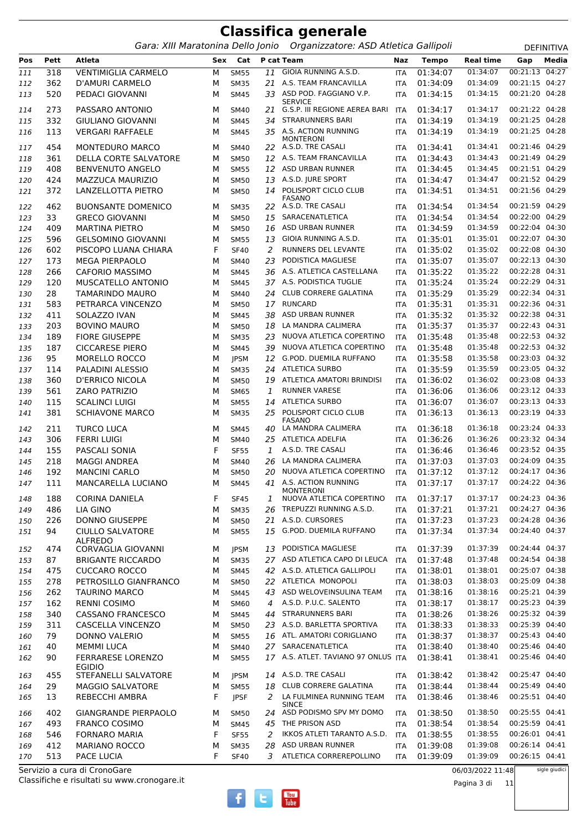|            |            |                                                 |        |                            |          | <b>Classifica generale</b><br>Gara: XIII Maratonina Dello Jonio Organizzatore: ASD Atletica Gallipoli |            |                      |                      |                                  | <b>DEFINITIVA</b> |
|------------|------------|-------------------------------------------------|--------|----------------------------|----------|-------------------------------------------------------------------------------------------------------|------------|----------------------|----------------------|----------------------------------|-------------------|
| Pos        | Pett       | Atleta                                          |        | Sex Cat                    |          | P cat Team                                                                                            | Naz        | <b>Tempo</b>         | <b>Real time</b>     | Gap                              | Media             |
| 111        | 318        | <b>VENTIMIGLIA CARMELO</b>                      | М      | <b>SM55</b>                | 11       | GIOIA RUNNING A.S.D.                                                                                  | ITA        | 01:34:07             | 01:34:07             | 00:21:13 04:27                   |                   |
| 112        | 362        | D'AMURI CARMELO                                 | М      | <b>SM35</b>                | 21       | A.S. TEAM FRANCAVILLA                                                                                 | ITA        | 01:34:09             | 01:34:09             | 00:21:15 04:27                   |                   |
| 113        | 520        | PEDACI GIOVANNI                                 | M      | <b>SM45</b>                |          | 33 ASD POD. FAGGIANO V.P.<br><b>SERVICE</b>                                                           | <b>ITA</b> | 01:34:15             | 01:34:15             | 00:21:20 04:28                   |                   |
| 114        | 273        | PASSARO ANTONIO                                 | М      | <b>SM40</b>                | 21       | G.S.P. III REGIONE AEREA BARI                                                                         | <b>ITA</b> | 01:34:17             | 01:34:17             | 00:21:22 04:28                   |                   |
| 115        | 332        | <b>GIULIANO GIOVANNI</b>                        | М      | <b>SM45</b>                | 34       | <b>STRARUNNERS BARI</b>                                                                               | ITA        | 01:34:19             | 01:34:19             | 00:21:25 04:28                   |                   |
| 116        | 113        | <b>VERGARI RAFFAELE</b>                         | м      | <b>SM45</b>                |          | 35 A.S. ACTION RUNNING<br><b>MONTERONI</b>                                                            | <b>ITA</b> | 01:34:19             | 01:34:19             | 00:21:25 04:28                   |                   |
| 117        | 454        | <b>MONTEDURO MARCO</b>                          | М      | <b>SM40</b>                |          | 22 A.S.D. TRE CASALI                                                                                  | <b>ITA</b> | 01:34:41             | 01:34:41             | 00:21:46 04:29                   |                   |
| 118        | 361        | DELLA CORTE SALVATORE                           | М      | <b>SM50</b>                |          | 12 A.S. TEAM FRANCAVILLA                                                                              | ITA        | 01:34:43             | 01:34:43             | 00:21:49 04:29                   |                   |
| 119        | 408        | <b>BENVENUTO ANGELO</b>                         | М      | <b>SM55</b>                |          | 12 ASD URBAN RUNNER                                                                                   | ITA        | 01:34:45             | 01:34:45             | 00:21:51 04:29                   |                   |
| 120        | 424        | MAZZUCA MAURIZIO                                | М      | <b>SM50</b>                |          | 13 A.S.D. JURE SPORT                                                                                  | ITA        | 01:34:47             | 01:34:47             | 00:21:52 04:29                   |                   |
| 121        | 372        | LANZELLOTTA PIETRO                              | м      | <b>SM50</b>                |          | 14 POLISPORT CICLO CLUB<br>FASANO                                                                     | ITA        | 01:34:51             | 01:34:51             | 00:21:56 04:29                   |                   |
| 122        | 462        | <b>BUONSANTE DOMENICO</b>                       | М      | <b>SM35</b>                |          | 22 A.S.D. TRE CASALI                                                                                  | <b>ITA</b> | 01:34:54             | 01:34:54             | 00:21:59 04:29                   |                   |
| 123        | 33         | <b>GRECO GIOVANNI</b>                           | М      | <b>SM50</b>                | 15       | SARACENATLETICA                                                                                       | ITA        | 01:34:54             | 01:34:54             | 00:22:00 04:29                   |                   |
| 124        | 409        | <b>MARTINA PIETRO</b>                           | М      | <b>SM50</b>                | 16       | ASD URBAN RUNNER                                                                                      | <b>ITA</b> | 01:34:59             | 01:34:59             | 00:22:04 04:30                   |                   |
| 125        | 596        | <b>GELSOMINO GIOVANNI</b>                       | М      | <b>SM55</b>                | 13       | GIOIA RUNNING A.S.D.                                                                                  | ITA        | 01:35:01             | 01:35:01             | 00:22:07 04:30<br>00:22:08 04:30 |                   |
| 126        | 602        | PISCOPO LUANA CHIARA                            | F      | <b>SF40</b>                | 2        | RUNNERS DEL LEVANTE                                                                                   | ITA        | 01:35:02             | 01:35:02             |                                  |                   |
| 127        | 173        | <b>MEGA PIERPAOLO</b>                           | М      | <b>SM40</b>                | 23       | PODISTICA MAGLIESE                                                                                    | ITA        | 01:35:07             | 01:35:07<br>01:35:22 | 00:22:13 04:30<br>00:22:28 04:31 |                   |
| 128        | 266        | <b>CAFORIO MASSIMO</b>                          | М      | <b>SM45</b>                |          | 36 A.S. ATLETICA CASTELLANA                                                                           | ITA        | 01:35:22             |                      | 00:22:29 04:31                   |                   |
| 129        | 120        | MUSCATELLO ANTONIO                              | М      | <b>SM45</b>                |          | 37 A.S. PODISTICA TUGLIE                                                                              | ITA        | 01:35:24             | 01:35:24             | 00:22:34 04:31                   |                   |
| 130        | 28         | <b>TAMARINDO MAURO</b>                          | М      | <b>SM40</b>                | 24       | <b>CLUB CORRERE GALATINA</b><br><b>RUNCARD</b>                                                        | <b>ITA</b> | 01:35:29             | 01:35:29<br>01:35:31 | 00:22:36 04:31                   |                   |
| 131        | 583        | PETRARCA VINCENZO                               | М      | <b>SM50</b>                | 17       | ASD URBAN RUNNER                                                                                      | ITA        | 01:35:31             | 01:35:32             | 00:22:38 04:31                   |                   |
| 132        | 411        | SOLAZZO IVAN                                    | М      | <b>SM45</b>                | 38       | LA MANDRA CALIMERA                                                                                    | ITA        | 01:35:32<br>01:35:37 | 01:35:37             | 00:22:43 04:31                   |                   |
| 133        | 203        | <b>BOVINO MAURO</b>                             | М      | <b>SM50</b>                | 18       | NUOVA ATLETICA COPERTINO                                                                              | ITA        |                      | 01:35:48             | 00:22:53 04:32                   |                   |
| 134        | 189<br>187 | <b>FIORE GIUSEPPE</b><br><b>CICCARESE PIERO</b> | М      | <b>SM35</b>                | 23<br>39 | NUOVA ATLETICA COPERTINO                                                                              | ITA        | 01:35:48<br>01:35:48 | 01:35:48             | 00:22:53 04:32                   |                   |
| 135        | 95         | MORELLO ROCCO                                   | М      | <b>SM45</b>                | 12       | G.POD. DUEMILA RUFFANO                                                                                | ITA        | 01:35:58             | 01:35:58             | 00:23:03 04:32                   |                   |
| 136        |            | PALADINI ALESSIO                                | М      | <b>JPSM</b>                |          | <b>ATLETICA SURBO</b>                                                                                 | ITA        | 01:35:59             | 01:35:59             | 00:23:05 04:32                   |                   |
| 137        | 114<br>360 | <b>D'ERRICO NICOLA</b>                          | М      | <b>SM35</b><br><b>SM50</b> | 24<br>19 | ATLETICA AMATORI BRINDISI                                                                             | ITA        | 01:36:02             | 01:36:02             | 00:23:08 04:33                   |                   |
| 138        | 561        | ZARO PATRIZIO                                   | М<br>М | <b>SM65</b>                | 1        | <b>RUNNER VARESE</b>                                                                                  | <b>ITA</b> | 01:36:06             | 01:36:06             | 00:23:12 04:33                   |                   |
| 139        | 115        | <b>SCALINCI LUIGI</b>                           | М      | <b>SM55</b>                | 14       | <b>ATLETICA SURBO</b>                                                                                 | ITA<br>ITA | 01:36:07             | 01:36:07             | 00:23:13 04:33                   |                   |
| 140<br>141 | 381        | <b>SCHIAVONE MARCO</b>                          | М      | <b>SM35</b>                | 25       | POLISPORT CICLO CLUB                                                                                  | ITA        | 01:36:13             | 01:36:13             | 00:23:19 04:33                   |                   |
| 142        | 211        | <b>TURCO LUCA</b>                               | М      | <b>SM45</b>                | 40       | FASANO<br>LA MANDRA CALIMERA                                                                          | <b>ITA</b> | 01:36:18             | 01:36:18             | 00:23:24 04:33                   |                   |
| 143        | 306        | <b>FERRI LUIGI</b>                              | М      | <b>SM40</b>                |          | 25 ATLETICA ADELFIA                                                                                   | ITA        | 01:36:26             | 01:36:26             | 00:23:32 04:34                   |                   |
| 144        | 155        | PASCALI SONIA                                   | F      | <b>SF55</b>                | 1        | A.S.D. TRE CASALI                                                                                     | <b>ITA</b> | 01:36:46             | 01:36:46             | 00:23:52 04:35                   |                   |
| 145        | 218        | <b>MAGGI ANDREA</b>                             | М      | <b>SM40</b>                | 26       | LA MANDRA CALIMERA                                                                                    | <b>ITA</b> | 01:37:03             | 01:37:03             | 00:24:09 04:35                   |                   |
| 146        | 192        | <b>MANCINI CARLO</b>                            | М      | <b>SM50</b>                | 20       | NUOVA ATLETICA COPERTINO                                                                              | ITA        | 01:37:12             | 01:37:12             | 00:24:17 04:36                   |                   |
| 147        | 111        | MANCARELLA LUCIANO                              | М      | <b>SM45</b>                |          | 41 A.S. ACTION RUNNING<br><b>MONTERONI</b>                                                            | <b>ITA</b> | 01:37:17             | 01:37:17             | 00:24:22 04:36                   |                   |
| 148        | 188        | CORINA DANIELA                                  | F      | <b>SF45</b>                | 1        | NUOVA ATLETICA COPERTINO                                                                              | ITA        | 01:37:17             | 01:37:17             | 00:24:23 04:36                   |                   |
| 149        | 486        | <b>LIA GINO</b>                                 | М      | <b>SM35</b>                | 26       | TREPUZZI RUNNING A.S.D.                                                                               | ITA        | 01:37:21             | 01:37:21             | 00:24:27 04:36                   |                   |
| 150        | 226        | <b>DONNO GIUSEPPE</b>                           | М      | <b>SM50</b>                |          | 21 A.S.D. CURSORES                                                                                    | ITA        | 01:37:23             | 01:37:23             | 00:24:28 04:36                   |                   |
| 151        | 94         | <b>CIULLO SALVATORE</b><br><b>ALFREDO</b>       | М      | <b>SM55</b>                |          | 15 G.POD. DUEMILA RUFFANO                                                                             | ITA        | 01:37:34             | 01:37:34             | 00:24:40 04:37                   |                   |
| 152        | 474        | <b>CORVAGLIA GIOVANNI</b>                       | М      | <b>JPSM</b>                | 13       | PODISTICA MAGLIESE                                                                                    | ITA        | 01:37:39             | 01:37:39             | 00:24:44 04:37                   |                   |
| 153        | 87         | <b>BRIGANTE RICCARDO</b>                        | М      | <b>SM35</b>                |          | 27 ASD ATLETICA CAPO DI LEUCA                                                                         | ITA        | 01:37:48             | 01:37:48             | 00:24:54 04:38                   |                   |
| 154        | 475        | <b>CUCCARO ROCCO</b>                            | М      | <b>SM45</b>                |          | 42 A.S.D. ATLETICA GALLIPOLI                                                                          | ITA        | 01:38:01             | 01:38:01             | 00:25:07 04:38                   |                   |
| 155        | 278        | PETROSILLO GIANFRANCO                           | М      | <b>SM50</b>                |          | 22 ATLETICA MONOPOLI                                                                                  | ITA        | 01:38:03             | 01:38:03             | 00:25:09 04:38                   |                   |
| 156        | 262        | <b>TAURINO MARCO</b>                            | М      | <b>SM45</b>                |          | 43 ASD WELOVEINSULINA TEAM                                                                            | ITA        | 01:38:16             | 01:38:16             | 00:25:21 04:39                   |                   |
| 157        | 162        | <b>RENNI COSIMO</b>                             | М      | SM60                       |          | 4 A.S.D. P.U.C. SALENTO                                                                               | ITA        | 01:38:17             | 01:38:17             | 00:25:23 04:39                   |                   |
| 158        | 340        | CASSANO FRANCESCO                               | М      | <b>SM45</b>                |          | 44 STRARUNNERS BARI                                                                                   | ITA        | 01:38:26             | 01:38:26             | 00:25:32 04:39                   |                   |
| 159        | 311        | CASCELLA VINCENZO                               | М      | <b>SM50</b>                |          | 23 A.S.D. BARLETTA SPORTIVA                                                                           | ITA        | 01:38:33             | 01:38:33             | 00:25:39 04:40                   |                   |
| 160        | 79         | DONNO VALERIO                                   | М      | <b>SM55</b>                |          | 16 ATL. AMATORI CORIGLIANO                                                                            | ITA        | 01:38:37             | 01:38:37             | 00:25:43 04:40                   |                   |
| 161        | 40         | <b>MEMMI LUCA</b>                               | м      | SM40                       |          | 27 SARACENATLETICA                                                                                    | ITA        | 01:38:40             | 01:38:40             | 00:25:46 04:40                   |                   |
| 162        | 90         | <b>FERRARESE LORENZO</b><br><b>EGIDIO</b>       | М      | <b>SM55</b>                |          | 17 A.S. ATLET. TAVIANO 97 ONLUS ITA                                                                   |            | 01:38:41             | 01:38:41             | 00:25:46 04:40                   |                   |
| 163        | 455        | STEFANELLI SALVATORE                            | М      | <b>JPSM</b>                |          | 14 A.S.D. TRE CASALI                                                                                  | ITA        | 01:38:42             | 01:38:42             | 00:25:47 04:40                   |                   |
| 164<br>165 | 29<br>13   | <b>MAGGIO SALVATORE</b><br>REBECCHI AMBRA       | М<br>F | <b>SM55</b><br><b>JPSF</b> | 2        | 18 CLUB CORRERE GALATINA<br>LA FULMINEA RUNNING TEAM<br><b>SINCE</b>                                  | ITA<br>ITA | 01:38:44<br>01:38:46 | 01:38:44<br>01:38:46 | 00:25:49 04:40<br>00:25:51 04:40 |                   |

06/03/2022 11:48

Pagina 3 di 11

sigle giudici





 402 GIANGRANDE PIERPAOLO M SM50 *24* ASD PODISMO SPV MY DOMO ITA 01:38:50 01:38:50 00:25:55 04:41 493 FRANCO COSIMO M SM45 *45* THE PRISON ASD ITA 01:38:54 01:38:54 00:25:59 04:41 546 FORNARO MARIA F SF55 *2* IKKOS ATLETI TARANTO A.S.D. ITA 01:38:55 01:38:55 00:26:01 04:41 412 MARIANO ROCCO M SM35 *28* ASD URBAN RUNNER ITA 01:39:08 01:39:08 00:26:14 04:41 513 PACE LUCIA F SF40 *3* ATLETICA CORREREPOLLINO ITA 01:39:09 01:39:09 00:26:15 04:41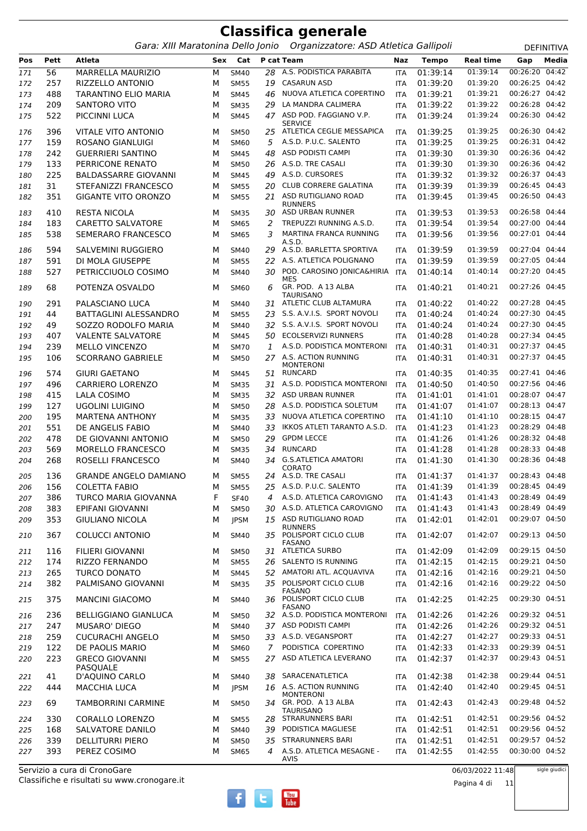Gara: XIII Maratonina Dello Jonio Organizzatore: ASD Atletica Gallipoli **DEFINITIVA** 

**Pos Pett Atleta Sex Cat P cat Team Naz Tempo Real time Gap Media** 56 MARRELLA MAURIZIO M SM40 *28* A.S. PODISTICA PARABITA ITA 01:39:14 01:39:14 00:26:20 04:42 257 RIZZELLO ANTONIO M SM55 *19* CASARUN ASD ITA 01:39:20 01:39:20 00:26:25 04:42 488 TARANTINO ELIO MARIA M SM45 *46* NUOVA ATLETICA COPERTINO ITA 01:39:21 01:39:21 00:26:27 04:42 209 SANTORO VITO M SM35 *29* LA MANDRA CALIMERA ITA 01:39:22 01:39:22 00:26:28 04:42 522 PICCINNI I UCA M SM45 47 ASD POD. FAGGIANO V.P. **SERVICE**  *47* ITA 01:39:24 01:39:24 00:26:30 04:42 396 VITALE VITO ANTONIO M SM50 *25* ATLETICA CEGLIE MESSAPICA ITA 01:39:25 01:39:25 00:26:30 04:42 159 ROSANO GIANLUIGI M SM60 *5* A.S.D. P.U.C. SALENTO ITA 01:39:25 01:39:25 00:26:31 04:42 242 GUERRIERI SANTINO M SM45 *48* ASD PODISTI CAMPI ITA 01:39:30 01:39:30 00:26:36 04:42 133 PERRICONE RENATO M SM50 *26* A.S.D. TRE CASALI ITA 01:39:30 01:39:30 00:26:36 04:42 225 BALDASSARRE GIOVANNI M SM45 *49* A.S.D. CURSORES ITA 01:39:32 01:39:32 00:26:37 04:43 31 STEFANIZZI FRANCESCO M SM55 *20* CLUB CORRERE GALATINA ITA 01:39:39 01:39:39 00:26:45 04:43 GIGANTE VITO ORONZO M SM55 ASD RUTIGLIANO ROAD *21* ITA 01:39:45 01:39:45 00:26:50 04:43 RUNNERS<br>ASD URBAN RUNNER 410 RESTA NICOLA M SM35 *30* ASD URBAN RUNNER ITA 01:39:53 01:39:53 00:26:58 04:44 183 CARETTO SALVATORE M SM65 *2* TREPUZZI RUNNING A.S.D. ITA 01:39:54 01:39:54 00:27:00 04:44 SEMERARO FRANCESCO M SM65 MARTINA FRANCA RUNNING *3* ITA 01:39:56 01:39:56 00:27:01 04:44 A.S.D. 594 SALVEMINI RUGGIERO M SM40 *29* A.S.D. BARLETTA SPORTIVA ITA 01:39:59 01:39:59 00:27:04 04:44 591 DI MOLA GIUSEPPE M SM55 *22* A.S. ATLETICA POLIGNANO ITA 01:39:59 01:39:59 00:27:05 04:44 PETRICCIUOLO COSIMO M SM40 POD. CAROSINO JONICA&HIRIA *30* ITA 01:40:14 01:40:14 00:27:20 04:45 MES<br>GR. POD. A 13 ALBA POTENZA OSVALDO M SM60 GR. POD. A 13 ALBA *6* ITA 01:40:21 01:40:21 00:27:26 04:45 **TAURISANO**  291 PALASCIANO LUCA M SM40 *31* ATLETIC CLUB ALTAMURA ITA 01:40:22 01:40:22 00:27:28 04:45 44 BATTAGLINI ALESSANDRO M SM55 *23* S.S. A.V.I.S. SPORT NOVOLI ITA 01:40:24 01:40:24 00:27:30 04:45 49 SOZZO RODOLFO MARIA M SM40 *32* S.S. A.V.I.S. SPORT NOVOLI ITA 01:40:24 01:40:24 00:27:30 04:45 407 VALENTE SALVATORE M SM45 *50* ECOLSERVIZI RUNNERS ITA 01:40:28 01:40:28 00:27:34 04:45 239 MELLO VINCENZO M SM70 *1* A.S.D. PODISTICA MONTERONI ITA 01:40:31 01:40:31 00:27:37 04:45 SCORRANO GABRIELE M SM50 A.S. ACTION RUNNING *27* ITA 01:40:31 01:40:31 00:27:37 04:45 MONTERONI<br>RUNCARD 574 GIURI GAETANO M SM45 *51* RUNCARD ITA 01:40:35 01:40:35 00:27:41 04:46 496 CARRIERO LORENZO M SM35 *31* A.S.D. PODISTICA MONTERONI ITA 01:40:50 01:40:50 00:27:56 04:46 415 LALA COSIMO M SM35 *32* ASD URBAN RUNNER ITA 01:41:01 01:41:01 00:28:07 04:47 127 UGOLINI LUIGINO M SM50 *28* A.S.D. PODISTICA SOLETUM ITA 01:41:07 01:41:07 00:28:13 04:47 195 MARTENA ANTHONY M SM35 *33* NUOVA ATLETICA COPERTINO ITA 01:41:10 01:41:10 00:28:15 04:47 551 DE ANGELIS FABIO M SM40 *33* IKKOS ATLETI TARANTO A.S.D. ITA 01:41:23 01:41:23 00:28:29 04:48 478 DE GIOVANNI ANTONIO M SM50 *29* GPDM LECCE ITA 01:41:26 01:41:26 00:28:32 04:48 569 MORELLO FRANCESCO M SM35 *34* RUNCARD ITA 01:41:28 01:41:28 00:28:33 04:48 ROSELLI FRANCESCO M SM40 G.S.ATLETICA AMATORI *34* ITA 01:41:30 01:41:30 00:28:36 04:48 CORATO<br>A.S.D. TRE CASALI 136 GRANDE ANGELO DAMIANO M SM55 *24* A.S.D. TRE CASALI ITA 01:41:37 01:41:37 00:28:43 04:48 156 COLETTA FABIO M SM55 *25* A.S.D. P.U.C. SALENTO ITA 01:41:39 01:41:39 00:28:45 04:49 386 TURCO MARIA GIOVANNA F SF40 *4* A.S.D. ATLETICA CAROVIGNO ITA 01:41:43 01:41:43 00:28:49 04:49 383 EPIFANI GIOVANNI M SM50 *30* A.S.D. ATLETICA CAROVIGNO ITA 01:41:43 01:41:43 00:28:49 04:49 GIULIANO NICOLA M JPSM ASD RUTIGLIANO ROAD *15* ITA 01:42:01 01:42:01 00:29:07 04:50 **RUNNERS**  COLUCCI ANTONIO M SM40 POLISPORT CICLO CLUB *35* ITA 01:42:07 01:42:07 00:29:13 04:50 FASANO 116 FILIERI GIOVANNI M SM50 *31* ATLETICA SURBO ITA 01:42:09 01:42:09 00:29:15 04:50 174 RIZZO FERNANDO M SM55 *26* SALENTO IS RUNNING ITA 01:42:15 01:42:15 00:29:21 04:50 265 TURCO DONATO M SM45 *52* AMATORI ATL. ACQUAVIVA ITA 01:42:16 01:42:16 00:29:21 04:50 PALMISANO GIOVANNI M SM35 POLISPORT CICLO CLUB *35* ITA 01:42:16 01:42:16 00:29:22 04:50 FASANO<br>POLISPORT CICLO CLUB MANCINI GIACOMO M SM40 POLISPORT CICLO CLUB *36* ITA 01:42:25 01:42:25 00:29:30 04:51 FASANO<br>A.S.D. PODISTICA MONTERONI 236 BELLIGGIANO GIANLUCA M SM50 *32* A.S.D. PODISTICA MONTERONI ITA 01:42:26 01:42:26 00:29:32 04:51 247 MUSARO' DIEGO M SM40 *37* ASD PODISTI CAMPI ITA 01:42:26 01:42:26 00:29:32 04:51 259 CUCURACHI ANGELO M SM50 *33* A.S.D. VEGANSPORT ITA 01:42:27 01:42:27 00:29:33 04:51 122 DE PAOLIS MARIO M SM60 *7* PODISTICA COPERTINO ITA 01:42:33 01:42:33 00:29:39 04:51 GRECO GIOVANNI PASQUALE<br>D'AQUINO CARLO M SM55 *27* ASD ATLETICA LEVERANO ITA 01:42:37 01:42:37 00:29:43 04:51 41 D'AQUINO CARLO M SM40 *38* SARACENATLETICA ITA 01:42:38 01:42:38 00:29:44 04:51 444 MACCHIA LUCA M IPSM 16 A.S. ACTION RUNNING MONTERONI<br>GR. POD. A 13 ALBA *16* ITA 01:42:40 01:42:40 00:29:45 04:51 TAMBORRINI CARMINE M SM50 GR. POD. A 13 ALBA *34* ITA 01:42:43 01:42:43 00:29:48 04:52 TAURISANO<br>STRARUNNERS BARI 330 CORALLO LORENZO M SM55 *28* STRARUNNERS BARI ITA 01:42:51 01:42:51 00:29:56 04:52 168 SALVATORE DANILO M SM40 *39* PODISTICA MAGLIESE ITA 01:42:51 01:42:51 00:29:56 04:52 339 DELLITURRI PIERO M SM50 *35* STRARUNNERS BARI ITA 01:42:51 01:42:51 00:29:57 04:52 PEREZ COSIMO M SM65 A.S.D. ATLETICA MESAGNE - *4* ITA 01:42:55 01:42:55 00:30:00 04:52 AVIS

Classifiche e risultati su www.cronogare.it Servizio a cura di CronoGare

06/03/2022 11:48

sigle giudici

 $\frac{\gamma_{\text{ou}}}{\text{Inhe}}$ 

Pagina 4 di 11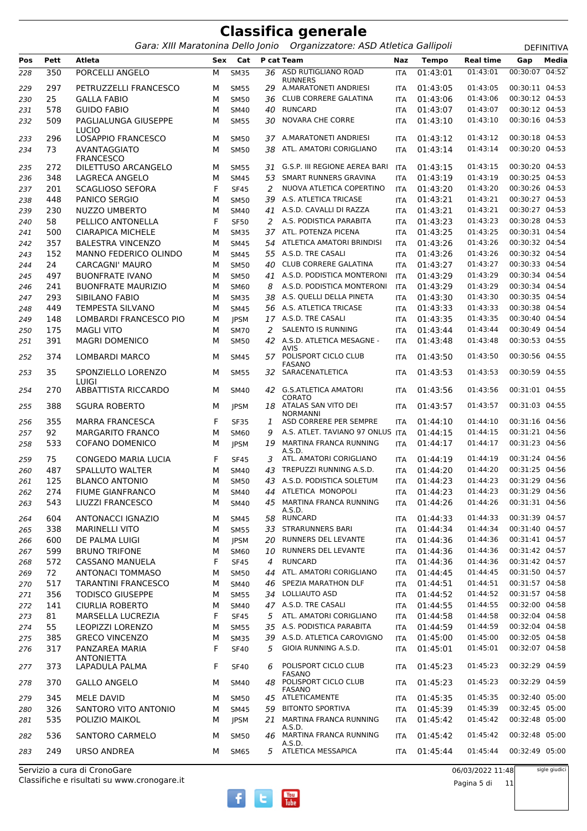|            |            | Gara: XIII Maratonina Dello Jonio            |        |                            |          | Organizzatore: ASD Atletica Gallipoli                            |                          |                      |                      |                                  | DEFINITIVA |
|------------|------------|----------------------------------------------|--------|----------------------------|----------|------------------------------------------------------------------|--------------------------|----------------------|----------------------|----------------------------------|------------|
| Pos        | Pett       | <b>Atleta</b>                                |        | Sex Cat                    |          | P cat Team                                                       | Naz                      | <b>Tempo</b>         | <b>Real time</b>     | Gap                              | Media      |
| 228        | 350        | PORCELLI ANGELO                              | M      | <b>SM35</b>                |          | 36 ASD RUTIGLIANO ROAD<br><b>RUNNERS</b>                         | <b>ITA</b>               | 01:43:01             | 01:43:01             | 00:30:07                         | 04:52      |
| 229        | 297        | PETRUZZELLI FRANCESCO                        | м      | <b>SM55</b>                | 29       | A.MARATONETI ANDRIESI                                            | <b>ITA</b>               | 01:43:05             | 01:43:05             | 00:30:11 04:53                   |            |
| 230        | 25         | <b>GALLA FABIO</b>                           | м      | <b>SM50</b>                | 36       | <b>CLUB CORRERE GALATINA</b>                                     | <b>ITA</b>               | 01:43:06             | 01:43:06             | 00:30:12 04:53                   |            |
| 231        | 578        | <b>GUIDO FABIO</b>                           | М      | <b>SM40</b>                | 40       | <b>RUNCARD</b>                                                   | <b>ITA</b>               | 01:43:07             | 01:43:07             | 00:30:12 04:53                   |            |
| 232        | 509        | PAGLIALUNGA GIUSEPPE<br><b>LUCIO</b>         | M      | <b>SM55</b>                | 30       | <b>NOVARA CHE CORRE</b>                                          | <b>ITA</b>               | 01:43:10             | 01:43:10             | 00:30:16 04:53                   |            |
| 233        | 296        | LOSAPPIO FRANCESCO                           | м      | <b>SM50</b>                |          | 37 A.MARATONETI ANDRIESI                                         | <b>ITA</b>               | 01:43:12             | 01:43:12             | 00:30:18 04:53                   |            |
| 234        | 73         | AVANTAGGIATO<br><b>FRANCESCO</b>             | м      | <b>SM50</b>                | 38       | ATL. AMATORI CORIGLIANO                                          | <b>ITA</b>               | 01:43:14             | 01:43:14             | 00:30:20 04:53                   |            |
| 235        | 272        | DILETTUSO ARCANGELO                          | М      | <b>SM55</b>                | 31       | G.S.P. III REGIONE AEREA BARI                                    | ITA                      | 01:43:15             | 01:43:15             | 00:30:20 04:53                   |            |
| 236        | 348        | <b>LAGRECA ANGELO</b>                        | M      | <b>SM45</b>                | 53       | SMART RUNNERS GRAVINA                                            | <b>ITA</b>               | 01:43:19             | 01:43:19             | 00:30:25 04:53                   |            |
| 237        | 201        | <b>SCAGLIOSO SEFORA</b>                      | F      | <b>SF45</b>                | 2        | NUOVA ATLETICA COPERTINO                                         | <b>ITA</b>               | 01:43:20             | 01:43:20             | 00:30:26 04:53                   |            |
| 238        | 448        | PANICO SERGIO                                | M      | <b>SM50</b>                | 39       | A.S. ATLETICA TRICASE                                            | <b>ITA</b>               | 01:43:21             | 01:43:21             | 00:30:27 04:53                   |            |
| 239        | 230        | NUZZO UMBERTO                                | M      | <b>SM40</b>                |          | 41 A.S.D. CAVALLI DI RAZZA                                       | <b>ITA</b>               | 01:43:21             | 01:43:21             | 00:30:27 04:53                   |            |
| 240        | 58         | PELLICO ANTONELLA                            | F      | <b>SF50</b>                | 2        | A.S. PODISTICA PARABITA                                          | <b>ITA</b>               | 01:43:23             | 01:43:23             | 00:30:28 04:53                   |            |
| 241        | 500        | <b>CIARAPICA MICHELE</b>                     | М      | <b>SM35</b>                |          | 37 ATL. POTENZA PICENA                                           | <b>ITA</b>               | 01:43:25             | 01:43:25             | 00:30:31 04:54                   |            |
| 242        | 357        | <b>BALESTRA VINCENZO</b>                     | м      | <b>SM45</b>                | 54       | ATLETICA AMATORI BRINDISI                                        | <b>ITA</b>               | 01:43:26             | 01:43:26             | 00:30:32 04:54                   |            |
| 243        | 152        | MANNO FEDERICO OLINDO                        | M      | <b>SM45</b>                |          | 55 A.S.D. TRE CASALI                                             | <b>ITA</b>               | 01:43:26             | 01:43:26             | 00:30:32 04:54                   |            |
| 244        | 24         | <b>CARCAGNI' MAURO</b>                       | м      | <b>SM50</b>                | 40       | <b>CLUB CORRERE GALATINA</b>                                     | <b>ITA</b>               | 01:43:27             | 01:43:27             | 00:30:33 04:54                   |            |
| 245        | 497        | <b>BUONFRATE IVANO</b>                       | M      | <b>SM50</b>                | 41       | A.S.D. PODISTICA MONTERONI                                       | <b>ITA</b>               | 01:43:29             | 01:43:29             | 00:30:34 04:54                   |            |
| 246        | 241        | <b>BUONFRATE MAURIZIO</b>                    | M      | SM60                       | 8        | A.S.D. PODISTICA MONTERONI                                       | <b>ITA</b>               | 01:43:29             | 01:43:29             | 00:30:34 04:54                   |            |
| 247        | 293        | SIBILANO FABIO                               | М      | <b>SM35</b>                |          | 38 A.S. QUELLI DELLA PINETA                                      | <b>ITA</b>               | 01:43:30             | 01:43:30             | 00:30:35 04:54                   |            |
| 248        | 449        | TEMPESTA SILVANO                             | м      | <b>SM45</b>                |          | 56 A.S. ATLETICA TRICASE                                         | <b>ITA</b>               | 01:43:33             | 01:43:33             | 00:30:38 04:54                   |            |
| 249        | 148        | LOMBARDI FRANCESCO PIO                       | M      | <b>JPSM</b>                |          | 17 A.S.D. TRE CASALI                                             | <b>ITA</b>               | 01:43:35             | 01:43:35             | 00:30:40 04:54                   |            |
| 250        | 175        | <b>MAGLI VITO</b>                            | м      | <b>SM70</b>                | 2        | <b>SALENTO IS RUNNING</b>                                        | <b>ITA</b>               | 01:43:44             | 01:43:44             | 00:30:49 04:54                   |            |
| 251        | 391        | <b>MAGRI DOMENICO</b>                        | M      | <b>SM50</b>                |          | 42 A.S.D. ATLETICA MESAGNE -                                     | <b>ITA</b>               | 01:43:48             | 01:43:48             | 00:30:53 04:55                   |            |
| 252        | 374        | LOMBARDI MARCO                               | м      | <b>SM45</b>                |          | AVIS<br>57 POLISPORT CICLO CLUB<br><b>FASANO</b>                 | <b>ITA</b>               | 01:43:50             | 01:43:50             | 00:30:56 04:55                   |            |
| 253        | 35         | SPONZIELLO LORENZO<br>LUIGI                  | м      | <b>SM55</b>                | 32       | SARACENATLETICA                                                  | <b>ITA</b>               | 01:43:53             | 01:43:53             | 00:30:59 04:55                   |            |
| 254        | 270        | ABBATTISTA RICCARDO                          | м      | <b>SM40</b>                | 42       | <b>G.S.ATLETICA AMATORI</b><br>CORATO                            | <b>ITA</b>               | 01:43:56             | 01:43:56             | 00:31:01 04:55                   |            |
| 255        | 388        | <b>SGURA ROBERTO</b>                         | м      | <b>JPSM</b>                |          | 18 ATALAS SAN VITO DEI<br><b>NORMANNI</b>                        | <b>ITA</b>               | 01:43:57             | 01:43:57             | 00:31:03 04:55                   |            |
| 256        | 355        | <b>MARRA FRANCESCA</b>                       | F      | <b>SF35</b>                | 1        | ASD CORRERE PER SEMPRE                                           | <b>ITA</b>               | 01:44:10             | 01:44:10             | 00:31:16 04:56                   |            |
| 257        | 92         | <b>MARGARITO FRANCO</b>                      | M      | SM60                       | 9        | A.S. ATLET. TAVIANO 97 ONLUS ITA                                 |                          | 01:44:15             | 01:44:15             | 00:31:21 04:56                   |            |
| 258        | 533        | <b>COFANO DOMENICO</b>                       | M      | <b>JPSM</b>                | 19       | MARTINA FRANCA RUNNING<br>A.S.D.                                 | <b>ITA</b>               | 01:44:17             | 01:44:17             | 00:31:23 04:56                   |            |
| 259        | 75         | CONGEDO MARIA LUCIA                          | F      | <b>SF45</b>                | 3        | ATL. AMATORI CORIGLIANO                                          | <b>ITA</b>               | 01:44:19             | 01:44:19             | 00:31:24 04:56                   |            |
| 260        | 487        | SPALLUTO WALTER                              | M      | <b>SM40</b>                | 43       | TREPUZZI RUNNING A.S.D.                                          | <b>ITA</b>               | 01:44:20             | 01:44:20             | 00:31:25 04:56                   |            |
| 261        | 125        | <b>BLANCO ANTONIO</b>                        | М      | <b>SM50</b>                |          | 43 A.S.D. PODISTICA SOLETUM                                      | <b>ITA</b>               | 01:44:23             | 01:44:23             | 00:31:29 04:56                   |            |
| 262        | 274        | FIUME GIANFRANCO                             | М      | <b>SM40</b>                | 44       | ATLETICA MONOPOLI                                                | <b>ITA</b>               | 01:44:23             | 01:44:23             | 00:31:29 04:56                   |            |
| 263<br>264 | 543<br>604 | LIUZZI FRANCESCO<br><b>ANTONACCI IGNAZIO</b> | М<br>м | <b>SM40</b><br><b>SM45</b> | 45<br>58 | <b>MARTINA FRANCA RUNNING</b><br>A.S.D.<br><b>RUNCARD</b>        | ITA<br>ITA               | 01:44:26<br>01:44:33 | 01:44:26<br>01:44:33 | 00:31:31 04:56<br>00:31:39 04:57 |            |
| 265        | 338        | <b>MARINELLI VITO</b>                        | М      | <b>SM55</b>                | 33       | STRARUNNERS BARI                                                 | <b>ITA</b>               | 01:44:34             | 01:44:34             | 00:31:40 04:57                   |            |
| 266        | 600        | DE PALMA LUIGI                               | М      | <b>JPSM</b>                |          | 20 RUNNERS DEL LEVANTE                                           | <b>ITA</b>               | 01:44:36             | 01:44:36             | 00:31:41 04:57                   |            |
|            | 599        | <b>BRUNO TRIFONE</b>                         |        |                            | 10       | RUNNERS DEL LEVANTE                                              |                          | 01:44:36             | 01:44:36             | 00:31:42 04:57                   |            |
| 267        | 572        |                                              | М      | SM60                       |          | <b>RUNCARD</b>                                                   | ITA                      |                      | 01:44:36             | 00:31:42 04:57                   |            |
| 268        |            | CASSANO MANUELA                              | F      | <b>SF45</b>                | 4        |                                                                  | ITA                      | 01:44:36             |                      | 00:31:50 04:57                   |            |
| 269        | 72         | <b>ANTONACI TOMMASO</b>                      | М      | <b>SM50</b>                | 44       | ATL. AMATORI CORIGLIANO                                          | <b>ITA</b>               | 01:44:45             | 01:44:45             |                                  |            |
| 270        | 517        | <b>TARANTINI FRANCESCO</b>                   | М      | <b>SM40</b>                | 46       | SPEZIA MARATHON DLF                                              | ITA                      | 01:44:51             | 01:44:51             | 00:31:57 04:58                   |            |
| 271        | 356        | <b>TODISCO GIUSEPPE</b>                      | М      | <b>SM55</b>                |          | 34 LOLLIAUTO ASD                                                 | <b>ITA</b>               | 01:44:52             | 01:44:52             | 00:31:57 04:58                   |            |
| 272        | 141        | <b>CIURLIA ROBERTO</b>                       | М      | <b>SM40</b>                |          | 47 A.S.D. TRE CASALI                                             | <b>ITA</b>               | 01:44:55             | 01:44:55             | 00:32:00 04:58                   |            |
| 273        | 81         | MARSELLA LUCREZIA                            | F      | <b>SF45</b>                |          | 5 ATL. AMATORI CORIGLIANO                                        | ITA                      | 01:44:58             | 01:44:58             | 00:32:04 04:58                   |            |
| 274        | 55         | LEOPIZZI LORENZO                             | М      | <b>SM55</b>                | 35       | A.S. PODISTICA PARABITA                                          | ITA                      | 01:44:59             | 01:44:59             | 00:32:04 04:58                   |            |
| 275        | 385        | <b>GRECO VINCENZO</b>                        | М      | <b>SM35</b>                |          | 39 A.S.D. ATLETICA CAROVIGNO                                     | <b>ITA</b>               | 01:45:00             | 01:45:00             | 00:32:05 04:58                   |            |
| 276        | 317        | PANZAREA MARIA<br><b>ANTONIETTA</b>          | F      | <b>SF40</b>                | 5        | GIOIA RUNNING A.S.D.                                             | ITA                      | 01:45:01             | 01:45:01             | 00:32:07 04:58                   |            |
| 277        | 373        | LAPADULA PALMA                               | F      | <b>SF40</b>                | 6        | POLISPORT CICLO CLUB<br><b>FASANO</b><br>48 POLISPORT CICLO CLUB | <b>ITA</b>               | 01:45:23             | 01:45:23<br>01:45:23 | 00:32:29 04:59<br>00:32:29 04:59 |            |
| 278<br>279 | 370<br>345 | <b>GALLO ANGELO</b><br><b>MELE DAVID</b>     | м<br>м | <b>SM40</b><br><b>SM50</b> |          | <b>FASANO</b><br>45 ATLETICAMENTE                                | <b>ITA</b><br><b>ITA</b> | 01:45:23<br>01:45:35 | 01:45:35             | 00:32:40 05:00                   |            |
| 280        | 326        | SANTORO VITO ANTONIO                         | М      | <b>SM45</b>                | 59       | <b>BITONTO SPORTIVA</b>                                          | <b>ITA</b>               | 01:45:39             | 01:45:39             | 00:32:45 05:00                   |            |
| 281        | 535        | POLIZIO MAIKOL                               | м      | <b>JPSM</b>                |          | 21 MARTINA FRANCA RUNNING                                        | ITA                      | 01:45:42             | 01:45:42             | 00:32:48 05:00                   |            |
| 282        | 536        | SANTORO CARMELO                              | м      | <b>SM50</b>                |          | A.S.D.<br>46 MARTINA FRANCA RUNNING                              | <b>ITA</b>               | 01:45:42             | 01:45:42             | 00:32:48 05:00                   |            |
| 283        | 249        | <b>URSO ANDREA</b>                           | м      | <b>SM65</b>                | 5        | A.S.D.<br>ATLETICA MESSAPICA                                     | <b>ITA</b>               | 01:45:44             | 01:45:44             | 00:32:49 05:00                   |            |

Classifiche e risultati su www.cronogare.it Servizio a cura di CronoGare

06/03/2022 11:48 Pagina 5 di 11



sigle giudici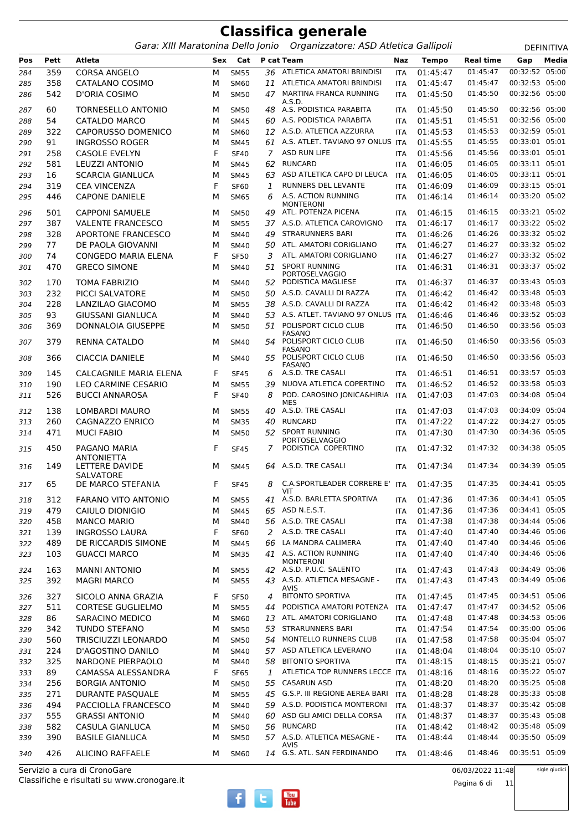Gara: XIII Maratonina Dello Jonio Organizzatore: ASD Atletica Gallipoli **DEFINITIVA** 

**Pos Pett Atleta Sex Cat P cat Team Naz Tempo Real time Gap Media** 359 CORSA ANGELO M SM55 *36* ATLETICA AMATORI BRINDISI ITA 01:45:47 01:45:47 00:32:52 05:00 358 CATALANO COSIMO M SM60 *11* ATLETICA AMATORI BRINDISI ITA 01:45:47 01:45:47 00:32:53 05:00 D'ORIA COSIMO M SM50 MARTINA FRANCA RUNNING *47* ITA 01:45:50 01:45:50 00:32:56 05:00 A.S.D.<br>A.S. PODISTICA PARARITA 60 TORNESELLO ANTONIO M SM50 *48* A.S. PODISTICA PARABITA ITA 01:45:50 01:45:50 00:32:56 05:00 54 CATALDO MARCO M SM45 *60* A.S. PODISTICA PARABITA ITA 01:45:51 01:45:51 00:32:56 05:00 322 CAPORUSSO DOMENICO M SM60 *12* A.S.D. ATLETICA AZZURRA ITA 01:45:53 01:45:53 00:32:59 05:01 91 INGROSSO ROGER M SM45 *61* A.S. ATLET. TAVIANO 97 ONLUS ITA 01:45:55 01:45:55 00:33:01 05:01 258 CASOLE EVELYN F SF40 *7* ASD RUN LIFE ITA 01:45:56 01:45:56 00:33:01 05:01 581 LEUZZI ANTONIO M SM45 *62* RUNCARD ITA 01:46:05 01:46:05 00:33:11 05:01 16 SCARCIA GIANLUCA M SM45 *63* ASD ATLETICA CAPO DI LEUCA ITA 01:46:05 01:46:05 00:33:11 05:01 319 CEA VINCENZA F SF60 *1* RUNNERS DEL LEVANTE ITA 01:46:09 01:46:09 00:33:15 05:01 CAPONE DANIELE M SM65 A.S. ACTION RUNNING *6* ITA 01:46:14 01:46:14 00:33:20 05:02 MONTERONI<br>ATL. POTENZA PICENA 501 CAPPONI SAMUELE M SM50 *49* ATL. POTENZA PICENA ITA 01:46:15 01:46:15 00:33:21 05:02 387 VALENTE FRANCESCO M SM55 *37* A.S.D. ATLETICA CAROVIGNO ITA 01:46:17 01:46:17 00:33:22 05:02 328 APORTONE FRANCESCO M SM40 *49* STRARUNNERS BARI ITA 01:46:26 01:46:26 00:33:32 05:02 77 DE PAOLA GIOVANNI M SM40 *50* ATL. AMATORI CORIGLIANO ITA 01:46:27 01:46:27 00:33:32 05:02 74 CONGEDO MARIA ELENA F SF50 *3* ATL. AMATORI CORIGLIANO ITA 01:46:27 01:46:27 00:33:32 05:02 470 GRECO SIMONE M SM40 51 SPORT RUNNING PORTOSELVAGGIO *51* ITA 01:46:31 01:46:31 00:33:37 05:02 170 TOMA FABRIZIO M SM40 *52* PODISTICA MAGLIESE ITA 01:46:37 01:46:37 00:33:43 05:03 232 PICCI SALVATORE M SM50 *50* A.S.D. CAVALLI DI RAZZA ITA 01:46:42 01:46:42 00:33:48 05:03 228 LANZILAO GIACOMO M SM55 *38* A.S.D. CAVALLI DI RAZZA ITA 01:46:42 01:46:42 00:33:48 05:03 93 GIUSSANI GIANLUCA M SM40 *53* A.S. ATLET. TAVIANO 97 ONLUS ITA 01:46:46 01:46:46 00:33:52 05:03 DONNALOIA GIUSEPPE M SM50 POLISPORT CICLO CLUB *51* ITA 01:46:50 01:46:50 00:33:56 05:03 **FASANO**  RENNA CATALDO M SM40 POLISPORT CICLO CLUB *54* ITA 01:46:50 01:46:50 00:33:56 05:03 FASANO CIACCIA DANIELE M SM40 POLISPORT CICLO CLUB *55* ITA 01:46:50 01:46:50 00:33:56 05:03 FASANO<br>A.S.D. TRE CASALI 145 CALCAGNILE MARIA ELENA F SF45 *6* A.S.D. TRE CASALI ITA 01:46:51 01:46:51 00:33:57 05:03 190 LEO CARMINE CESARIO M SM55 *39* NUOVA ATLETICA COPERTINO ITA 01:46:52 01:46:52 00:33:58 05:03 BUCCI ANNAROSA F SF40 POD. CAROSINO JONICA&HIRIA *8* ITA 01:47:03 01:47:03 00:34:08 05:04 MES<br>A.S.D. TRE CASALI 138 LOMBARDI MAURO M SM55 *40* A.S.D. TRE CASALI ITA 01:47:03 01:47:03 00:34:09 05:04 260 CAGNAZZO ENRICO M SM35 *40* RUNCARD ITA 01:47:22 01:47:22 00:34:27 05:05 471 MUCI FABIO M SM50 52 SPORT RUNNING PORTOSELVAGGIO *52* ITA 01:47:30 01:47:30 00:34:36 05:05 PAGANO MARIA **ANTONIETTA**  F SF45 *7* PODISTICA COPERTINO ITA 01:47:32 01:47:32 00:34:38 05:05 149 LETTERE DAVIDE SALVATORE<br>DE MARCO STEFANIA M SM45 *64* A.S.D. TRE CASALI ITA 01:47:34 01:47:34 00:34:39 05:05 DE MARCO STEFANIA F SF45 C.A.SPORTLEADER CORRERE E' *8* ITA 01:47:35 01:47:35 00:34:41 05:05 VIT 312 FARANO VITO ANTONIO M SM55 *41* A.S.D. BARLETTA SPORTIVA ITA 01:47:36 01:47:36 00:34:41 05:05 479 CAIULO DIONIGIO M SM45 *65* ASD N.E.S.T. ITA 01:47:36 01:47:36 00:34:41 05:05 458 MANCO MARIO M SM40 *56* A.S.D. TRE CASALI ITA 01:47:38 01:47:38 00:34:44 05:06 139 INGROSSO LAURA F SF60 *2* A.S.D. TRE CASALI ITA 01:47:40 01:47:40 00:34:46 05:06 489 DE RICCARDIS SIMONE M SM45 *66* LA MANDRA CALIMERA ITA 01:47:40 01:47:40 00:34:46 05:06 GUACCI MARCO M SM35 A.S. ACTION RUNNING *41* ITA 01:47:40 01:47:40 00:34:46 05:06 MONTERONI 163 MANNI ANTONIO M SM55 *42* A.S.D. P.U.C. SALENTO ITA 01:47:43 01:47:43 00:34:49 05:06 MAGRI MARCO M SM55 A.S.D. ATLETICA MESAGNE - *43* ITA 01:47:43 01:47:43 00:34:49 05:06 AVIS<br>BITONTO SPORTIVA 327 SICOLO ANNA GRAZIA F SF50 *4* BITONTO SPORTIVA ITA 01:47:45 01:47:45 00:34:51 05:06 511 CORTESE GUGLIELMO M SM55 *44* PODISTICA AMATORI POTENZA ITA 01:47:47 01:47:47 00:34:52 05:06 86 SARACINO MEDICO M SM60 *13* ATL. AMATORI CORIGLIANO ITA 01:47:48 01:47:48 00:34:53 05:06 342 TUNDO STEFANO M SM50 *53* STRARUNNERS BARI ITA 01:47:54 01:47:54 00:35:00 05:06 560 TRISCIUZZI LEONARDO M SM50 *54* MONTELLO RUNNERS CLUB ITA 01:47:58 01:47:58 00:35:04 05:07 224 D'AGOSTINO DANILO M SM40 *57* ASD ATLETICA LEVERANO ITA 01:48:04 01:48:04 00:35:10 05:07 325 NARDONE PIERPAOLO M SM40 *58* BITONTO SPORTIVA ITA 01:48:15 01:48:15 00:35:21 05:07 89 CAMASSA ALESSANDRA F SF65 *1* ATLETICA TOP RUNNERS LECCE ITA 01:48:16 01:48:16 00:35:22 05:07 256 BORGIA ANTONIO M SM50 *55* CASARUN ASD ITA 01:48:20 01:48:20 00:35:25 05:08 271 DURANTE PASQUALE M SM55 *45* G.S.P. III REGIONE AEREA BARI ITA 01:48:28 01:48:28 00:35:33 05:08 494 PACCIOLLA FRANCESCO M SM40 *59* A.S.D. PODISTICA MONTERONI ITA 01:48:37 01:48:37 00:35:42 05:08 555 GRASSI ANTONIO M SM40 *60* ASD GLI AMICI DELLA CORSA ITA 01:48:37 01:48:37 00:35:43 05:08 582 CASULA GIANLUCA M SM50 *56* RUNCARD ITA 01:48:42 01:48:42 00:35:48 05:09 BASILE GIANLUCA M SM50 A.S.D. ATLETICA MESAGNE - *57* ITA 01:48:44 01:48:44 00:35:50 05:09 AVIS 426 ALICINO RAFFAELE M SM60 *14* G.S. ATL. SAN FERDINANDO ITA 01:48:46 01:48:46 00:35:51 05:09

Classifiche e risultati su www.cronogare.it Servizio a cura di CronoGare

06/03/2022 11:48

Pagina 6 di 11

 $\frac{\gamma_{\text{ou}}}{\text{Inhe}}$ 

sigle giudici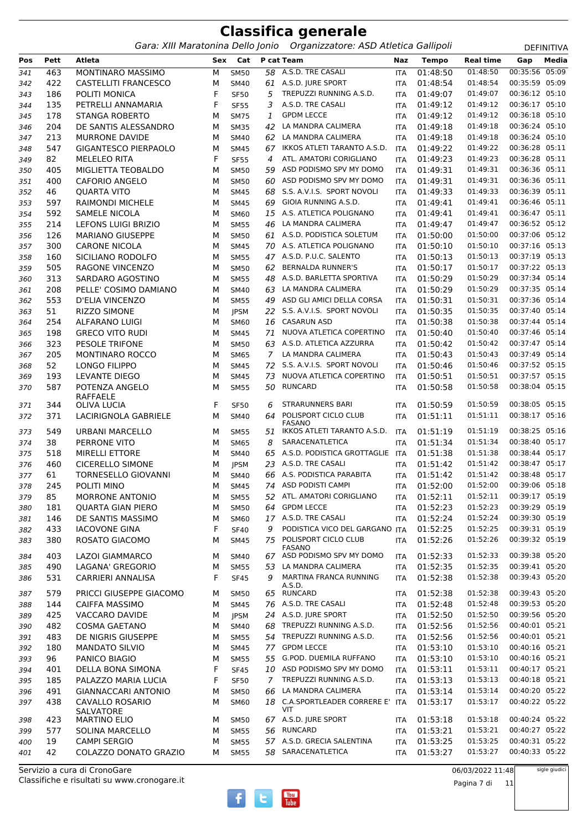*Gara: XIII Maratonina Dello Jonio Organizzatore: ASD Atletica Gallipoli* DEFINITIVA

| Pos        | Pett | Atleta                              | Sex | Cat         |                | P cat Team                               | Naz        | <b>Tempo</b> | <b>Real time</b> | Gap            | Media |
|------------|------|-------------------------------------|-----|-------------|----------------|------------------------------------------|------------|--------------|------------------|----------------|-------|
| 341        | 463  | MONTINARO MASSIMO                   | M   | <b>SM50</b> |                | 58 A.S.D. TRE CASALI                     | <b>ITA</b> | 01:48:50     | 01:48:50         | 00:35:56 05:09 |       |
| 342        | 422  | <b>CASTELLITI FRANCESCO</b>         | M   | <b>SM40</b> |                | 61 A.S.D. JURE SPORT                     | <b>ITA</b> | 01:48:54     | 01:48:54         | 00:35:59 05:09 |       |
| 343        | 186  | POLITI MONICA                       | F   | <b>SF50</b> | 5              | TREPUZZI RUNNING A.S.D.                  | <b>ITA</b> | 01:49:07     | 01:49:07         | 00:36:12 05:10 |       |
| 344        | 135  | PETRELLI ANNAMARIA                  | F   | <b>SF55</b> | 3              | A.S.D. TRE CASALI                        | <b>ITA</b> | 01:49:12     | 01:49:12         | 00:36:17 05:10 |       |
| 345        | 178  | <b>STANGA ROBERTO</b>               | M   | <b>SM75</b> | $\mathbf{1}$   | <b>GPDM LECCE</b>                        | ITA        | 01:49:12     | 01:49:12         | 00:36:18 05:10 |       |
| 346        | 204  | DE SANTIS ALESSANDRO                | M   | <b>SM35</b> | 42             | LA MANDRA CALIMERA                       | <b>ITA</b> | 01:49:18     | 01:49:18         | 00:36:24 05:10 |       |
| 347        | 213  | <b>MURRONE DAVIDE</b>               | M   | <b>SM40</b> | 62             | LA MANDRA CALIMERA                       | ITA        | 01:49:18     | 01:49:18         | 00:36:24 05:10 |       |
| 348        | 547  | <b>GIGANTESCO PIERPAOLO</b>         | M   | <b>SM45</b> | 67             | IKKOS ATLETI TARANTO A.S.D.              | ITA        | 01:49:22     | 01:49:22         | 00:36:28 05:11 |       |
| 349        | 82   | <b>MELELEO RITA</b>                 | F   | <b>SF55</b> | 4              | ATL. AMATORI CORIGLIANO                  | <b>ITA</b> | 01:49:23     | 01:49:23         | 00:36:28 05:11 |       |
| 350        | 405  | MIGLIETTA TEOBALDO                  | М   | <b>SM50</b> | 59             | ASD PODISMO SPV MY DOMO                  | <b>ITA</b> | 01:49:31     | 01:49:31         | 00:36:36 05:11 |       |
| 351        | 400  | <b>CAFORIO ANGELO</b>               | м   | <b>SM50</b> |                | 60 ASD PODISMO SPV MY DOMO               | ITA        | 01:49:31     | 01:49:31         | 00:36:36 05:11 |       |
| 352        | 46   | <b>QUARTA VITO</b>                  | M   | <b>SM45</b> | 68             | S.S. A.V.I.S. SPORT NOVOLI               | <b>ITA</b> | 01:49:33     | 01:49:33         | 00:36:39 05:11 |       |
| 353        | 597  | <b>RAIMONDI MICHELE</b>             | M   | <b>SM45</b> | 69             | GIOIA RUNNING A.S.D.                     | ITA        | 01:49:41     | 01:49:41         | 00:36:46 05:11 |       |
| 354        | 592  | <b>SAMELE NICOLA</b>                | M   | <b>SM60</b> |                | 15 A.S. ATLETICA POLIGNANO               | <b>ITA</b> | 01:49:41     | 01:49:41         | 00:36:47 05:11 |       |
| 355        | 214  | <b>LEFONS LUIGI BRIZIO</b>          | M   | <b>SM55</b> | 46             | LA MANDRA CALIMERA                       | <b>ITA</b> | 01:49:47     | 01:49:47         | 00:36:52 05:12 |       |
| 356        | 126  | <b>MARIANO GIUSEPPE</b>             | М   | <b>SM50</b> |                | 61 A.S.D. PODISTICA SOLETUM              | <b>ITA</b> | 01:50:00     | 01:50:00         | 00:37:06 05:12 |       |
| 357        | 300  | <b>CARONE NICOLA</b>                | М   | <b>SM45</b> |                | 70 A.S. ATLETICA POLIGNANO               | ITA        | 01:50:10     | 01:50:10         | 00:37:16 05:13 |       |
| 358        | 160  | SICILIANO RODOLFO                   | M   | <b>SM55</b> |                | 47 A.S.D. P.U.C. SALENTO                 | ITA        | 01:50:13     | 01:50:13         | 00:37:19 05:13 |       |
| 359        | 505  | <b>RAGONE VINCENZO</b>              | M   | <b>SM50</b> | 62             | <b>BERNALDA RUNNER'S</b>                 | ITA        | 01:50:17     | 01:50:17         | 00:37:22 05:13 |       |
| 360        | 313  | SARDARO AGOSTINO                    | M   | <b>SM55</b> | 48             | A.S.D. BARLETTA SPORTIVA                 | <b>ITA</b> | 01:50:29     | 01:50:29         | 00:37:34 05:14 |       |
| 361        | 208  | PELLE' COSIMO DAMIANO               | M   | <b>SM40</b> | 63             | LA MANDRA CALIMERA                       | ITA        | 01:50:29     | 01:50:29         | 00:37:35 05:14 |       |
| 362        | 553  | <b>D'ELIA VINCENZO</b>              | М   | <b>SM55</b> | 49             | ASD GLI AMICI DELLA CORSA                | <b>ITA</b> | 01:50:31     | 01:50:31         | 00:37:36 05:14 |       |
|            | 51   | RIZZO SIMONE                        | М   | <b>JPSM</b> |                | 22 S.S. A.V.I.S. SPORT NOVOLI            |            | 01:50:35     | 01:50:35         | 00:37:40 05:14 |       |
| 363        | 254  | ALFARANO LUIGI                      | M   | SM60        | 16             | <b>CASARUN ASD</b>                       | ITA        | 01:50:38     | 01:50:38         | 00:37:44 05:14 |       |
| 364<br>365 | 198  | <b>GRECO VITO RUDI</b>              | M   | <b>SM45</b> | 71             | NUOVA ATLETICA COPERTINO                 | ITA        | 01:50:40     | 01:50:40         | 00:37:46 05:14 |       |
|            | 323  | <b>PESOLE TRIFONE</b>               | M   |             |                | 63 A.S.D. ATLETICA AZZURRA               | ITA        | 01:50:42     | 01:50:42         | 00:37:47 05:14 |       |
| 366        | 205  |                                     |     | <b>SM50</b> | $\overline{7}$ | LA MANDRA CALIMERA                       | <b>ITA</b> | 01:50:43     | 01:50:43         | 00:37:49 05:14 |       |
| 367        | 52   | <b>MONTINARO ROCCO</b>              | M   | <b>SM65</b> |                | 72 S.S. A.V.I.S. SPORT NOVOLI            | <b>ITA</b> | 01:50:46     | 01:50:46         | 00:37:52 05:15 |       |
| 368        | 193  | LONGO FILIPPO<br>LEVANTE DIEGO      | М   | <b>SM45</b> | 73             | NUOVA ATLETICA COPERTINO                 | <b>ITA</b> | 01:50:51     | 01:50:51         | 00:37:57 05:15 |       |
| 369        | 587  | POTENZA ANGELO                      | м   | <b>SM45</b> |                | <b>RUNCARD</b>                           | ITA        | 01:50:58     | 01:50:58         | 00:38:04 05:15 |       |
| 370        |      | <b>RAFFAELE</b>                     | м   | <b>SM55</b> | 50             |                                          | <b>ITA</b> |              |                  |                |       |
| 371        | 344  | OLIVA LUCIA                         | F   | <b>SF50</b> | 6              | <b>STRARUNNERS BARI</b>                  | <b>ITA</b> | 01:50:59     | 01:50:59         | 00:38:05 05:15 |       |
| 372        | 371  | LACIRIGNOLA GABRIELE                | M   | <b>SM40</b> | 64             | POLISPORT CICLO CLUB                     | ITA        | 01:51:11     | 01:51:11         | 00:38:17 05:16 |       |
|            |      |                                     |     |             |                | <b>FASANO</b>                            |            |              |                  |                |       |
| 373        | 549  | URBANI MARCELLO                     | м   | <b>SM55</b> | 51             | IKKOS ATLETI TARANTO A.S.D.              | <b>ITA</b> | 01:51:19     | 01:51:19         | 00:38:25 05:16 |       |
| 374        | 38   | PERRONE VITO                        | М   | <b>SM65</b> | 8              | SARACENATLETICA                          | <b>ITA</b> | 01:51:34     | 01:51:34         | 00:38:40 05:17 |       |
| 375        | 518  | <b>MIRELLI ETTORE</b>               | М   | <b>SM40</b> | 65             | A.S.D. PODISTICA GROTTAGLIE              | ITA        | 01:51:38     | 01:51:38         | 00:38:44 05:17 |       |
| 376        | 460  | <b>CICERELLO SIMONE</b>             | м   | <b>JPSM</b> |                | 23 A.S.D. TRE CASALI                     | ITA        | 01:51:42     | 01:51:42         | 00:38:47 05:17 |       |
| 377        | 61   | TORNESELLO GIOVANNI                 | M   | <b>SM40</b> | 66             | A.S. PODISTICA PARABITA                  | <b>ITA</b> | 01:51:42     | 01:51:42         | 00:38:48 05:17 |       |
| 378        | 245  | POLITI MINO                         | м   | <b>SM45</b> |                | 74 ASD PODISTI CAMPI                     | <b>ITA</b> | 01:52:00     | 01:52:00         | 00:39:06 05:18 |       |
| 379        | 85   | MORRONE ANTONIO                     | М   | <b>SM55</b> |                | 52 ATL. AMATORI CORIGLIANO               | ITA        | 01:52:11     | 01:52:11         | 00:39:17 05:19 |       |
| 380        | 181  | <b>QUARTA GIAN PIERO</b>            | М   | <b>SM50</b> |                | 64 GPDM LECCE                            | ITA        | 01:52:23     | 01:52:23         | 00:39:29 05:19 |       |
| 381        | 146  | DE SANTIS MASSIMO                   | М   | SM60        |                | 17 A.S.D. TRE CASALI                     | ITA        | 01:52:24     | 01:52:24         | 00:39:30 05:19 |       |
| 382        | 433  | <b>IACOVONE GINA</b>                | F   | <b>SF40</b> | 9              | PODISTICA VICO DEL GARGANO ITA           |            | 01:52:25     | 01:52:25         | 00:39:31 05:19 |       |
| 383        | 380  | ROSATO GIACOMO                      | М   | <b>SM45</b> | 75             | POLISPORT CICLO CLUB<br><b>FASANO</b>    | ITA        | 01:52:26     | 01:52:26         | 00:39:32 05:19 |       |
| 384        | 403  | LAZOI GIAMMARCO                     | М   | <b>SM40</b> |                | 67 ASD PODISMO SPV MY DOMO               | ITA        | 01:52:33     | 01:52:33         | 00:39:38 05:20 |       |
| 385        | 490  | LAGANA' GREGORIO                    | М   | <b>SM55</b> | 53             | LA MANDRA CALIMERA                       | ITA        | 01:52:35     | 01:52:35         | 00:39:41 05:20 |       |
| 386        | 531  | CARRIERI ANNALISA                   | F   | <b>SF45</b> | 9              | MARTINA FRANCA RUNNING                   | ITA        | 01:52:38     | 01:52:38         | 00:39:43 05:20 |       |
|            |      |                                     |     |             |                | A.S.D.                                   |            |              |                  |                |       |
| 387        | 579  | PRICCI GIUSEPPE GIACOMO             | м   | <b>SM50</b> |                | 65 RUNCARD                               | ITA        | 01:52:38     | 01:52:38         | 00:39:43 05:20 |       |
| 388        | 144  | <b>CAIFFA MASSIMO</b>               | М   | <b>SM45</b> |                | 76 A.S.D. TRE CASALI                     | ITA        | 01:52:48     | 01:52:48         | 00:39:53 05:20 |       |
| 389        | 425  | VACCARO DAVIDE                      | М   | <b>JPSM</b> |                | 24 A.S.D. JURE SPORT                     | ITA        | 01:52:50     | 01:52:50         | 00:39:56 05:20 |       |
| 390        | 482  | <b>COSMA GAETANO</b>                | М   | <b>SM40</b> |                | 68 TREPUZZI RUNNING A.S.D.               | ITA        | 01:52:56     | 01:52:56         | 00:40:01 05:21 |       |
| 391        | 483  | DE NIGRIS GIUSEPPE                  | М   | <b>SM55</b> |                | 54 TREPUZZI RUNNING A.S.D.               | ITA        | 01:52:56     | 01:52:56         | 00:40:01 05:21 |       |
| 392        | 180  | <b>MANDATO SILVIO</b>               | М   | <b>SM45</b> |                | 77 GPDM LECCE                            | ITA        | 01:53:10     | 01:53:10         | 00:40:16 05:21 |       |
| 393        | 96   | PANICO BIAGIO                       | М   | <b>SM55</b> |                | 55 G.POD. DUEMILA RUFFANO                | ITA        | 01:53:10     | 01:53:10         | 00:40:16 05:21 |       |
| 394        | 401  | DELLA BONA SIMONA                   | F   | <b>SF45</b> |                | 10 ASD PODISMO SPV MY DOMO               | ITA        | 01:53:11     | 01:53:11         | 00:40:17 05:21 |       |
| 395        | 185  | PALAZZO MARIA LUCIA                 | F   | <b>SF50</b> | 7 <sup>7</sup> | TREPUZZI RUNNING A.S.D.                  | ITA        | 01:53:13     | 01:53:13         | 00:40:18 05:21 |       |
| 396        | 491  | GIANNACCARI ANTONIO                 | М   | <b>SM50</b> | 66             | LA MANDRA CALIMERA                       | ITA        | 01:53:14     | 01:53:14         | 00:40:20 05:22 |       |
| 397        | 438  | CAVALLO ROSARIO<br><b>SALVATORE</b> | М   | SM60        |                | 18 C.A.SPORTLEADER CORRERE E' ITA<br>VIT |            | 01:53:17     | 01:53:17         | 00:40:22 05:22 |       |
| 398        | 423  | <b>MARTINO ELIO</b>                 | м   | <b>SM50</b> |                | 67 A.S.D. JURE SPORT                     | ITA        | 01:53:18     | 01:53:18         | 00:40:24 05:22 |       |
| 399        | 577  | <b>SOLINA MARCELLO</b>              | м   | <b>SM55</b> |                | 56 RUNCARD                               | ITA        | 01:53:21     | 01:53:21         | 00:40:27 05:22 |       |
| 400        | 19   | <b>CAMPI SERGIO</b>                 | М   | <b>SM55</b> |                | 57 A.S.D. GRECIA SALENTINA               | ITA        | 01:53:25     | 01:53:25         | 00:40:31 05:22 |       |
| 401        | 42   | COLAZZO DONATO GRAZIO               | м   | <b>SM55</b> |                | 58 SARACENATLETICA                       | ITA        | 01:53:27     | 01:53:27         | 00:40:33 05:22 |       |
|            |      |                                     |     |             |                |                                          |            |              |                  |                |       |

Classifiche e risultati su www.cronogare.it Servizio a cura di CronoGare

06/03/2022 11:48

sigle giudici



Pagina 7 di 11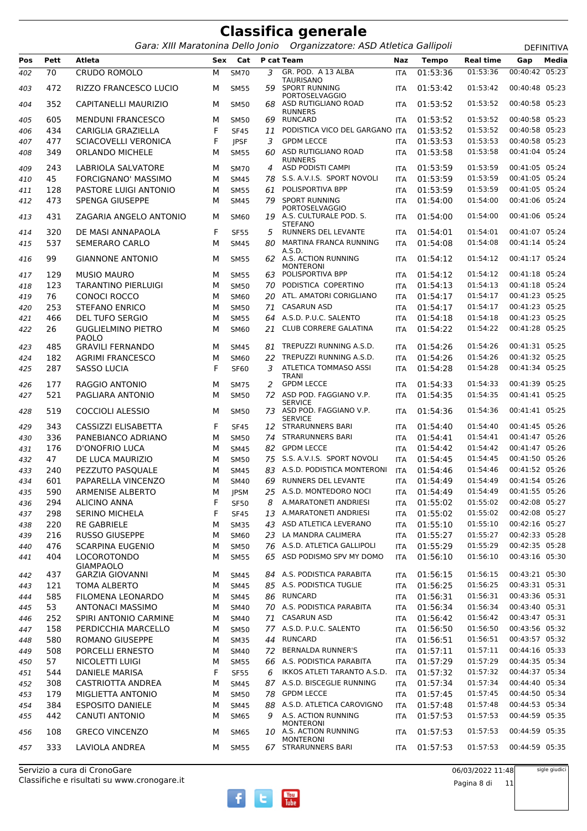|            |            | Gara: XIII Maratonina Dello Jonio                |        |                            |         | Organizzatore: ASD Atletica Gallipoli                             |                   |                      |                      |                                  | DEFINITIVA |
|------------|------------|--------------------------------------------------|--------|----------------------------|---------|-------------------------------------------------------------------|-------------------|----------------------|----------------------|----------------------------------|------------|
| Pos        | Pett       | <b>Atleta</b>                                    | Sex    |                            |         | <b>Cat</b> P cat Team                                             | Naz               | <b>Tempo</b>         | <b>Real time</b>     | Gap                              | Media      |
| 402        | 70         | <b>CRUDO ROMOLO</b>                              | М      | <b>SM70</b>                | 3       | GR. POD. A 13 ALBA                                                | <b>ITA</b>        | 01:53:36             | 01:53:36             | 00:40:42                         | 05:23      |
| 403        | 472        | RIZZO FRANCESCO LUCIO                            | м      | <b>SM55</b>                | 59      | <b>TAURISANO</b><br><b>SPORT RUNNING</b>                          | <b>ITA</b>        | 01:53:42             | 01:53:42             | 00:40:48 05:23                   |            |
| 404        | 352        | CAPITANELLI MAURIZIO                             | м      | <b>SM50</b>                |         | <b>PORTOSELVAGGIO</b><br>68 ASD RUTIGLIANO ROAD<br><b>RUNNERS</b> | <b>ITA</b>        | 01:53:52             | 01:53:52             | 00:40:58 05:23                   |            |
| 405        | 605        | <b>MENDUNI FRANCESCO</b>                         | М      | <b>SM50</b>                | 69      | RUNCARD                                                           | <b>ITA</b>        | 01:53:52             | 01:53:52             | 00:40:58 05:23                   |            |
| 406        | 434        | CARIGLIA GRAZIELLA                               | F      | <b>SF45</b>                | 11      | PODISTICA VICO DEL GARGANO ITA                                    |                   | 01:53:52             | 01:53:52             | 00:40:58 05:23                   |            |
| 407        | 477        | <b>SCIACOVELLI VERONICA</b>                      | F      | <b>JPSF</b>                | 3       | <b>GPDM LECCE</b>                                                 | <b>ITA</b>        | 01:53:53             | 01:53:53             | 00:40:58 05:23                   |            |
| 408        | 349        | <b>ORLANDO MICHELE</b>                           | М      | <b>SM55</b>                |         | 60 ASD RUTIGLIANO ROAD                                            | <b>ITA</b>        | 01:53:58             | 01:53:58             | 00:41:04 05:24                   |            |
| 409        | 243        | LABRIOLA SALVATORE                               | М      | <b>SM70</b>                | 4       | <b>RUNNERS</b><br>ASD PODISTI CAMPI                               | <b>ITA</b>        | 01:53:59             | 01:53:59             | 00:41:05 05:24                   |            |
| 410        | 45         | FORCIGNANO' MASSIMO                              | М      | <b>SM45</b>                | 78      | S.S. A.V.I.S. SPORT NOVOLI                                        | <b>ITA</b>        | 01:53:59             | 01:53:59             | 00:41:05 05:24                   |            |
| 411        | 128        | PASTORE LUIGI ANTONIO                            | М      | <b>SM55</b>                | 61      | POLISPORTIVA BPP                                                  | <b>ITA</b>        | 01:53:59             | 01:53:59             | 00:41:05 05:24                   |            |
| 412        | 473        | SPENGA GIUSEPPE                                  | М      | <b>SM45</b>                | 79      | <b>SPORT RUNNING</b>                                              | <b>ITA</b>        | 01:54:00             | 01:54:00             | 00:41:06 05:24                   |            |
| 413        | 431        | ZAGARIA ANGELO ANTONIO                           | м      | SM60                       |         | <b>PORTOSELVAGGIO</b><br>19 A.S. CULTURALE POD. S.                | <b>ITA</b>        | 01:54:00             | 01:54:00             | 00:41:06 05:24                   |            |
| 414        | 320        | DE MASI ANNAPAOLA                                | F      | <b>SF55</b>                | 5       | <b>STEFANO</b><br>RUNNERS DEL LEVANTE                             | <b>ITA</b>        | 01:54:01             | 01:54:01             | 00:41:07 05:24                   |            |
| 415        | 537        | <b>SEMERARO CARLO</b>                            | М      | <b>SM45</b>                | 80      | MARTINA FRANCA RUNNING                                            | <b>ITA</b>        | 01:54:08             | 01:54:08             | 00:41:14 05:24                   |            |
| 416        | 99         | <b>GIANNONE ANTONIO</b>                          | м      | <b>SM55</b>                |         | A.S.D.<br>62 A.S. ACTION RUNNING<br><b>MONTERONI</b>              | <b>ITA</b>        | 01:54:12             | 01:54:12             | 00:41:17 05:24                   |            |
| 417        | 129        | <b>MUSIO MAURO</b>                               | м      | <b>SM55</b>                | 63      | POLISPORTIVA BPP                                                  | <b>ITA</b>        | 01:54:12             | 01:54:12             | 00:41:18 05:24                   |            |
| 418        | 123        | <b>TARANTINO PIERLUIGI</b>                       | М      | <b>SM50</b>                | 70      | PODISTICA COPERTINO                                               | <b>ITA</b>        | 01:54:13             | 01:54:13             | 00:41:18 05:24                   |            |
| 419        | 76         | CONOCI ROCCO                                     | М      | SM60                       | 20      | ATL. AMATORI CORIGLIANO                                           | <b>ITA</b>        | 01:54:17             | 01:54:17             | 00:41:23 05:25                   |            |
| 420        | 253        | <b>STEFANO ENRICO</b>                            | М      | <b>SM50</b>                | 71      | <b>CASARUN ASD</b>                                                | <b>ITA</b>        | 01:54:17             | 01:54:17             | 00:41:23 05:25                   |            |
| 421        | 466        | <b>DEL TUFO SERGIO</b>                           | М      | <b>SM55</b>                |         | 64 A.S.D. P.U.C. SALENTO                                          | <b>ITA</b>        | 01:54:18             | 01:54:18             | 00:41:23 05:25                   |            |
| 422        | 26         | <b>GUGLIELMINO PIETRO</b><br><b>PAOLO</b>        | М      | <b>SM60</b>                | 21      | <b>CLUB CORRERE GALATINA</b>                                      | <b>ITA</b>        | 01:54:22             | 01:54:22             | 00:41:28 05:25                   |            |
| 423        | 485        | <b>GRAVILI FERNANDO</b>                          | М      | <b>SM45</b>                |         | 81 TREPUZZI RUNNING A.S.D.                                        | <b>ITA</b>        | 01:54:26             | 01:54:26             | 00:41:31 05:25                   |            |
| 424        | 182        | <b>AGRIMI FRANCESCO</b>                          | М      | <b>SM60</b>                | 22      | TREPUZZI RUNNING A.S.D.                                           | <b>ITA</b>        | 01:54:26             | 01:54:26             | 00:41:32 05:25                   |            |
| 425        | 287        | <b>SASSO LUCIA</b>                               | F      | <b>SF60</b>                | 3       | ATLETICA TOMMASO ASSI<br><b>TRANI</b>                             | <b>ITA</b>        | 01:54:28             | 01:54:28             | 00:41:34 05:25                   |            |
| 426        | 177        | <b>RAGGIO ANTONIO</b>                            | м      | <b>SM75</b>                | 2       | <b>GPDM LECCE</b>                                                 | <b>ITA</b>        | 01:54:33             | 01:54:33             | 00:41:39 05:25                   |            |
| 427        | 521        | PAGLIARA ANTONIO                                 | М      | <b>SM50</b>                |         | 72 ASD POD. FAGGIANO V.P.                                         | <b>ITA</b>        | 01:54:35             | 01:54:35             | 00:41:41 05:25                   |            |
| 428        | 519        | <b>COCCIOLI ALESSIO</b>                          | м      | <b>SM50</b>                |         | <b>SERVICE</b><br>73 ASD POD. FAGGIANO V.P.<br><b>SERVICE</b>     | <b>ITA</b>        | 01:54:36             | 01:54:36             | 00:41:41 05:25                   |            |
| 429        | 343        | CASSIZZI ELISABETTA                              | F      | <b>SF45</b>                |         | 12 STRARUNNERS BARI                                               | <b>ITA</b>        | 01:54:40             | 01:54:40             | 00:41:45 05:26                   |            |
| 430        | 336        | PANEBIANCO ADRIANO                               | М      | <b>SM50</b>                | 74      | <b>STRARUNNERS BARI</b>                                           | <b>ITA</b>        | 01:54:41             | 01:54:41             | 00:41:47 05:26                   |            |
| 431        | 176        | <b>D'ONOFRIO LUCA</b>                            | М      | <b>SM45</b>                | 82      | <b>GPDM LECCE</b>                                                 | <b>ITA</b>        | 01:54:42             | 01:54:42             | 00:41:47 05:26                   |            |
| 432        | 47         | DE LUCA MAURIZIO                                 | м      | <b>SM50</b>                | 75      | S.S. A.V.I.S. SPORT NOVOLI                                        | <b>ITA</b>        | 01:54:45             | 01:54:45             | 00:41:50 05:26                   |            |
| 433        | 240        | PEZZUTO PASQUALE                                 | м      | <b>SM45</b>                | 83      | A.S.D. PODISTICA MONTERONI                                        | <b>ITA</b>        | 01:54:46             | 01:54:46             | 00:41:52 05:26                   |            |
| 434        | 601        | PAPARELLA VINCENZO                               | М      | SM40                       | 69      | RUNNERS DEL LEVANTE                                               | <b>ITA</b>        | 01:54:49             | 01:54:49             | 00:41:54 05:26                   |            |
| 435        | 590        | ARMENISE ALBERTO                                 | М      | <b>JPSM</b>                | 25      | A.S.D. MONTEDORO NOCI                                             | ITA               | 01:54:49             | 01:54:49             | 00:41:55 05:26                   |            |
| 436        | 294        | <b>ALICINO ANNA</b>                              | F      | <b>SF50</b>                | 8       | A.MARATONETI ANDRIESI                                             | ITA               | 01:55:02             | 01:55:02             | 00:42:08 05:27                   |            |
| 437        | 298        | <b>SERINO MICHELA</b>                            | F      | <b>SF45</b>                | 13      | A.MARATONETI ANDRIESI                                             | <b>ITA</b>        | 01:55:02             | 01:55:02             | 00:42:08 05:27                   |            |
| 438        | 220        | <b>RE GABRIELE</b>                               | М      | <b>SM35</b>                | 43      | ASD ATLETICA LEVERANO                                             | <b>ITA</b>        | 01:55:10             | 01:55:10             | 00:42:16 05:27                   |            |
| 439        | 216        | <b>RUSSO GIUSEPPE</b>                            | М      | SM60                       |         | 23 LA MANDRA CALIMERA                                             | <b>ITA</b>        | 01:55:27             | 01:55:27             | 00:42:33 05:28                   |            |
| 440        | 476        | <b>SCARPINA EUGENIO</b>                          | М      | <b>SM50</b>                |         | 76 A.S.D. ATLETICA GALLIPOLI                                      | <b>ITA</b>        | 01:55:29             | 01:55:29             | 00:42:35 05:28                   |            |
| 441        | 404        | <b>LOCOROTONDO</b><br><b>GIAMPAOLO</b>           | м      | <b>SM55</b>                | 65      | ASD PODISMO SPV MY DOMO                                           | ITA               | 01:56:10             | 01:56:10             | 00:43:16 05:30                   |            |
| 442        | 437        | <b>GARZIA GIOVANNI</b>                           | м      | <b>SM45</b>                |         | 84 A.S. PODISTICA PARABITA                                        | ITA               | 01:56:15             | 01:56:15             | 00:43:21 05:30                   |            |
| 443        | 121        | <b>TOMA ALBERTO</b>                              | М      | <b>SM45</b>                | 85      | A.S. PODISTICA TUGLIE                                             | <b>ITA</b>        | 01:56:25             | 01:56:25             | 00:43:31 05:31                   |            |
| 444        | 585        | FILOMENA LEONARDO                                | М      | <b>SM45</b>                |         | 86 RUNCARD                                                        | <b>ITA</b>        | 01:56:31             | 01:56:31             | 00:43:36 05:31                   |            |
| 445        | 53         | <b>ANTONACI MASSIMO</b>                          | м      | <b>SM40</b>                |         | 70 A.S. PODISTICA PARABITA                                        | <b>ITA</b>        | 01:56:34             | 01:56:34             | 00:43:40 05:31                   |            |
| 446        | 252        | SPIRI ANTONIO CARMINE                            | М      | <b>SM40</b>                | 71      | <b>CASARUN ASD</b>                                                | ITA               | 01:56:42             | 01:56:42             | 00:43:47 05:31                   |            |
| 447        | 158        | PERDICCHIA MARCELLO                              | М      | <b>SM50</b>                |         | 77 A.S.D. P.U.C. SALENTO                                          | <b>ITA</b>        | 01:56:50             | 01:56:50             | 00:43:56 05:32                   |            |
| 448        | 580        | ROMANO GIUSEPPE                                  | м      | <b>SM35</b>                | 44      | <b>RUNCARD</b>                                                    | <b>ITA</b>        | 01:56:51             | 01:56:51             | 00:43:57 05:32                   |            |
| 449        | 508        | PORCELLI ERNESTO                                 | М      | <b>SM40</b>                | 72      | <b>BERNALDA RUNNER'S</b>                                          | ITA               | 01:57:11             | 01:57:11             | 00:44:16 05:33                   |            |
| 450        | 57         | NICOLETTI LUIGI                                  | М      | <b>SM55</b>                |         | 66 A.S. PODISTICA PARABITA                                        | <b>ITA</b>        | 01:57:29             | 01:57:29             | 00:44:35 05:34                   |            |
| 451        | 544        | DANIELE MARISA                                   | F      | <b>SF55</b>                | 6       | IKKOS ATLETI TARANTO A.S.D.                                       | <b>ITA</b>        | 01:57:32             | 01:57:32             | 00:44:37 05:34<br>00:44:40 05:34 |            |
| 452        | 308        | <b>CASTRIOTTA ANDREA</b>                         | М      | <b>SM45</b>                |         | 87 A.S.D. BISCEGLIE RUNNING<br><b>GPDM LECCE</b>                  | <b>ITA</b>        | 01:57:34             | 01:57:34             | 00:44:50 05:34                   |            |
| 453        | 179        | MIGLIETTA ANTONIO                                | М      | <b>SM50</b>                | 78      | A.S.D. ATLETICA CAROVIGNO                                         | <b>ITA</b>        | 01:57:45             | 01:57:45             | 00:44:53 05:34                   |            |
| 454<br>455 | 384<br>442 | <b>ESPOSITO DANIELE</b><br><b>CANUTI ANTONIO</b> | М<br>М | <b>SM45</b><br><b>SM65</b> | 88<br>9 | A.S. ACTION RUNNING<br><b>MONTERONI</b>                           | <b>ITA</b><br>ITA | 01:57:48<br>01:57:53 | 01:57:48<br>01:57:53 | 00:44:59 05:35                   |            |
| 456        | 108        | <b>GRECO VINCENZO</b>                            | М      | <b>SM65</b>                |         | 10 A.S. ACTION RUNNING                                            | ITA               | 01:57:53             | 01:57:53             | 00:44:59 05:35                   |            |
| 457        | 333        | LAVIOLA ANDREA                                   | м      | <b>SM55</b>                |         | <b>MONTERONI</b><br>67 STRARUNNERS BARI                           | <b>ITA</b>        | 01:57:53             | 01:57:53             | 00:44:59 05:35                   |            |
|            |            |                                                  |        |                            |         |                                                                   |                   |                      |                      |                                  |            |

Classifiche e risultati su www.cronogare.it Servizio a cura di CronoGare

06/03/2022 11:48

 $\begin{bmatrix}\n\text{You} \\
\text{Iube}\n\end{bmatrix}$ Ŧ  $\mathbf{E}$ 

sigle giudici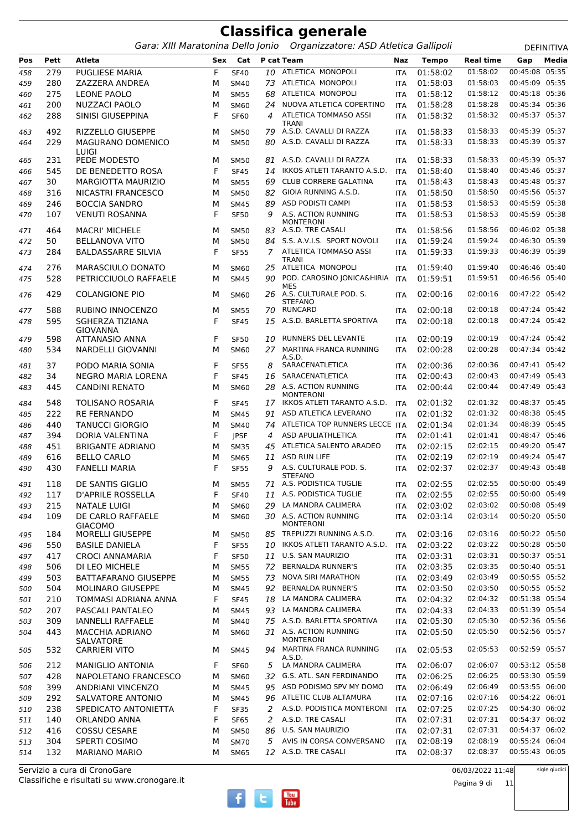Gara: XIII Maratonina Dello Jonio Organizzatore: ASD Atletica Gallipoli **DEFINITIVA** 

**Pos Pett Atleta Sex Cat P cat Team Naz Tempo Real time Gap Media** 279 PUGLIESE MARIA F SF40 *10* ATLETICA MONOPOLI ITA 01:58:02 01:58:02 00:45:08 05:35 280 ZAZZERA ANDREA M SM40 *73* ATLETICA MONOPOLI ITA 01:58:03 01:58:03 00:45:09 05:35 275 LEONE PAOLO M SM55 *68* ATLETICA MONOPOLI ITA 01:58:12 01:58:12 00:45:18 05:36 200 NUZZACI PAOLO M SM60 *24* NUOVA ATLETICA COPERTINO ITA 01:58:28 01:58:28 00:45:34 05:36 SINISI GIUSEPPINA F SF60 ATLETICA TOMMASO ASSI *4* ITA 01:58:32 01:58:32 00:45:37 05:37 TRANI 492 RIZZELLO GIUSEPPE M SM50 *79* A.S.D. CAVALLI DI RAZZA ITA 01:58:33 01:58:33 00:45:39 05:37 MAGURANO DOMENICO M SM50 *80* A.S.D. CAVALLI DI RAZZA ITA 01:58:33 01:58:33 00:45:39 05:37 LUIGI<br>PEDE MODESTO 231 PEDE MODESTO M SM50 *81* A.S.D. CAVALLI DI RAZZA ITA 01:58:33 01:58:33 00:45:39 05:37 545 DE BENEDETTO ROSA F SF45 *14* IKKOS ATLETI TARANTO A.S.D. ITA 01:58:40 01:58:40 00:45:46 05:37 30 MARGIOTTA MAURIZIO M SM55 *69* CLUB CORRERE GALATINA ITA 01:58:43 01:58:43 00:45:48 05:37 316 NICASTRI FRANCESCO M SM50 *82* GIOIA RUNNING A.S.D. ITA 01:58:50 01:58:50 00:45:56 05:37 246 BOCCIA SANDRO M SM45 *89* ASD PODISTI CAMPI ITA 01:58:53 01:58:53 00:45:59 05:38 VENUTI ROSANNA F SF50 A.S. ACTION RUNNING MONTERONI<br>A.S.D. TRE CASALI *9* ITA 01:58:53 01:58:53 00:45:59 05:38 464 MACRI' MICHELE M SM50 *83* A.S.D. TRE CASALI ITA 01:58:56 01:58:56 00:46:02 05:38 50 BELLANOVA VITO M SM50 *84* S.S. A.V.I.S. SPORT NOVOLI ITA 01:59:24 01:59:24 00:46:30 05:39 BALDASSARRE SILVIA F SF55 ATLETICA TOMMASO ASSI *7* ITA 01:59:33 01:59:33 00:46:39 05:39 TRANI<br>ATLETICA MONOPOLI 276 MARASCIULO DONATO M SM60 *25* ATLETICA MONOPOLI ITA 01:59:40 01:59:40 00:46:46 05:40 PETRICCIUOLO RAFFAELE M SM45 POD. CAROSINO JONICA&HIRIA *90* ITA 01:59:51 01:59:51 00:46:56 05:40 MES COLANGIONE PIO M SM60 A.S. CULTURALE POD. S. *26* ITA 02:00:16 02:00:16 00:47:22 05:42 STEFANO<br>RUNCARD 588 RUBINO INNOCENZO M SM55 *70* RUNCARD ITA 02:00:18 02:00:18 00:47:24 05:42 SGHERZA TIZIANA GIOVANNA F SF45 *15* A.S.D. BARLETTA SPORTIVA ITA 02:00:18 02:00:18 00:47:24 05:42 598 ATTANASIO ANNA F SF50 *10* RUNNERS DEL LEVANTE ITA 02:00:19 02:00:19 00:47:24 05:42 NARDELLI GIOVANNI M SM60 MARTINA FRANCA RUNNING *27* ITA 02:00:28 02:00:28 00:47:34 05:42 A.S.D.<br>SARACENATLETICA 37 PODO MARIA SONIA F SF55 *8* SARACENATLETICA ITA 02:00:36 02:00:36 00:47:41 05:42 34 NEGRO MARIA LORENA F SF45 *16* SARACENATLETICA ITA 02:00:43 02:00:43 00:47:49 05:43 CANDINI RENATO M SM60 A.S. ACTION RUNNING *28* ITA 02:00:44 02:00:44 00:47:49 05:43 MONTERONI 548 TOLISANO ROSARIA F SF45 *17* IKKOS ATLETI TARANTO A.S.D. ITA 02:01:32 02:01:32 00:48:37 05:45 222 RE FERNANDO M SM45 *91* ASD ATLETICA LEVERANO ITA 02:01:32 02:01:32 00:48:38 05:45 440 TANUCCI GIORGIO M SM40 *74* ATLETICA TOP RUNNERS LECCE ITA 02:01:34 02:01:34 00:48:39 05:45 394 DORIA VALENTINA F JPSF *4* ASD APULIATHLETICA ITA 02:01:41 02:01:41 00:48:47 05:46 451 BRIGANTE ADRIANO M SM35 *45* ATLETICA SALENTO ARADEO ITA 02:02:15 02:02:15 00:49:20 05:47 616 BELLO CARLO M SM65 *11* ASD RUN LIFE ITA 02:02:19 02:02:19 00:49:24 05:47 FANELLI MARIA F SF55 A.S. CULTURALE POD. S. *9* ITA 02:02:37 02:02:37 00:49:43 05:48 STEFANO<br>A.S. PODISTICA TUGLIE 118 DE SANTIS GIGLIO M SM55 *71* A.S. PODISTICA TUGLIE ITA 02:02:55 02:02:55 00:50:00 05:49 117 D'APRILE ROSSELLA F SF40 *11* A.S. PODISTICA TUGLIE ITA 02:02:55 02:02:55 00:50:00 05:49 215 NATALE LUIGI M SM60 *29* LA MANDRA CALIMERA ITA 02:03:02 02:03:02 00:50:08 05:49 DE CARLO RAFFAELE *30* ITA 02:03:14 02:03:14 00:50:20 05:50 GIACOMO M SM60 30 A.S. ACTION RUNNING MONTERONI 184 MORELLI GIUSEPPE M SM50 *85* TREPUZZI RUNNING A.S.D. ITA 02:03:16 02:03:16 00:50:22 05:50 550 BASILE DANIELA F SF55 *10* IKKOS ATLETI TARANTO A.S.D. ITA 02:03:22 02:03:22 00:50:28 05:50 417 CROCI ANNAMARIA F SF50 *11* U.S. SAN MAURIZIO ITA 02:03:31 02:03:31 00:50:37 05:51 506 DI LEO MICHELE M SM55 *72* BERNALDA RUNNER'S ITA 02:03:35 02:03:35 00:50:40 05:51 503 BATTAFARANO GIUSEPPE M SM55 *73* NOVA SIRI MARATHON ITA 02:03:49 02:03:49 00:50:55 05:52 504 MOLINARO GIUSEPPE M SM45 *92* BERNALDA RUNNER'S ITA 02:03:50 02:03:50 00:50:55 05:52 501 210 TOMMASI ADRIANA ANNA F SF45 18 LA MANDRA CALIMERA ITA 02:04:32 207 PASCALI PANTALEO M SM45 *93* LA MANDRA CALIMERA ITA 02:04:33 02:04:33 00:51:39 05:54 309 IANNELLI RAFFAELE M SM40 *75* A.S.D. BARLETTA SPORTIVA ITA 02:05:30 02:05:30 00:52:36 05:56 MACCHIA ADRIANO *31* ITA 02:05:50 02:05:50 00:52:56 05:57 SALVATORE<br>CARRIERI VITO M SM60 31 A.S. ACTION RUNNING MONTERONI CARRIERI VITO M SM45 MARTINA FRANCA RUNNING *94* ITA 02:05:53 02:05:53 00:52:59 05:57 A.S.D.<br>I A MANDRA CALIMERA 212 MANIGLIO ANTONIA F SF60 *5* LA MANDRA CALIMERA ITA 02:06:07 02:06:07 00:53:12 05:58 428 NAPOLETANO FRANCESCO M SM60 *32* G.S. ATL. SAN FERDINANDO ITA 02:06:25 02:06:25 00:53:30 05:59 399 ANDRIANI VINCENZO M SM45 *95* ASD PODISMO SPV MY DOMO ITA 02:06:49 02:06:49 00:53:55 06:00 292 SALVATORE ANTONIO M SM45 *96* ATLETIC CLUB ALTAMURA ITA 02:07:16 02:07:16 00:54:22 06:01 238 SPEDICATO ANTONIETTA F SF35 *2* A.S.D. PODISTICA MONTERONI ITA 02:07:25 02:07:25 00:54:30 06:02 140 ORLANDO ANNA F SF65 *2* A.S.D. TRE CASALI ITA 02:07:31 02:07:31 00:54:37 06:02 416 COSSU CESARE M SM50 *86* U.S. SAN MAURIZIO ITA 02:07:31 02:07:31 00:54:37 06:02 304 SPERTI COSIMO M SM70 *5* AVIS IN CORSA CONVERSANO ITA 02:08:19 02:08:19 00:55:24 06:04 132 MARIANO MARIO M SM65 *12* A.S.D. TRE CASALI ITA 02:08:37 02:08:37 00:55:43 06:05

Classifiche e risultati su www.cronogare.it Servizio a cura di CronoGare

06/03/2022 11:48

sigle giudici



Pagina 9 di 11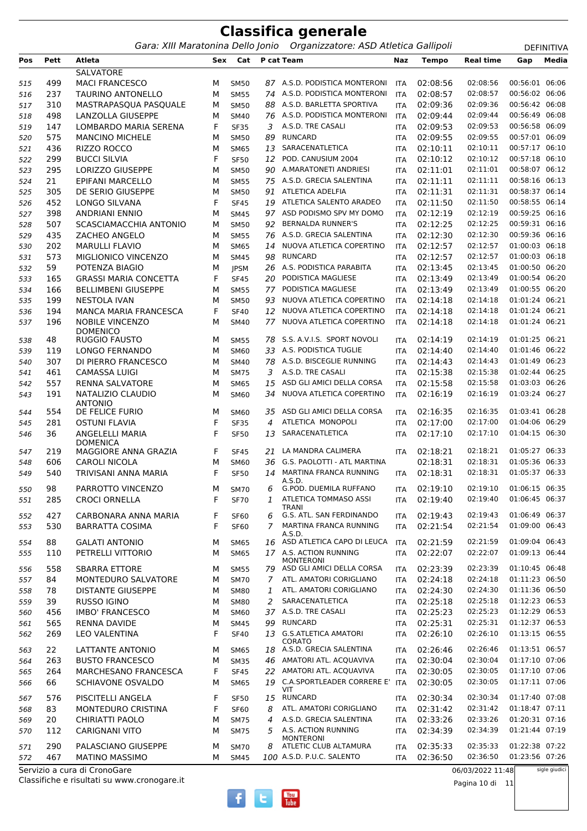|            |            |                                            |        |                            |    | <b>Classifica generale</b>                                              |                          |                      |                      |                                  |                   |
|------------|------------|--------------------------------------------|--------|----------------------------|----|-------------------------------------------------------------------------|--------------------------|----------------------|----------------------|----------------------------------|-------------------|
|            |            |                                            |        |                            |    | Gara: XIII Maratonina Dello Jonio Organizzatore: ASD Atletica Gallipoli |                          |                      |                      |                                  | <b>DEFINITIVA</b> |
| Pos        | Pett       | Atleta                                     | Sex    | Cat                        |    | P cat Team                                                              | Naz                      | <b>Tempo</b>         | <b>Real time</b>     | Gap                              | Media             |
|            |            | <b>SALVATORE</b>                           |        |                            |    |                                                                         |                          |                      |                      |                                  |                   |
| 515        | 499        | <b>MACI FRANCESCO</b>                      | м      | <b>SM50</b>                |    | 87 A.S.D. PODISTICA MONTERONI                                           | <b>ITA</b>               | 02:08:56             | 02:08:56             | 00:56:01 06:06                   |                   |
| 516        | 237        | <b>TAURINO ANTONELLO</b>                   | М      | <b>SM55</b>                | 74 | A.S.D. PODISTICA MONTERONI<br>A.S.D. BARLETTA SPORTIVA                  | <b>ITA</b>               | 02:08:57             | 02:08:57             | 00:56:02 06:06                   |                   |
| 517        | 310        | MASTRAPASQUA PASQUALE                      | м      | <b>SM50</b>                | 88 | 76 A.S.D. PODISTICA MONTERONI                                           | <b>ITA</b>               | 02:09:36             | 02:09:36<br>02:09:44 | 00:56:42 06:08<br>00:56:49 06:08 |                   |
| 518        | 498<br>147 | LANZOLLA GIUSEPPE<br>LOMBARDO MARIA SERENA | м<br>F | <b>SM40</b>                | 3  | A.S.D. TRE CASALI                                                       | <b>ITA</b>               | 02:09:44<br>02:09:53 | 02:09:53             | 00:56:58 06:09                   |                   |
| 519        | 575        | <b>MANCINO MICHELE</b>                     | М      | <b>SF35</b><br><b>SM50</b> | 89 | <b>RUNCARD</b>                                                          | <b>ITA</b><br><b>ITA</b> | 02:09:55             | 02:09:55             | 00:57:01 06:09                   |                   |
| 520<br>521 | 436        | RIZZO ROCCO                                | м      | <b>SM65</b>                | 13 | SARACENATLETICA                                                         | <b>ITA</b>               | 02:10:11             | 02:10:11             | 00:57:17 06:10                   |                   |
| 522        | 299        | <b>BUCCI SILVIA</b>                        | F      | <b>SF50</b>                | 12 | POD. CANUSIUM 2004                                                      | <b>ITA</b>               | 02:10:12             | 02:10:12             | 00:57:18 06:10                   |                   |
| 523        | 295        | <b>LORIZZO GIUSEPPE</b>                    | M      | <b>SM50</b>                | 90 | A.MARATONETI ANDRIESI                                                   | <b>ITA</b>               | 02:11:01             | 02:11:01             | 00:58:07 06:12                   |                   |
| 524        | 21         | EPIFANI MARCELLO                           | М      | <b>SM55</b>                |    | 75 A.S.D. GRECIA SALENTINA                                              | <b>ITA</b>               | 02:11:11             | 02:11:11             | 00:58:16 06:13                   |                   |
| 525        | 305        | DE SERIO GIUSEPPE                          | М      | <b>SM50</b>                | 91 | <b>ATLETICA ADELFIA</b>                                                 | <b>ITA</b>               | 02:11:31             | 02:11:31             | 00:58:37 06:14                   |                   |
| 526        | 452        | LONGO SILVANA                              | F      | <b>SF45</b>                | 19 | ATLETICA SALENTO ARADEO                                                 | <b>ITA</b>               | 02:11:50             | 02:11:50             | 00:58:55 06:14                   |                   |
| 527        | 398        | <b>ANDRIANI ENNIO</b>                      | М      | <b>SM45</b>                |    | 97 ASD PODISMO SPV MY DOMO                                              | <b>ITA</b>               | 02:12:19             | 02:12:19             | 00:59:25 06:16                   |                   |
| 528        | 507        | SCASCIAMACCHIA ANTONIO                     | М      | <b>SM50</b>                | 92 | <b>BERNALDA RUNNER'S</b>                                                | <b>ITA</b>               | 02:12:25             | 02:12:25             | 00:59:31 06:16                   |                   |
| 529        | 435        | ZACHEO ANGELO                              | M      | <b>SM55</b>                |    | 76 A.S.D. GRECIA SALENTINA                                              | <b>ITA</b>               | 02:12:30             | 02:12:30             | 00:59:36 06:16                   |                   |
| 530        | 202        | <b>MARULLI FLAVIO</b>                      | М      | <b>SM65</b>                | 14 | NUOVA ATLETICA COPERTINO                                                | <b>ITA</b>               | 02:12:57             | 02:12:57             | 01:00:03 06:18                   |                   |
| 531        | 573        | MIGLIONICO VINCENZO                        | М      | <b>SM45</b>                | 98 | <b>RUNCARD</b>                                                          | <b>ITA</b>               | 02:12:57             | 02:12:57             | 01:00:03 06:18                   |                   |
| 532        | 59         | POTENZA BIAGIO                             | M      | <b>JPSM</b>                |    | 26 A.S. PODISTICA PARABITA                                              | <b>ITA</b>               | 02:13:45             | 02:13:45             | 01:00:50 06:20                   |                   |
| 533        | 165        | <b>GRASSI MARIA CONCETTA</b>               | F      | <b>SF45</b>                | 20 | PODISTICA MAGLIESE                                                      | <b>ITA</b>               | 02:13:49             | 02:13:49             | 01:00:54 06:20                   |                   |
| 534        | 166        | <b>BELLIMBENI GIUSEPPE</b>                 | М      | <b>SM55</b>                | 77 | PODISTICA MAGLIESE                                                      | <b>ITA</b>               | 02:13:49             | 02:13:49             | 01:00:55 06:20                   |                   |
| 535        | 199        | NESTOLA IVAN                               | M      | <b>SM50</b>                | 93 | NUOVA ATLETICA COPERTINO                                                | <b>ITA</b>               | 02:14:18             | 02:14:18             | 01:01:24 06:21                   |                   |
| 536        | 194        | <b>MANCA MARIA FRANCESCA</b>               | F      | <b>SF40</b>                | 12 | NUOVA ATLETICA COPERTINO                                                | <b>ITA</b>               | 02:14:18             | 02:14:18             | 01:01:24 06:21                   |                   |
| 537        | 196        | <b>NOBILE VINCENZO</b><br><b>DOMENICO</b>  | М      | SM40                       | 77 | NUOVA ATLETICA COPERTINO                                                | <b>ITA</b>               | 02:14:18             | 02:14:18             | 01:01:24 06:21                   |                   |
| 538        | 48         | <b>RUGGIO FAUSTO</b>                       | М      | <b>SM55</b>                |    | 78 S.S. A.V.I.S. SPORT NOVOLI                                           | <b>ITA</b>               | 02:14:19             | 02:14:19             | 01:01:25                         | 06:21             |
| 539        | 119        | LONGO FERNANDO                             | М      | SM60                       | 33 | A.S. PODISTICA TUGLIE                                                   | <b>ITA</b>               | 02:14:40             | 02:14:40             | 01:01:46                         | 06:22             |
| 540        | 307        | DI PIERRO FRANCESCO                        | М      | <b>SM40</b>                | 78 | A.S.D. BISCEGLIE RUNNING                                                | <b>ITA</b>               | 02:14:43             | 02:14:43             | 01:01:49 06:23                   |                   |
| 541        | 461        | <b>CAMASSA LUIGI</b>                       | М      | <b>SM75</b>                | 3  | A.S.D. TRE CASALI                                                       | <b>ITA</b>               | 02:15:38             | 02:15:38             | 01:02:44 06:25                   |                   |
| 542        | 557        | <b>RENNA SALVATORE</b>                     | M      | <b>SM65</b>                | 15 | ASD GLI AMICI DELLA CORSA                                               | <b>ITA</b>               | 02:15:58             | 02:15:58             | 01:03:03 06:26                   |                   |
| 543        | 191        | NATALIZIO CLAUDIO<br><b>ANTONIO</b>        | M      | SM60                       | 34 | NUOVA ATLETICA COPERTINO                                                | <b>ITA</b>               | 02:16:19             | 02:16:19             | 01:03:24 06:27                   |                   |
| 544        | 554        | DE FELICE FURIO                            | м      | <b>SM60</b>                |    | 35 ASD GLI AMICI DELLA CORSA                                            | <b>ITA</b>               | 02:16:35             | 02:16:35             | 01:03:41 06:28                   |                   |
| 545        | 281        | <b>OSTUNI FLAVIA</b>                       | F      | <b>SF35</b>                | 4  | ATLETICA MONOPOLI                                                       | <b>ITA</b>               | 02:17:00             | 02:17:00             | 01:04:06 06:29                   |                   |
| 546        | 36         | ANGELELLI MARIA<br><b>DOMENICA</b>         | F      | <b>SF50</b>                | 13 | SARACENATLETICA                                                         | <b>ITA</b>               | 02:17:10             | 02:17:10             | 01:04:15 06:30                   |                   |
| 547        | 219        | MAGGIORE ANNA GRAZIA                       | F      | <b>SF45</b>                |    | 21 LA MANDRA CALIMERA                                                   | ITA                      | 02:18:21             | 02:18:21             | 01:05:27 06:33                   |                   |
| 548        | 606        | <b>CAROLI NICOLA</b>                       | М      | SM60                       | 36 | G.S. PAOLOTTI - ATL MARTINA                                             |                          | 02:18:31             | 02:18:31             | 01:05:36 06:33                   |                   |
| 549        | 540        | TRIVISANI ANNA MARIA                       | F      | <b>SF50</b>                | 14 | MARTINA FRANCA RUNNING<br>A.S.D.                                        | ITA                      | 02:18:31             | 02:18:31             | 01:05:37 06:33                   |                   |
| 550        | 98         | PARROTTO VINCENZO                          | М      | <b>SM70</b>                | 6  | G.POD. DUEMILA RUFFANO                                                  | <b>ITA</b>               | 02:19:10             | 02:19:10             | 01:06:15 06:35                   |                   |
| 551        | 285        | <b>CROCI ORNELLA</b>                       | F      | <b>SF70</b>                | 1  | ATLETICA TOMMASO ASSI                                                   | <b>ITA</b>               | 02:19:40             | 02:19:40             | 01:06:45 06:37                   |                   |
| 552        | 427        | CARBONARA ANNA MARIA                       | F      | <b>SF60</b>                | 6  | <b>TRANI</b><br>G.S. ATL. SAN FERDINANDO                                | <b>ITA</b>               | 02:19:43             | 02:19:43             | 01:06:49 06:37                   |                   |
| 553        | 530        | <b>BARRATTA COSIMA</b>                     | F      | <b>SF60</b>                | 7  | MARTINA FRANCA RUNNING                                                  | ITA                      | 02:21:54             | 02:21:54             | 01:09:00 06:43                   |                   |
| 554        | 88         | <b>GALATI ANTONIO</b>                      | М      | <b>SM65</b>                |    | A.S.D.<br>16 ASD ATLETICA CAPO DI LEUCA                                 | ITA                      | 02:21:59             | 02:21:59             | 01:09:04 06:43                   |                   |
| 555        | 110        | PETRELLI VITTORIO                          | М      | <b>SM65</b>                |    | 17 A.S. ACTION RUNNING<br><b>MONTERONI</b>                              | <b>ITA</b>               | 02:22:07             | 02:22:07             | 01:09:13 06:44                   |                   |
| 556        | 558        | <b>SBARRA ETTORE</b>                       | М      | <b>SM55</b>                |    | 79 ASD GLI AMICI DELLA CORSA                                            | <b>ITA</b>               | 02:23:39             | 02:23:39             | 01:10:45 06:48                   |                   |
| 557        | 84         | MONTEDURO SALVATORE                        | М      | <b>SM70</b>                | 7  | ATL. AMATORI CORIGLIANO                                                 | <b>ITA</b>               | 02:24:18             | 02:24:18             | 01:11:23 06:50                   |                   |
| 558        | 78         | <b>DISTANTE GIUSEPPE</b>                   | М      | <b>SM80</b>                | 1  | ATL. AMATORI CORIGLIANO                                                 | <b>ITA</b>               | 02:24:30             | 02:24:30             | 01:11:36 06:50                   |                   |
| 559        | 39         | RUSSO IGINO                                | М      | <b>SM80</b>                | 2  | SARACENATLETICA                                                         | <b>ITA</b>               | 02:25:18             | 02:25:18             | 01:12:23 06:53                   |                   |
| 560        | 456        | <b>IMBO' FRANCESCO</b>                     | М      | SM60                       |    | 37 A.S.D. TRE CASALI                                                    | <b>ITA</b>               | 02:25:23             | 02:25:23             | 01:12:29 06:53                   |                   |
| 561        | 565        | <b>RENNA DAVIDE</b>                        | М      | <b>SM45</b>                | 99 | <b>RUNCARD</b>                                                          | <b>ITA</b>               | 02:25:31             | 02:25:31             | 01:12:37 06:53                   |                   |
| 562        | 269        | <b>LEO VALENTINA</b>                       | F      | <b>SF40</b>                |    | 13 G.S.ATLETICA AMATORI<br>CORATO                                       | <b>ITA</b>               | 02:26:10             | 02:26:10             | 01:13:15 06:55                   |                   |
| 563        | 22         | LATTANTE ANTONIO                           | М      | <b>SM65</b>                |    | 18 A.S.D. GRECIA SALENTINA                                              | <b>ITA</b>               | 02:26:46             | 02:26:46             | 01:13:51 06:57                   |                   |
| 564        | 263        | <b>BUSTO FRANCESCO</b>                     | М      | <b>SM35</b>                |    | 46 AMATORI ATL. ACQUAVIVA                                               | ITA                      | 02:30:04             | 02:30:04             | 01:17:10 07:06                   |                   |
| 565        | 264        | MARCHESANO FRANCESCA                       | F      | <b>SF45</b>                |    | 22 AMATORI ATL. ACQUAVIVA                                               | <b>ITA</b>               | 02:30:05             | 02:30:05             | 01:17:10 07:06                   |                   |

 SCHIAVONE OSVALDO M SM65 C.A.SPORTLEADER CORRERE E' *19* ITA 02:30:05 02:30:05 01:17:11 07:06 VIT<br>15 RUNCARD 576 PISCITELLI ANGELA F SF50 *15* RUNCARD ITA 02:30:34 02:30:34 01:17:40 07:08 83 MONTEDURO CRISTINA F SF60 *8* ATL. AMATORI CORIGLIANO ITA 02:31:42 02:31:42 01:18:47 07:11 20 CHIRIATTI PAOLO M SM75 *4* A.S.D. GRECIA SALENTINA ITA 02:33:26 02:33:26 01:20:31 07:16 CARIGNANI VITO M SM75 A.S. ACTION RUNNING *5* ITA 02:34:39 02:34:39 01:21:44 07:19 MONTERONI 290 PALASCIANO GIUSEPPE M SM70 *8* ATLETIC CLUB ALTAMURA ITA 02:35:33 02:35:33 01:22:38 07:22

**You**<br>Tube

572 467 MATINO MASSIMO M SM45 100 A.S.D. P.U.C. SALENTO ITA 02:36:50 02:36:50

06/03/2022 11:48

sigle giudici

Pagina 10 di 11